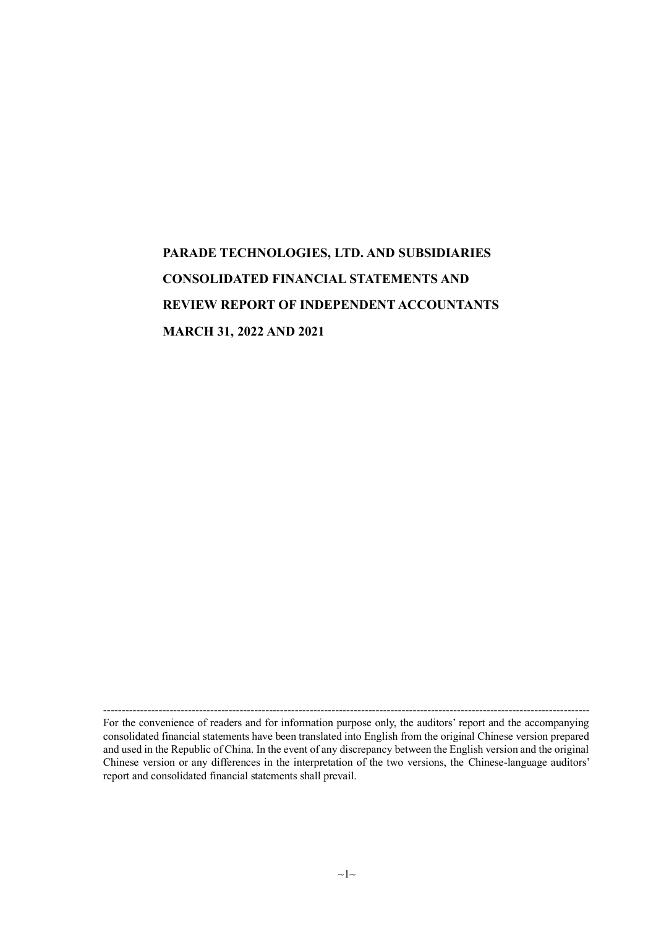# **PARADE TECHNOLOGIES, LTD. AND SUBSIDIARIES CONSOLIDATED FINANCIAL STATEMENTS AND REVIEW REPORT OF INDEPENDENT ACCOUNTANTS MARCH 31, 2022 AND 2021**

------------------------------------------------------------------------------------------------------------------------------------

For the convenience of readers and for information purpose only, the auditors' report and the accompanying consolidated financial statements have been translated into English from the original Chinese version prepared and used in the Republic of China. In the event of any discrepancy between the English version and the original Chinese version or any differences in the interpretation of the two versions, the Chinese-language auditors' report and consolidated financial statements shall prevail.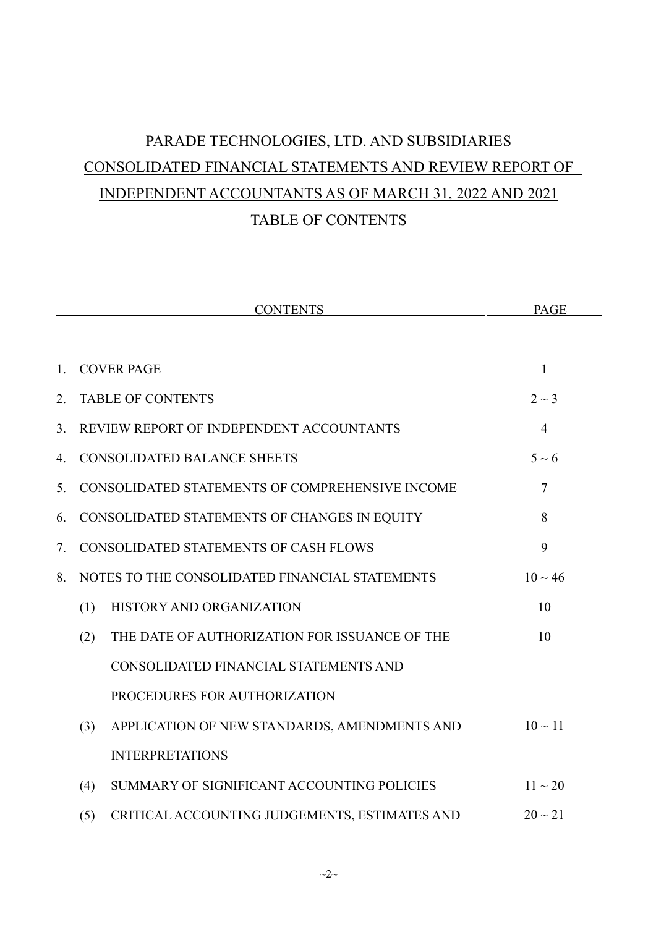# PARADE TECHNOLOGIES, LTD. AND SUBSIDIARIES CONSOLIDATED FINANCIAL STATEMENTS AND REVIEW REPORT OF INDEPENDENT ACCOUNTANTS AS OF MARCH 31, 2022 AND 2021 TABLE OF CONTENTS

|                |     | <b>PAGE</b>                                     |                |
|----------------|-----|-------------------------------------------------|----------------|
|                |     |                                                 |                |
| $\mathbf{1}$ . |     | <b>COVER PAGE</b>                               | $\mathbf{1}$   |
| 2.             |     | <b>TABLE OF CONTENTS</b>                        | $2 \sim 3$     |
| 3.             |     | REVIEW REPORT OF INDEPENDENT ACCOUNTANTS        | $\overline{4}$ |
| 4.             |     | <b>CONSOLIDATED BALANCE SHEETS</b>              | $5 \sim 6$     |
| 5.             |     | CONSOLIDATED STATEMENTS OF COMPREHENSIVE INCOME | $\overline{7}$ |
| 6.             |     | CONSOLIDATED STATEMENTS OF CHANGES IN EQUITY    | 8              |
| 7.             |     | CONSOLIDATED STATEMENTS OF CASH FLOWS           | 9              |
| 8.             |     | NOTES TO THE CONSOLIDATED FINANCIAL STATEMENTS  | $10 \sim 46$   |
|                | (1) | HISTORY AND ORGANIZATION                        | 10             |
|                | (2) | THE DATE OF AUTHORIZATION FOR ISSUANCE OF THE   | 10             |
|                |     | CONSOLIDATED FINANCIAL STATEMENTS AND           |                |
|                |     | PROCEDURES FOR AUTHORIZATION                    |                |
|                | (3) | APPLICATION OF NEW STANDARDS, AMENDMENTS AND    | $10 \sim 11$   |
|                |     | <b>INTERPRETATIONS</b>                          |                |
|                | (4) | SUMMARY OF SIGNIFICANT ACCOUNTING POLICIES      | $11 \sim 20$   |
|                | (5) | CRITICAL ACCOUNTING JUDGEMENTS, ESTIMATES AND   | $20 \sim 21$   |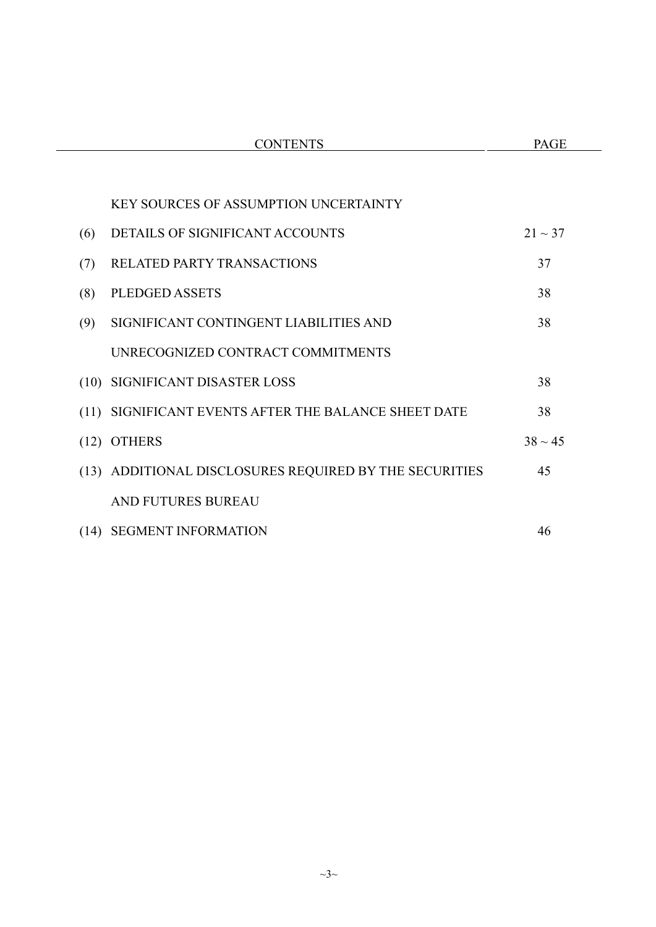|      | <b>CONTENTS</b>                                        | <b>PAGE</b>  |  |
|------|--------------------------------------------------------|--------------|--|
|      |                                                        |              |  |
|      | <b>KEY SOURCES OF ASSUMPTION UNCERTAINTY</b>           |              |  |
| (6)  | DETAILS OF SIGNIFICANT ACCOUNTS                        | $21 \sim 37$ |  |
| (7)  | <b>RELATED PARTY TRANSACTIONS</b>                      | 37           |  |
| (8)  | <b>PLEDGED ASSETS</b>                                  | 38           |  |
| (9)  | SIGNIFICANT CONTINGENT LIABILITIES AND                 | 38           |  |
|      | UNRECOGNIZED CONTRACT COMMITMENTS                      |              |  |
|      | (10) SIGNIFICANT DISASTER LOSS                         | 38           |  |
| (11) | SIGNIFICANT EVENTS AFTER THE BALANCE SHEET DATE        | 38           |  |
|      | $(12)$ OTHERS                                          | $38 \sim 45$ |  |
|      | (13) ADDITIONAL DISCLOSURES REQUIRED BY THE SECURITIES | 45           |  |
|      | AND FUTURES BUREAU                                     |              |  |
| (14) | <b>SEGMENT INFORMATION</b>                             | 46           |  |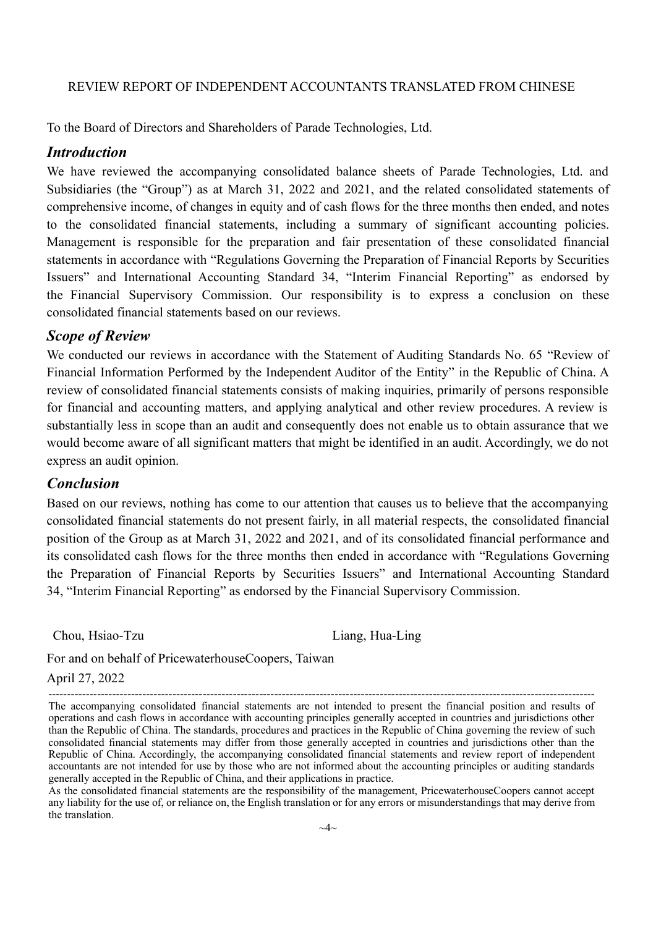#### REVIEW REPORT OF INDEPENDENT ACCOUNTANTS TRANSLATED FROM CHINESE

To the Board of Directors and Shareholders of Parade Technologies, Ltd.

#### *Introduction*

We have reviewed the accompanying consolidated balance sheets of Parade Technologies, Ltd. and Subsidiaries (the "Group") as at March 31, 2022 and 2021, and the related consolidated statements of comprehensive income, of changes in equity and of cash flows for the three months then ended, and notes to the consolidated financial statements, including a summary of significant accounting policies. Management is responsible for the preparation and fair presentation of these consolidated financial statements in accordance with "Regulations Governing the Preparation of Financial Reports by Securities Issuers" and International Accounting Standard 34, "Interim Financial Reporting" as endorsed by the Financial Supervisory Commission. Our responsibility is to express a conclusion on these consolidated financial statements based on our reviews.

#### *Scope of Review*

We conducted our reviews in accordance with the Statement of Auditing Standards No. 65 "Review of Financial Information Performed by the Independent Auditor of the Entity" in the Republic of China. A review of consolidated financial statements consists of making inquiries, primarily of persons responsible for financial and accounting matters, and applying analytical and other review procedures. A review is substantially less in scope than an audit and consequently does not enable us to obtain assurance that we would become aware of all significant matters that might be identified in an audit. Accordingly, we do not express an audit opinion.

#### *Conclusion*

Based on our reviews, nothing has come to our attention that causes us to believe that the accompanying consolidated financial statements do not present fairly, in all material respects, the consolidated financial position of the Group as at March 31, 2022 and 2021, and of its consolidated financial performance and its consolidated cash flows for the three months then ended in accordance with "Regulations Governing the Preparation of Financial Reports by Securities Issuers" and International Accounting Standard 34, "Interim Financial Reporting" as endorsed by the Financial Supervisory Commission.

Chou, Hsiao-Tzu

Liang, Hua-Ling

For and on behalf of PricewaterhouseCoopers, Taiwan

#### April 27, 2022

------------------------------------------------------------------------------------------------------------------------------------------------- The accompanying consolidated financial statements are not intended to present the financial position and results of operations and cash flows in accordance with accounting principles generally accepted in countries and jurisdictions other than the Republic of China. The standards, procedures and practices in the Republic of China governing the review of such consolidated financial statements may differ from those generally accepted in countries and jurisdictions other than the Republic of China. Accordingly, the accompanying consolidated financial statements and review report of independent accountants are not intended for use by those who are not informed about the accounting principles or auditing standards generally accepted in the Republic of China, and their applications in practice.

As the consolidated financial statements are the responsibility of the management, PricewaterhouseCoopers cannot accept any liability for the use of, or reliance on, the English translation or for any errors or misunderstandings that may derive from the translation.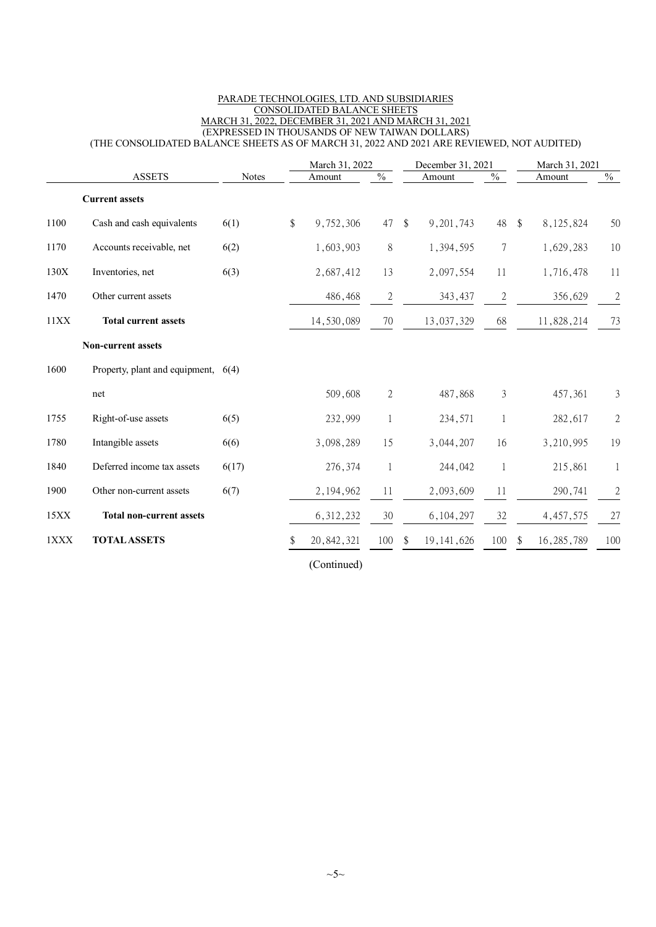#### PARADE TECHNOLOGIES, LTD. AND SUBSIDIARIES CONSOLIDATED BALANCE SHEETS MARCH 31, 2022, DECEMBER 31, 2021 AND MARCH 31, 2021 (EXPRESSED IN THOUSANDS OF NEW TAIWAN DOLLARS) (THE CONSOLIDATED BALANCE SHEETS AS OF MARCH 31, 2022 AND 2021 ARE REVIEWED, NOT AUDITED)

|      | <b>ASSETS</b>                   | Notes | March 31, 2022<br>Amount |             | $\%$         |               | December 31, 2021<br>Amount | $\%$           |         | March 31, 2021<br>Amount | $\%$             |
|------|---------------------------------|-------|--------------------------|-------------|--------------|---------------|-----------------------------|----------------|---------|--------------------------|------------------|
|      | <b>Current assets</b>           |       |                          |             |              |               |                             |                |         |                          |                  |
| 1100 | Cash and cash equivalents       | 6(1)  | \$                       | 9,752,306   | 47           | $\mathcal{S}$ | 9,201,743                   | 48             | $\sqrt$ | 8,125,824                | 50               |
| 1170 | Accounts receivable, net        | 6(2)  |                          | 1,603,903   | $8\,$        |               | 1,394,595                   | 7              |         | 1,629,283                | 10               |
| 130X | Inventories, net                | 6(3)  |                          | 2,687,412   | 13           |               | 2,097,554                   | 11             |         | 1,716,478                | 11               |
| 1470 | Other current assets            |       |                          | 486,468     | $\mathbf{2}$ |               | 343,437                     | $\overline{c}$ |         | 356,629                  | $\boldsymbol{2}$ |
| 11XX | <b>Total current assets</b>     |       |                          | 14,530,089  | 70           |               | 13,037,329                  | 68             |         | 11,828,214               | 73               |
|      | <b>Non-current assets</b>       |       |                          |             |              |               |                             |                |         |                          |                  |
| 1600 | Property, plant and equipment,  | 6(4)  |                          |             |              |               |                             |                |         |                          |                  |
|      | net                             |       |                          | 509,608     | $\mathbf{2}$ |               | 487,868                     | $\mathfrak{Z}$ |         | 457,361                  | $\mathfrak{Z}$   |
| 1755 | Right-of-use assets             | 6(5)  |                          | 232,999     | 1            |               | 234,571                     | 1              |         | 282,617                  | $\sqrt{2}$       |
| 1780 | Intangible assets               | 6(6)  |                          | 3,098,289   | 15           |               | 3,044,207                   | 16             |         | 3,210,995                | 19               |
| 1840 | Deferred income tax assets      | 6(17) |                          | 276,374     | $\mathbf{1}$ |               | 244,042                     | 1              |         | 215,861                  | $\mathbf{1}$     |
| 1900 | Other non-current assets        | 6(7)  |                          | 2, 194, 962 | 11           |               | 2,093,609                   | 11             |         | 290,741                  | $\mathbf{2}$     |
| 15XX | <b>Total non-current assets</b> |       |                          | 6, 312, 232 | 30           |               | 6, 104, 297                 | 32             |         | 4,457,575                | 27               |
| 1XXX | <b>TOTAL ASSETS</b>             |       |                          | 20,842,321  | 100          | <sup>\$</sup> | 19, 141, 626                | 100            | -S      | 16, 285, 789             | 100              |
|      |                                 |       |                          |             |              |               |                             |                |         |                          |                  |

(Continued)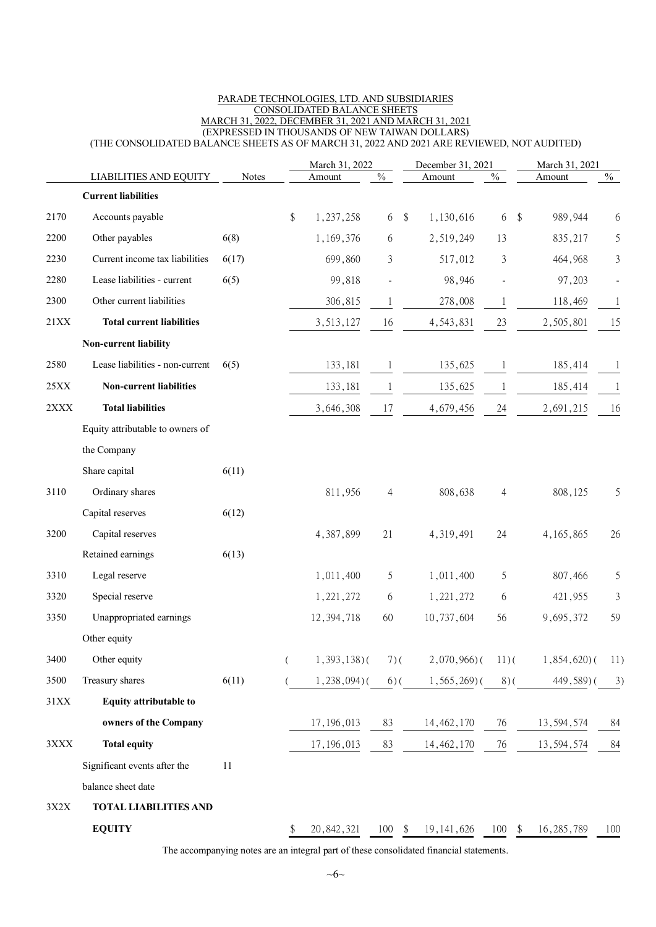#### PARADE TECHNOLOGIES, LTD. AND SUBSIDIARIES CONSOLIDATED BALANCE SHEETS MARCH 31, 2022, DECEMBER 31, 2021 AND MARCH 31, 2021 (EXPRESSED IN THOUSANDS OF NEW TAIWAN DOLLARS) (THE CONSOLIDATED BALANCE SHEETS AS OF MARCH 31, 2022 AND 2021 ARE REVIEWED, NOT AUDITED)

|                 |                                  |       |          | March 31, 2022 |                | December 31, 2021  |                | March 31, 2021                        |                |
|-----------------|----------------------------------|-------|----------|----------------|----------------|--------------------|----------------|---------------------------------------|----------------|
|                 | <b>LIABILITIES AND EQUITY</b>    | Notes |          | Amount         | $\%$           | Amount             | $\%$           | Amount                                | $\%$           |
|                 | <b>Current liabilities</b>       |       |          |                |                |                    |                |                                       |                |
| 2170            | Accounts payable                 |       | \$       | 1,237,258      | 6              | 1,130,616<br>\$    | 6              | 989,944<br>$\boldsymbol{\mathsf{\$}}$ | 6              |
| 2200            | Other payables                   | 6(8)  |          | 1,169,376      | 6              | 2,519,249          | 13             | 835,217                               | 5              |
| 2230            | Current income tax liabilities   | 6(17) |          | 699,860        | 3              | 517,012            | 3              | 464,968                               | 3              |
| 2280            | Lease liabilities - current      | 6(5)  |          | 99,818         | $\overline{a}$ | 98,946             |                | 97,203                                |                |
| 2300            | Other current liabilities        |       |          | 306,815        | -1             | 278,008            | 1              | 118,469                               | $\mathbf{1}$   |
| 21XX            | <b>Total current liabilities</b> |       |          | 3,513,127      | 16             | 4,543,831          | 23             | 2,505,801                             | 15             |
|                 | Non-current liability            |       |          |                |                |                    |                |                                       |                |
| 2580            | Lease liabilities - non-current  | 6(5)  |          | 133,181        | 1              | 135,625            | -1             | 185,414                               | -1             |
| 25XX            | <b>Non-current liabilities</b>   |       |          | 133,181        | -1             | 135,625            | $\mathbf{1}$   | 185,414                               | 1              |
| 2XXX            | <b>Total liabilities</b>         |       |          | 3,646,308      | 17             | 4,679,456          | 24             | 2,691,215                             | 16             |
|                 | Equity attributable to owners of |       |          |                |                |                    |                |                                       |                |
|                 | the Company                      |       |          |                |                |                    |                |                                       |                |
|                 | Share capital                    | 6(11) |          |                |                |                    |                |                                       |                |
| 3110            | Ordinary shares                  |       |          | 811,956        | 4              | 808,638            | $\overline{4}$ | 808,125                               | 5              |
|                 | Capital reserves                 | 6(12) |          |                |                |                    |                |                                       |                |
| 3200            | Capital reserves                 |       |          | 4,387,899      | 21             | 4,319,491          | 24             | 4,165,865                             | $26\,$         |
|                 | Retained earnings                | 6(13) |          |                |                |                    |                |                                       |                |
| 3310            | Legal reserve                    |       |          | 1,011,400      | 5              | 1,011,400          | 5              | 807,466                               | 5              |
| 3320            | Special reserve                  |       |          | 1,221,272      | 6              | 1,221,272          | 6              | 421,955                               | $\mathfrak{Z}$ |
| 3350            | Unappropriated earnings          |       |          | 12, 394, 718   | 60             | 10,737,604         | 56             | 9,695,372                             | 59             |
|                 | Other equity                     |       |          |                |                |                    |                |                                       |                |
| 3400            | Other equity                     |       | $\left($ | $1,393,138$ (  | $7)$ (         | $2,070,966$ )(     | $11)$ (        | $1,854,620$ $($                       | 11)            |
| 3500            | Treasury shares                  | 6(11) |          | $1,238,094$ (  | $6)$ (         | $1,565,269$ (      | 8 <sup>0</sup> | 449,589)(                             | 3)             |
| 31XX            | Equity attributable to           |       |          |                |                |                    |                |                                       |                |
|                 | owners of the Company            |       |          | 17, 196, 013   | 83             | 14, 462, 170       | 76             | 13,594,574                            | 84             |
| $3\mathbf{XXX}$ | <b>Total equity</b>              |       |          | 17, 196, 013   | 83             | 14, 462, 170       | 76             | 13,594,574                            | 84             |
|                 | Significant events after the     | 11    |          |                |                |                    |                |                                       |                |
|                 | balance sheet date               |       |          |                |                |                    |                |                                       |                |
| 3X2X            | <b>TOTAL LIABILITIES AND</b>     |       |          |                |                |                    |                |                                       |                |
|                 | <b>EQUITY</b>                    |       | \$       | 20, 842, 321   | 100            | 19, 141, 626<br>\$ | 100            | 16, 285, 789<br>\$                    | 100            |
|                 |                                  |       |          |                |                |                    |                |                                       |                |

The accompanying notes are an integral part of these consolidated financial statements.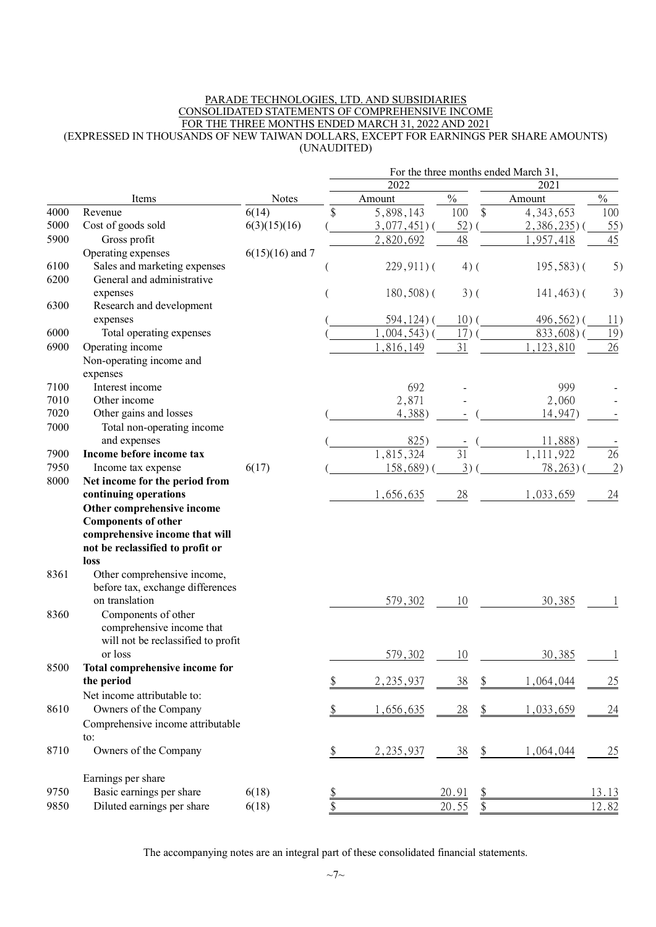#### PARADE TECHNOLOGIES, LTD. AND SUBSIDIARIES CONSOLIDATED STATEMENTS OF COMPREHENSIVE INCOME FOR THE THREE MONTHS ENDED MARCH 31, 2022 AND 2021 (EXPRESSED IN THOUSANDS OF NEW TAIWAN DOLLARS, EXCEPT FOR EARNINGS PER SHARE AMOUNTS) (UNAUDITED)

|      |                                    |                   |           |                   |               |      | For the three months ended March 31, |               |  |  |
|------|------------------------------------|-------------------|-----------|-------------------|---------------|------|--------------------------------------|---------------|--|--|
|      |                                    |                   |           | 2022              |               | 2021 |                                      |               |  |  |
|      | Items                              | <b>Notes</b>      |           | Amount            | $\frac{0}{0}$ |      | Amount                               | $\frac{0}{0}$ |  |  |
| 4000 | Revenue                            | 6(14)             | \$        | 5,898,143         | 100           | \$   | 4, 343, 653                          | 100           |  |  |
| 5000 | Cost of goods sold                 | 6(3)(15)(16)      |           | $3,077,451$ ) $($ | 52)           |      | 2,386,235                            | 55)           |  |  |
| 5900 | Gross profit                       |                   |           | 2,820,692         | 48            |      | ,957,418                             | 45            |  |  |
|      | Operating expenses                 | $6(15)(16)$ and 7 |           |                   |               |      |                                      |               |  |  |
| 6100 | Sales and marketing expenses       |                   |           | $229,911$ ) (     | $4)$ (        |      | $195,583$ )(                         | 5)            |  |  |
| 6200 | General and administrative         |                   |           |                   |               |      |                                      |               |  |  |
|      | expenses                           |                   |           | $180, 508$ ) (    | $3)$ (        |      | $141,463$ ) (                        | 3)            |  |  |
| 6300 | Research and development           |                   |           |                   |               |      |                                      |               |  |  |
|      | expenses                           |                   |           | 594, 124)         | 10)           |      | 496,562)                             | 11)           |  |  |
| 6000 | Total operating expenses           |                   |           | ,004,543)         | 17)           |      | 833,608                              | (19)          |  |  |
| 6900 | Operating income                   |                   |           | 1,816,149         | 31            |      | ,123,810                             | 26            |  |  |
|      | Non-operating income and           |                   |           |                   |               |      |                                      |               |  |  |
|      | expenses                           |                   |           |                   |               |      |                                      |               |  |  |
| 7100 | Interest income                    |                   |           | 692               |               |      | 999                                  |               |  |  |
| 7010 | Other income                       |                   |           | 2,871             |               |      | 2,060                                |               |  |  |
| 7020 | Other gains and losses             |                   |           | 4,388)            |               |      | 14,947)                              |               |  |  |
| 7000 | Total non-operating income         |                   |           |                   |               |      |                                      |               |  |  |
|      | and expenses                       |                   |           | 825)              |               |      | 11,888)                              |               |  |  |
| 7900 | Income before income tax           |                   |           | 1,815,324         | 31            |      | 1,111,922                            | 26            |  |  |
| 7950 | Income tax expense                 | 6(17)             |           | 158,689)          | 3)            |      | 78, 263)                             | 2)            |  |  |
| 8000 | Net income for the period from     |                   |           |                   |               |      |                                      |               |  |  |
|      | continuing operations              |                   |           | 1,656,635         | 28            |      | 1,033,659                            | 24            |  |  |
|      | Other comprehensive income         |                   |           |                   |               |      |                                      |               |  |  |
|      | <b>Components of other</b>         |                   |           |                   |               |      |                                      |               |  |  |
|      | comprehensive income that will     |                   |           |                   |               |      |                                      |               |  |  |
|      | not be reclassified to profit or   |                   |           |                   |               |      |                                      |               |  |  |
|      | loss                               |                   |           |                   |               |      |                                      |               |  |  |
| 8361 | Other comprehensive income,        |                   |           |                   |               |      |                                      |               |  |  |
|      | before tax, exchange differences   |                   |           |                   |               |      |                                      |               |  |  |
|      | on translation                     |                   |           | 579,302           | 10            |      | 30,385                               |               |  |  |
| 8360 | Components of other                |                   |           |                   |               |      |                                      |               |  |  |
|      | comprehensive income that          |                   |           |                   |               |      |                                      |               |  |  |
|      | will not be reclassified to profit |                   |           |                   |               |      |                                      |               |  |  |
|      | or loss                            |                   |           | 579,302           | 10            |      | 30,385                               |               |  |  |
| 8500 | Total comprehensive income for     |                   |           |                   |               |      |                                      |               |  |  |
|      | the period                         |                   |           | 2,235,937         | 38            |      | 1,064,044                            | 25            |  |  |
|      | Net income attributable to:        |                   |           |                   |               |      |                                      |               |  |  |
| 8610 | Owners of the Company              |                   | \$        | 1,656,635         | 28            | \$   | 1,033,659                            | 24            |  |  |
|      | Comprehensive income attributable  |                   |           |                   |               |      |                                      |               |  |  |
|      | to:                                |                   |           |                   |               |      |                                      |               |  |  |
| 8710 | Owners of the Company              |                   | \$        | 2, 235, 937       | 38            | \$   | 1,064,044                            | 25            |  |  |
|      | Earnings per share                 |                   |           |                   |               |      |                                      |               |  |  |
| 9750 | Basic earnings per share           | 6(18)             | <u>\$</u> |                   | 20.91         |      |                                      | 13.13         |  |  |
| 9850 | Diluted earnings per share         | 6(18)             | \$        |                   | 20.55         | \$   |                                      | 12.82         |  |  |
|      |                                    |                   |           |                   |               |      |                                      |               |  |  |

The accompanying notes are an integral part of these consolidated financial statements.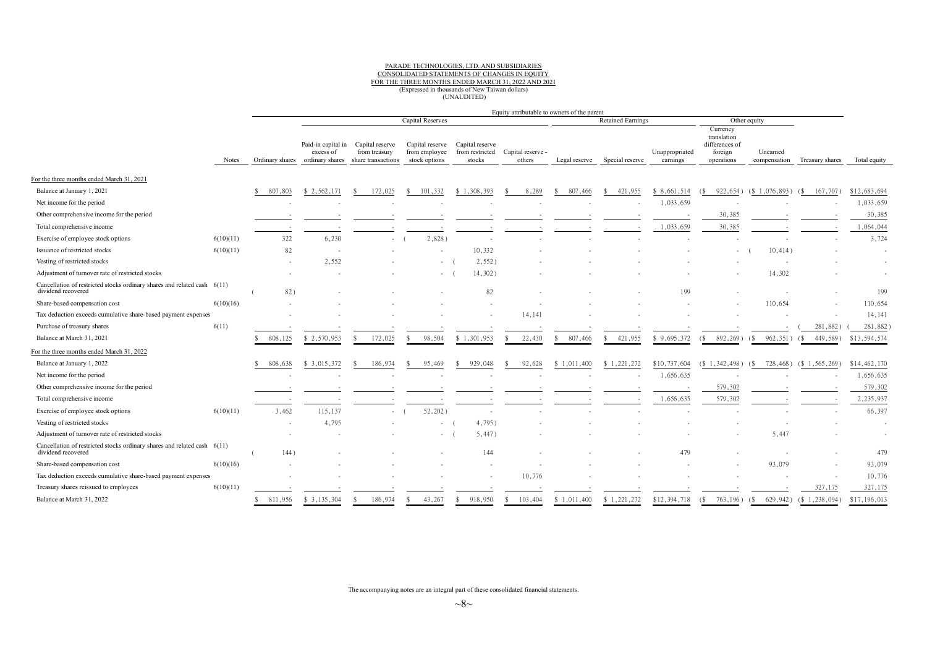# PARADE TECHNOLOGIES, LTD. AND SUBSIDIARIES<br>
CONSOLIDATED STATEMENTS OF CHANGES IN EQUITY<br>
FOR THE THREE MONTHS ENDED MARCH 31, 2022 AND 2021<br>
(Expressed in thousands of New Taiwan dollars)<br>
(UNAUDITED)

|                                                                                                |           | Equity attributable to owners of the parent |         |                                                                    |                                                        |                                                   |                           |                                             |               |                               |                            |                                                                    |                          |                   |              |
|------------------------------------------------------------------------------------------------|-----------|---------------------------------------------|---------|--------------------------------------------------------------------|--------------------------------------------------------|---------------------------------------------------|---------------------------|---------------------------------------------|---------------|-------------------------------|----------------------------|--------------------------------------------------------------------|--------------------------|-------------------|--------------|
|                                                                                                |           | Notes                                       |         |                                                                    |                                                        | Capital Reserves                                  |                           |                                             |               | <b>Retained Earnings</b>      |                            |                                                                    | Other equity             |                   |              |
|                                                                                                |           |                                             |         | Paid-in capital in<br>excess of<br>Ordinary shares ordinary shares | Capital reserve<br>from treasury<br>share transactions | Capital reserve<br>from employee<br>stock options | Capital reserve<br>stocks | from restricted Capital reserve -<br>others |               | Legal reserve Special reserve | Unappropriated<br>earnings | Currency<br>translation<br>differences of<br>foreign<br>operations | Unearned<br>compensation | Treasury shares   | Total equity |
| For the three months ended March 31, 2021                                                      |           |                                             |         |                                                                    |                                                        |                                                   |                           |                                             |               |                               |                            |                                                                    |                          |                   |              |
| Balance at January 1, 2021                                                                     |           |                                             | 807,803 | \$2,562,171                                                        | 172,025                                                | 101,332<br>-S                                     | \$1,308,393               | 8,289                                       | 807,466<br>-S | 421,955<br>-S                 | 8,661,514                  | 922,654                                                            | $(\$1,076,893)$          | 167,707)<br>(S    | \$12,683,694 |
| Net income for the period                                                                      |           |                                             |         |                                                                    |                                                        |                                                   |                           |                                             |               |                               | 1,033,659                  |                                                                    |                          |                   | 1,033,659    |
| Other comprehensive income for the period                                                      |           |                                             |         |                                                                    |                                                        |                                                   |                           |                                             |               |                               |                            | 30,385                                                             |                          |                   | 30,385       |
| Total comprehensive income                                                                     |           |                                             |         |                                                                    |                                                        |                                                   |                           |                                             |               |                               | 1,033,659                  | 30,385                                                             |                          |                   | 1,064,044    |
| Exercise of employee stock options                                                             | 6(10)(11) |                                             | 322     | 6,230                                                              |                                                        | 2,828)                                            |                           |                                             |               |                               |                            |                                                                    |                          |                   | 3,724        |
| Issuance of restricted stocks                                                                  | 6(10)(11) |                                             | 82      |                                                                    |                                                        |                                                   | 10,332                    |                                             |               |                               |                            |                                                                    | 10.414)                  |                   |              |
| Vesting of restricted stocks                                                                   |           |                                             | $\sim$  | 2,552                                                              |                                                        |                                                   | 2,552)                    |                                             |               |                               |                            |                                                                    |                          |                   |              |
| Adjustment of turnover rate of restricted stocks                                               |           |                                             |         |                                                                    |                                                        |                                                   | 14,302)                   |                                             |               |                               |                            |                                                                    | 14,302                   |                   |              |
| Cancellation of restricted stocks ordinary shares and related cash 6(11)<br>dividend recovered |           |                                             | 82)     |                                                                    |                                                        |                                                   | 82                        |                                             |               |                               | 199                        |                                                                    |                          |                   | 199          |
| Share-based compensation cost                                                                  | 6(10)(16) |                                             |         |                                                                    |                                                        |                                                   |                           |                                             |               |                               |                            |                                                                    | 110,654                  |                   | 110,654      |
| Tax deduction exceeds cumulative share-based payment expenses                                  |           |                                             |         |                                                                    |                                                        |                                                   |                           | 14.141                                      |               |                               |                            |                                                                    |                          |                   | 14,141       |
| Purchase of treasury shares                                                                    | 6(11)     |                                             |         |                                                                    |                                                        |                                                   |                           |                                             |               |                               |                            |                                                                    |                          | 281,882           | 281,882      |
| Balance at March 31, 2021                                                                      |           |                                             | 808,125 | \$2,570,953                                                        | 172,025                                                | 98,504                                            | \$1,301,953               | 22,430                                      | 807,466<br>-S | 421,955<br>£.                 | \$9,695,372                | 892,269                                                            | 962, 351)<br>(S          | (S<br>449,589)    | \$13,594,574 |
| For the three months ended March 31, 2022                                                      |           |                                             |         |                                                                    |                                                        |                                                   |                           |                                             |               |                               |                            |                                                                    |                          |                   |              |
| Balance at January 1, 2022                                                                     |           |                                             | 808,638 | \$3,015,372                                                        | 186,974                                                | 95,469                                            | 929,048                   | 92,628                                      | \$1,011,400   | \$1,221,272                   | \$10,737,604               | $(\$ 1,342,498)$                                                   | 728,468                  | $(\$ 1,565,269$   | \$14,462,170 |
| Net income for the period                                                                      |           |                                             |         |                                                                    |                                                        |                                                   |                           |                                             |               |                               | 1,656,635                  |                                                                    |                          |                   | 1,656,635    |
| Other comprehensive income for the period                                                      |           |                                             |         |                                                                    |                                                        |                                                   |                           |                                             |               |                               |                            | 579,302                                                            |                          |                   | 579,302      |
| Total comprehensive income                                                                     |           |                                             |         |                                                                    |                                                        |                                                   |                           |                                             |               |                               | 1,656,635                  | 579,302                                                            |                          |                   | 2,235,937    |
| Exercise of employee stock options                                                             | 6(10)(11) |                                             | 3,462   | 115,137                                                            |                                                        | 52,202)                                           |                           |                                             |               |                               |                            |                                                                    |                          |                   | 66,397       |
| Vesting of restricted stocks                                                                   |           |                                             |         | 4,795                                                              |                                                        |                                                   | 4,795)                    |                                             |               |                               |                            |                                                                    |                          |                   |              |
| Adjustment of turnover rate of restricted stocks                                               |           |                                             |         |                                                                    |                                                        |                                                   | 5,447)                    |                                             |               |                               |                            |                                                                    | 5,447                    |                   |              |
| Cancellation of restricted stocks ordinary shares and related cash 6(11)<br>dividend recovered |           |                                             | 144)    |                                                                    |                                                        |                                                   | 144                       |                                             |               |                               | 479                        |                                                                    |                          |                   | 479          |
| Share-based compensation cost                                                                  | 6(10)(16) |                                             |         |                                                                    |                                                        |                                                   |                           |                                             |               |                               |                            |                                                                    | 93,079                   |                   | 93,079       |
| Tax deduction exceeds cumulative share-based payment expenses                                  |           |                                             |         |                                                                    |                                                        |                                                   |                           | 10,776                                      |               |                               |                            |                                                                    |                          |                   | 10,776       |
| Treasury shares reissued to employees                                                          | 6(10)(11) |                                             |         |                                                                    |                                                        |                                                   |                           |                                             |               |                               |                            |                                                                    |                          | 327,175           | 327,175      |
| Balance at March 31, 2022                                                                      |           | ፍ                                           | 811,956 | \$3,135,304                                                        | 186,974                                                | 43,267                                            | 918,950<br>-\$            | 103,404<br>-\$                              | \$1,011,400   | \$1,221,272                   | \$12,394,718               | 763,196)<br>(                                                      | 629,942)<br>(            | $(* 1, 238, 094)$ | \$17,196,013 |

The accompanying notes are an integral part of these consolidated financial statements.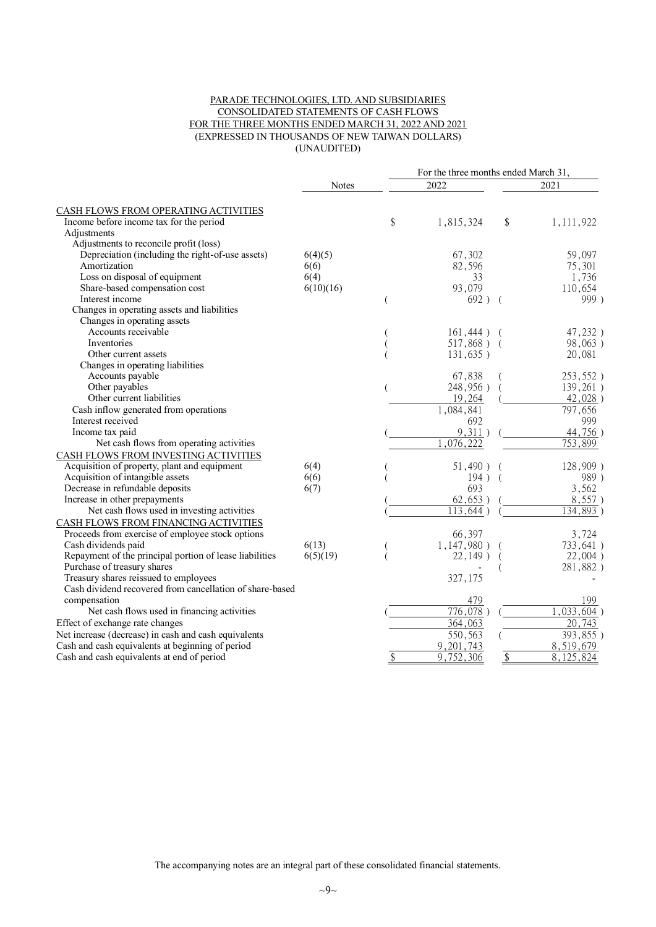#### PARADE TECHNOLOGIES, LTD. AND SUBSIDIARIES CONSOLIDATED STATEMENTS OF CASH FLOWS FOR THE THREE MONTHS ENDED MARCH 31, 2022 AND 2021 (EXPRESSED IN THOUSANDS OF NEW TAIWAN DOLLARS) (UNAUDITED)

|                                                                      |           | For the three months ended March 31, |                |                      |  |  |  |
|----------------------------------------------------------------------|-----------|--------------------------------------|----------------|----------------------|--|--|--|
|                                                                      | Notes     | 2022                                 |                | 2021                 |  |  |  |
| CASH FLOWS FROM OPERATING ACTIVITIES                                 |           |                                      |                |                      |  |  |  |
| Income before income tax for the period                              |           | \$<br>1,815,324                      | \$             | 1,111,922            |  |  |  |
| Adjustments                                                          |           |                                      |                |                      |  |  |  |
| Adjustments to reconcile profit (loss)                               |           |                                      |                |                      |  |  |  |
| Depreciation (including the right-of-use assets)                     | 6(4)(5)   | 67,302                               |                | 59,097               |  |  |  |
| Amortization                                                         | 6(6)      | 82,596                               |                | 75,301               |  |  |  |
| Loss on disposal of equipment                                        | 6(4)      | 33                                   |                | 1,736                |  |  |  |
| Share-based compensation cost                                        | 6(10)(16) | 93,079                               |                | 110,654              |  |  |  |
| Interest income                                                      |           | 692)                                 | $\overline{ }$ | 999)                 |  |  |  |
| Changes in operating assets and liabilities                          |           |                                      |                |                      |  |  |  |
| Changes in operating assets                                          |           |                                      |                |                      |  |  |  |
| Accounts receivable                                                  |           | 161,444)                             |                | 47,232)              |  |  |  |
| Inventories                                                          |           | $517,868$ )                          | $\left($       | 98,063)              |  |  |  |
| Other current assets                                                 |           | 131,635)                             |                | 20,081               |  |  |  |
| Changes in operating liabilities                                     |           |                                      |                |                      |  |  |  |
| Accounts payable                                                     |           | 67,838                               |                | 253,552)             |  |  |  |
| Other payables                                                       |           | 248,956)                             |                | 139,261)             |  |  |  |
| Other current liabilities                                            |           | 19,264                               |                | 42,028)              |  |  |  |
| Cash inflow generated from operations                                |           | 1,084,841                            |                | $\overline{79}7,656$ |  |  |  |
| Interest received                                                    |           | 692                                  |                | 999                  |  |  |  |
| Income tax paid                                                      |           | 9,311)                               |                | 44,756)              |  |  |  |
| Net cash flows from operating activities                             |           | 076,222                              |                | $\overline{753,899}$ |  |  |  |
| CASH FLOWS FROM INVESTING ACTIVITIES                                 |           |                                      |                |                      |  |  |  |
| Acquisition of property, plant and equipment                         | 6(4)      | 51,490)                              |                | 128,909)             |  |  |  |
| Acquisition of intangible assets                                     | 6(6)      | 194)                                 | - (            | 989)                 |  |  |  |
| Decrease in refundable deposits                                      | 6(7)      | 693                                  |                | 3,562                |  |  |  |
| Increase in other prepayments                                        |           | 62,653)                              |                | 8,557)               |  |  |  |
| Net cash flows used in investing activities                          |           | 113,644)                             |                | 134,893)             |  |  |  |
| CASH FLOWS FROM FINANCING ACTIVITIES                                 |           |                                      |                |                      |  |  |  |
| Proceeds from exercise of employee stock options                     |           | 66,397                               |                | 3,724                |  |  |  |
| Cash dividends paid                                                  | 6(13)     | 1,147,980)                           |                | 733,641)             |  |  |  |
| Repayment of the principal portion of lease liabilities              | 6(5)(19)  | 22,149)                              |                | 22,004)              |  |  |  |
| Purchase of treasury shares<br>Treasury shares reissued to employees |           |                                      |                | 281,882)             |  |  |  |
| Cash dividend recovered from cancellation of share-based             |           | 327,175                              |                |                      |  |  |  |
| compensation                                                         |           | 479                                  |                | 199                  |  |  |  |
| Net cash flows used in financing activities                          |           | 776,078)                             |                | ,033,604)            |  |  |  |
| Effect of exchange rate changes                                      |           | 364,063                              |                | 20,743               |  |  |  |
| Net increase (decrease) in cash and cash equivalents                 |           | 550,563                              |                | $393,855$ )          |  |  |  |
| Cash and cash equivalents at beginning of period                     |           | 9,201,743                            |                | 8,519,679            |  |  |  |
| Cash and cash equivalents at end of period                           |           | 9,752,306                            |                | 8,125,824            |  |  |  |
|                                                                      |           | \$                                   | \$             |                      |  |  |  |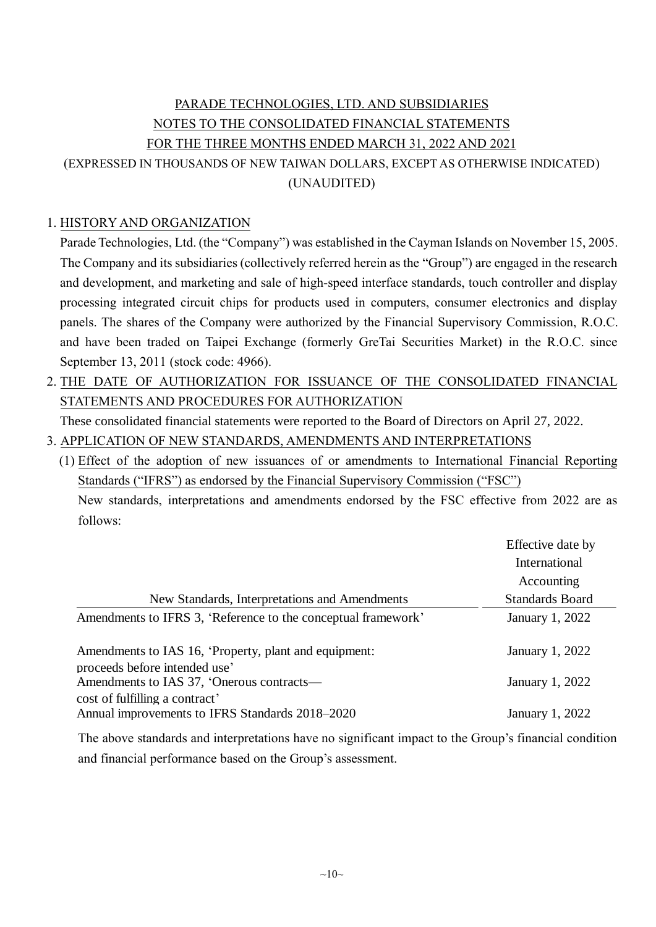## PARADE TECHNOLOGIES, LTD. AND SUBSIDIARIES NOTES TO THE CONSOLIDATED FINANCIAL STATEMENTS FOR THE THREE MONTHS ENDED MARCH 31, 2022 AND 2021

## (EXPRESSED IN THOUSANDS OF NEW TAIWAN DOLLARS, EXCEPT AS OTHERWISE INDICATED) (UNAUDITED)

## 1. HISTORY AND ORGANIZATION

Parade Technologies, Ltd. (the "Company") was established in the Cayman Islands on November 15, 2005. The Company and its subsidiaries (collectively referred herein as the "Group") are engaged in the research and development, and marketing and sale of high-speed interface standards, touch controller and display processing integrated circuit chips for products used in computers, consumer electronics and display panels. The shares of the Company were authorized by the Financial Supervisory Commission, R.O.C. and have been traded on Taipei Exchange (formerly GreTai Securities Market) in the R.O.C. since September 13, 2011 (stock code: 4966).

2. THE DATE OF AUTHORIZATION FOR ISSUANCE OF THE CONSOLIDATED FINANCIAL STATEMENTS AND PROCEDURES FOR AUTHORIZATION

These consolidated financial statements were reported to the Board of Directors on April 27, 2022.

- 3. APPLICATION OF NEW STANDARDS, AMENDMENTS AND INTERPRETATIONS
	- (1) Effect of the adoption of new issuances of or amendments to International Financial Reporting Standards ("IFRS") as endorsed by the Financial Supervisory Commission ("FSC") New standards, interpretations and amendments endorsed by the FSC effective from 2022 are as follows:

|                                                                                   | Effective date by      |
|-----------------------------------------------------------------------------------|------------------------|
|                                                                                   | International          |
|                                                                                   | Accounting             |
| New Standards, Interpretations and Amendments                                     | <b>Standards Board</b> |
| Amendments to IFRS 3, 'Reference to the conceptual framework'                     | January 1, 2022        |
| Amendments to IAS 16, 'Property, plant and equipment:                             | January 1, 2022        |
| proceeds before intended use'<br>Amendments to IAS 37, 'Onerous contracts—        | January 1, 2022        |
| cost of fulfilling a contract'<br>Annual improvements to IFRS Standards 2018-2020 | January 1, 2022        |

The above standards and interpretations have no significant impact to the Group's financial condition and financial performance based on the Group's assessment.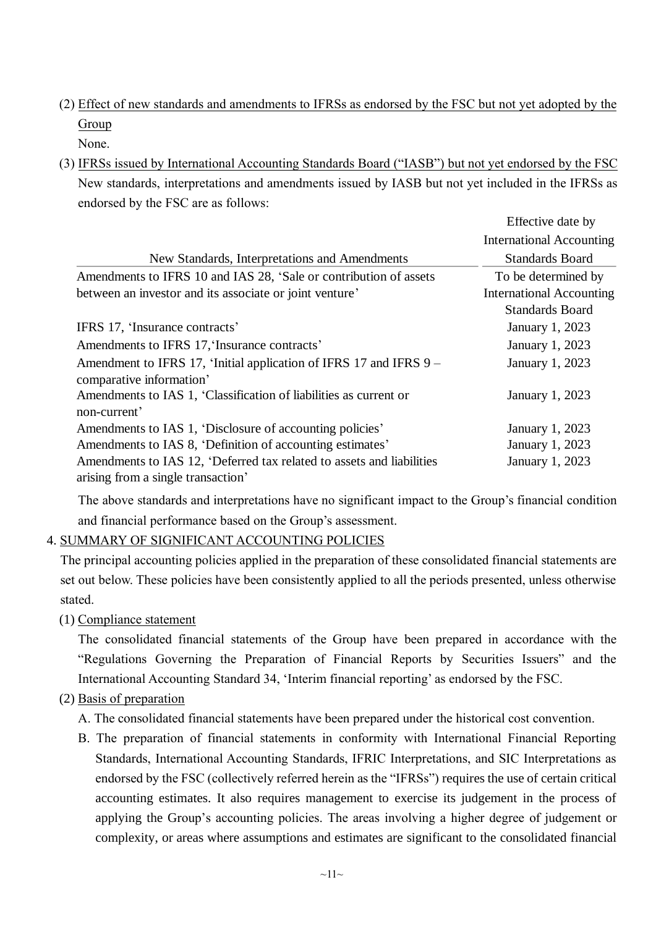(2) Effect of new standards and amendments to IFRSs as endorsed by the FSC but not yet adopted by the Group

None.

(3) IFRSs issued by International Accounting Standards Board ("IASB") but not yet endorsed by the FSC New standards, interpretations and amendments issued by IASB but not yet included in the IFRSs as endorsed by the FSC are as follows:

|                                                                                                             | Effective date by               |
|-------------------------------------------------------------------------------------------------------------|---------------------------------|
|                                                                                                             | <b>International Accounting</b> |
| New Standards, Interpretations and Amendments                                                               | <b>Standards Board</b>          |
| Amendments to IFRS 10 and IAS 28, 'Sale or contribution of assets                                           | To be determined by             |
| between an investor and its associate or joint venture'                                                     | <b>International Accounting</b> |
|                                                                                                             | <b>Standards Board</b>          |
| IFRS 17, 'Insurance contracts'                                                                              | January 1, 2023                 |
| Amendments to IFRS 17, Insurance contracts'                                                                 | January 1, 2023                 |
| Amendment to IFRS 17, 'Initial application of IFRS 17 and IFRS 9 –<br>comparative information'              | January 1, 2023                 |
| Amendments to IAS 1, 'Classification of liabilities as current or<br>non-current'                           | January 1, 2023                 |
| Amendments to IAS 1, 'Disclosure of accounting policies'                                                    | January 1, 2023                 |
| Amendments to IAS 8, 'Definition of accounting estimates'                                                   | January 1, 2023                 |
| Amendments to IAS 12, 'Deferred tax related to assets and liabilities<br>arising from a single transaction' | January 1, 2023                 |

The above standards and interpretations have no significant impact to the Group's financial condition and financial performance based on the Group's assessment.

## 4. SUMMARY OF SIGNIFICANT ACCOUNTING POLICIES

The principal accounting policies applied in the preparation of these consolidated financial statements are set out below. These policies have been consistently applied to all the periods presented, unless otherwise stated.

(1) Compliance statement

The consolidated financial statements of the Group have been prepared in accordance with the "Regulations Governing the Preparation of Financial Reports by Securities Issuers" and the International Accounting Standard 34, 'Interim financial reporting' as endorsed by the FSC.

(2) Basis of preparation

A. The consolidated financial statements have been prepared under the historical cost convention.

B. The preparation of financial statements in conformity with International Financial Reporting Standards, International Accounting Standards, IFRIC Interpretations, and SIC Interpretations as endorsed by the FSC (collectively referred herein as the "IFRSs") requires the use of certain critical accounting estimates. It also requires management to exercise its judgement in the process of applying the Group's accounting policies. The areas involving a higher degree of judgement or complexity, or areas where assumptions and estimates are significant to the consolidated financial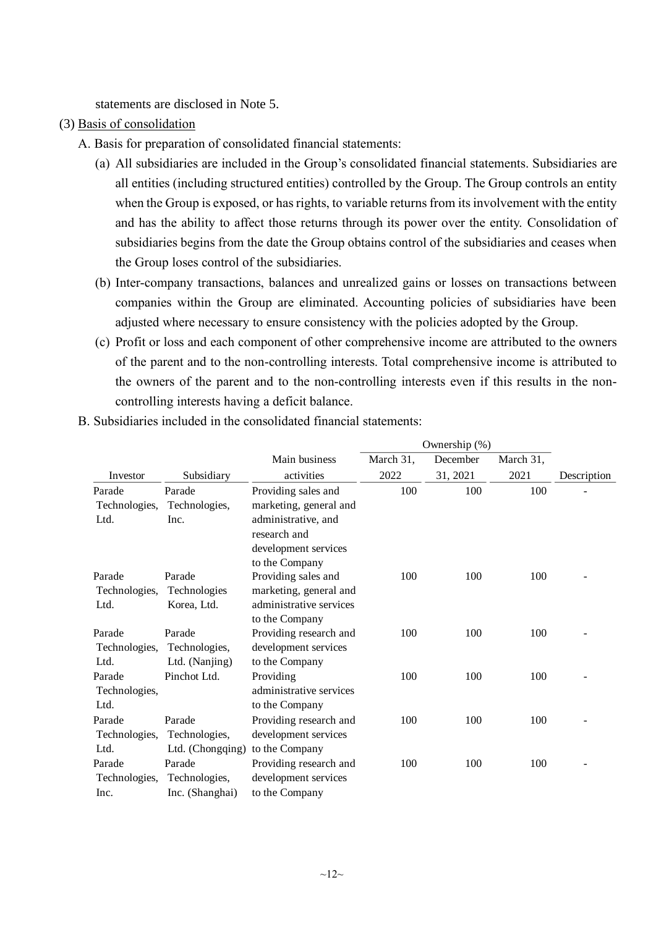statements are disclosed in Note 5.

- (3) Basis of consolidation
	- A. Basis for preparation of consolidated financial statements:
		- (a) All subsidiaries are included in the Group's consolidated financial statements. Subsidiaries are all entities (including structured entities) controlled by the Group. The Group controls an entity when the Group is exposed, or has rights, to variable returns from its involvement with the entity and has the ability to affect those returns through its power over the entity. Consolidation of subsidiaries begins from the date the Group obtains control of the subsidiaries and ceases when the Group loses control of the subsidiaries.
		- (b) Inter-company transactions, balances and unrealized gains or losses on transactions between companies within the Group are eliminated. Accounting policies of subsidiaries have been adjusted where necessary to ensure consistency with the policies adopted by the Group.
		- (c) Profit or loss and each component of other comprehensive income are attributed to the owners of the parent and to the non-controlling interests. Total comprehensive income is attributed to the owners of the parent and to the non-controlling interests even if this results in the noncontrolling interests having a deficit balance.

|               |                  | Ownership $(\%)$        |           |          |           |             |
|---------------|------------------|-------------------------|-----------|----------|-----------|-------------|
|               |                  | Main business           | March 31, | December | March 31, |             |
| Investor      | Subsidiary       | activities              | 2022      | 31, 2021 | 2021      | Description |
| Parade        | Parade           | Providing sales and     | 100       | 100      | 100       |             |
| Technologies, | Technologies,    | marketing, general and  |           |          |           |             |
| Ltd.          | Inc.             | administrative, and     |           |          |           |             |
|               |                  | research and            |           |          |           |             |
|               |                  | development services    |           |          |           |             |
|               |                  | to the Company          |           |          |           |             |
| Parade        | Parade           | Providing sales and     | 100       | 100      | 100       |             |
| Technologies, | Technologies     | marketing, general and  |           |          |           |             |
| Ltd.          | Korea, Ltd.      | administrative services |           |          |           |             |
|               |                  | to the Company          |           |          |           |             |
| Parade        | Parade           | Providing research and  | 100       | 100      | 100       |             |
| Technologies, | Technologies,    | development services    |           |          |           |             |
| Ltd.          | Ltd. (Nanjing)   | to the Company          |           |          |           |             |
| Parade        | Pinchot Ltd.     | Providing               | 100       | 100      | 100       |             |
| Technologies, |                  | administrative services |           |          |           |             |
| Ltd.          |                  | to the Company          |           |          |           |             |
| Parade        | Parade           | Providing research and  | 100       | 100      | 100       |             |
| Technologies, | Technologies,    | development services    |           |          |           |             |
| Ltd.          | Ltd. (Chongqing) | to the Company          |           |          |           |             |
| Parade        | Parade           | Providing research and  | 100       | 100      | 100       |             |
| Technologies, | Technologies,    | development services    |           |          |           |             |
| Inc.          | Inc. (Shanghai)  | to the Company          |           |          |           |             |

B. Subsidiaries included in the consolidated financial statements: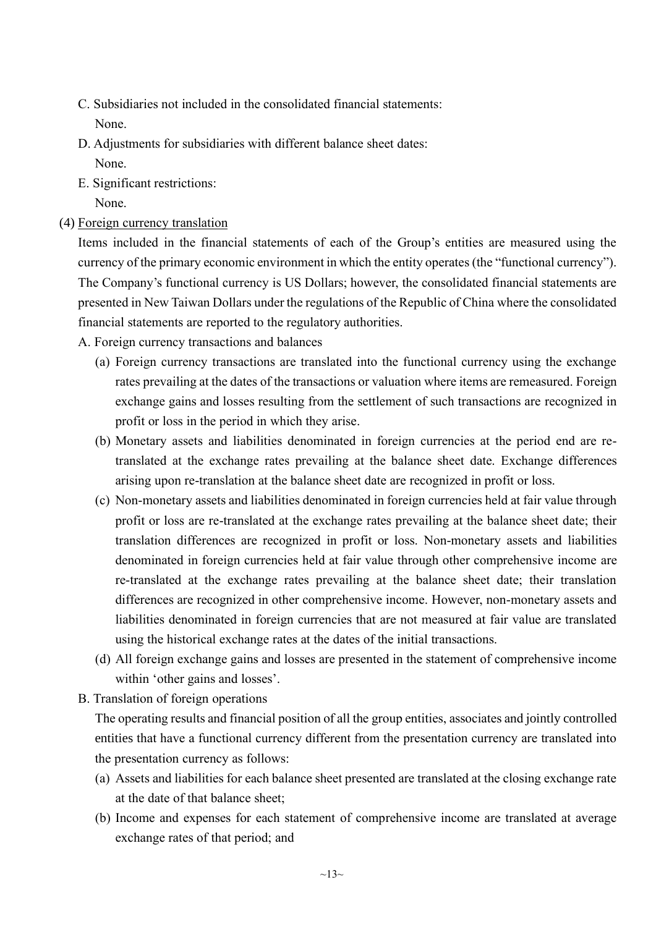- C. Subsidiaries not included in the consolidated financial statements: None.
- D. Adjustments for subsidiaries with different balance sheet dates: None.
- E. Significant restrictions:

None.

#### (4) Foreign currency translation

Items included in the financial statements of each of the Group's entities are measured using the currency of the primary economic environment in which the entity operates (the "functional currency"). The Company's functional currency is US Dollars; however, the consolidated financial statements are presented in New Taiwan Dollars under the regulations of the Republic of China where the consolidated financial statements are reported to the regulatory authorities.

A. Foreign currency transactions and balances

- (a) Foreign currency transactions are translated into the functional currency using the exchange rates prevailing at the dates of the transactions or valuation where items are remeasured. Foreign exchange gains and losses resulting from the settlement of such transactions are recognized in profit or loss in the period in which they arise.
- (b) Monetary assets and liabilities denominated in foreign currencies at the period end are retranslated at the exchange rates prevailing at the balance sheet date. Exchange differences arising upon re-translation at the balance sheet date are recognized in profit or loss.
- (c) Non-monetary assets and liabilities denominated in foreign currencies held at fair value through profit or loss are re-translated at the exchange rates prevailing at the balance sheet date; their translation differences are recognized in profit or loss. Non-monetary assets and liabilities denominated in foreign currencies held at fair value through other comprehensive income are re-translated at the exchange rates prevailing at the balance sheet date; their translation differences are recognized in other comprehensive income. However, non-monetary assets and liabilities denominated in foreign currencies that are not measured at fair value are translated using the historical exchange rates at the dates of the initial transactions.
- (d) All foreign exchange gains and losses are presented in the statement of comprehensive income within 'other gains and losses'.
- B. Translation of foreign operations

The operating results and financial position of all the group entities, associates and jointly controlled entities that have a functional currency different from the presentation currency are translated into the presentation currency as follows:

- (a) Assets and liabilities for each balance sheet presented are translated at the closing exchange rate at the date of that balance sheet;
- (b) Income and expenses for each statement of comprehensive income are translated at average exchange rates of that period; and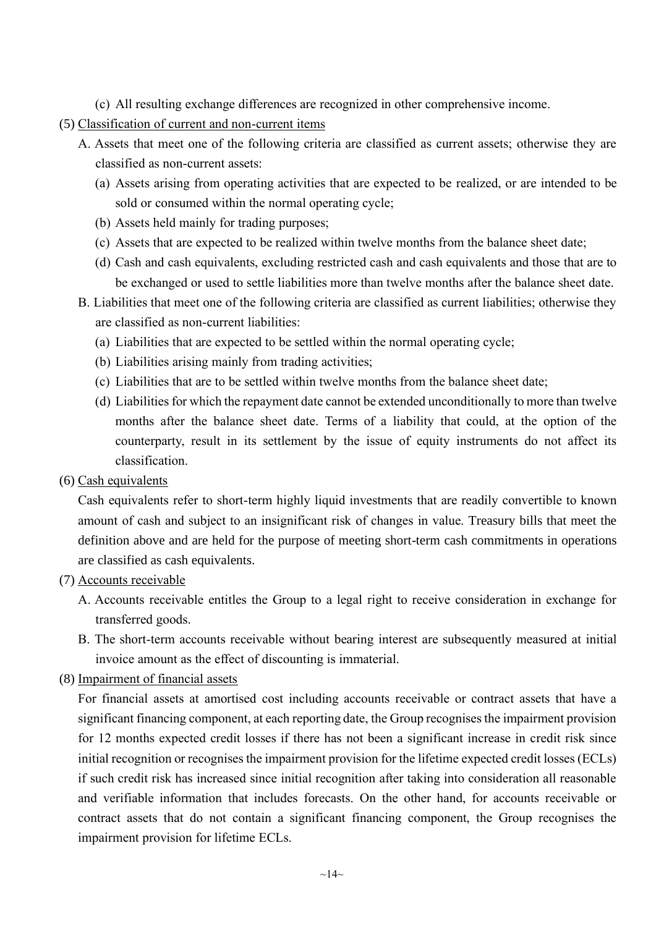- (c) All resulting exchange differences are recognized in other comprehensive income.
- (5) Classification of current and non-current items
	- A. Assets that meet one of the following criteria are classified as current assets; otherwise they are classified as non-current assets:
		- (a) Assets arising from operating activities that are expected to be realized, or are intended to be sold or consumed within the normal operating cycle;
		- (b) Assets held mainly for trading purposes;
		- (c) Assets that are expected to be realized within twelve months from the balance sheet date;
		- (d) Cash and cash equivalents, excluding restricted cash and cash equivalents and those that are to be exchanged or used to settle liabilities more than twelve months after the balance sheet date.
	- B. Liabilities that meet one of the following criteria are classified as current liabilities; otherwise they are classified as non-current liabilities:
		- (a) Liabilities that are expected to be settled within the normal operating cycle;
		- (b) Liabilities arising mainly from trading activities;
		- (c) Liabilities that are to be settled within twelve months from the balance sheet date;
		- (d) Liabilities for which the repayment date cannot be extended unconditionally to more than twelve months after the balance sheet date. Terms of a liability that could, at the option of the counterparty, result in its settlement by the issue of equity instruments do not affect its classification.
- (6) Cash equivalents

Cash equivalents refer to short-term highly liquid investments that are readily convertible to known amount of cash and subject to an insignificant risk of changes in value. Treasury bills that meet the definition above and are held for the purpose of meeting short-term cash commitments in operations are classified as cash equivalents.

- (7) Accounts receivable
	- A. Accounts receivable entitles the Group to a legal right to receive consideration in exchange for transferred goods.
	- B. The short-term accounts receivable without bearing interest are subsequently measured at initial invoice amount as the effect of discounting is immaterial.
- (8) Impairment of financial assets

For financial assets at amortised cost including accounts receivable or contract assets that have a significant financing component, at each reporting date, the Group recognises the impairment provision for 12 months expected credit losses if there has not been a significant increase in credit risk since initial recognition or recognises the impairment provision for the lifetime expected credit losses (ECLs) if such credit risk has increased since initial recognition after taking into consideration all reasonable and verifiable information that includes forecasts. On the other hand, for accounts receivable or contract assets that do not contain a significant financing component, the Group recognises the impairment provision for lifetime ECLs.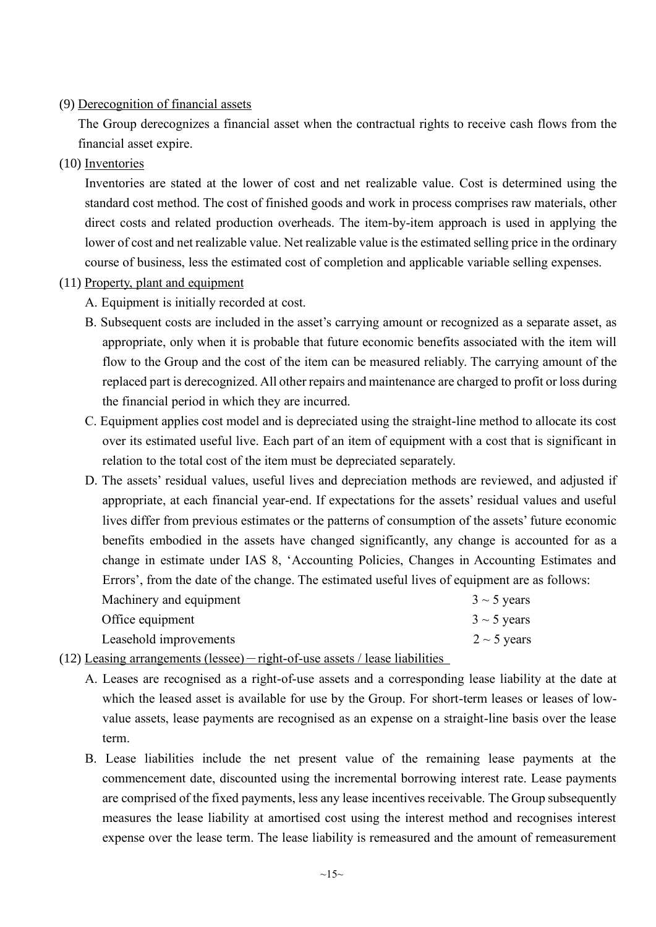#### (9) Derecognition of financial assets

The Group derecognizes a financial asset when the contractual rights to receive cash flows from the financial asset expire.

(10) Inventories

Inventories are stated at the lower of cost and net realizable value. Cost is determined using the standard cost method. The cost of finished goods and work in process comprises raw materials, other direct costs and related production overheads. The item-by-item approach is used in applying the lower of cost and net realizable value. Net realizable value is the estimated selling price in the ordinary course of business, less the estimated cost of completion and applicable variable selling expenses.

- (11) Property, plant and equipment
	- A. Equipment is initially recorded at cost.
	- B. Subsequent costs are included in the asset's carrying amount or recognized as a separate asset, as appropriate, only when it is probable that future economic benefits associated with the item will flow to the Group and the cost of the item can be measured reliably. The carrying amount of the replaced part is derecognized. All other repairs and maintenance are charged to profit or loss during the financial period in which they are incurred.
	- C. Equipment applies cost model and is depreciated using the straight-line method to allocate its cost over its estimated useful live. Each part of an item of equipment with a cost that is significant in relation to the total cost of the item must be depreciated separately.
	- D. The assets' residual values, useful lives and depreciation methods are reviewed, and adjusted if appropriate, at each financial year-end. If expectations for the assets' residual values and useful lives differ from previous estimates or the patterns of consumption of the assets' future economic benefits embodied in the assets have changed significantly, any change is accounted for as a change in estimate under IAS 8, 'Accounting Policies, Changes in Accounting Estimates and Errors', from the date of the change. The estimated useful lives of equipment are as follows:

| Machinery and equipment | $3 \sim 5$ years |
|-------------------------|------------------|
| Office equipment        | $3 \sim 5$ years |
| Leasehold improvements  | $2 \sim 5$ years |

- $(12)$  Leasing arrangements (lessee) right-of-use assets / lease liabilities
	- A. Leases are recognised as a right-of-use assets and a corresponding lease liability at the date at which the leased asset is available for use by the Group. For short-term leases or leases of lowvalue assets, lease payments are recognised as an expense on a straight-line basis over the lease term.
	- B. Lease liabilities include the net present value of the remaining lease payments at the commencement date, discounted using the incremental borrowing interest rate. Lease payments are comprised of the fixed payments, less any lease incentives receivable. The Group subsequently measures the lease liability at amortised cost using the interest method and recognises interest expense over the lease term. The lease liability is remeasured and the amount of remeasurement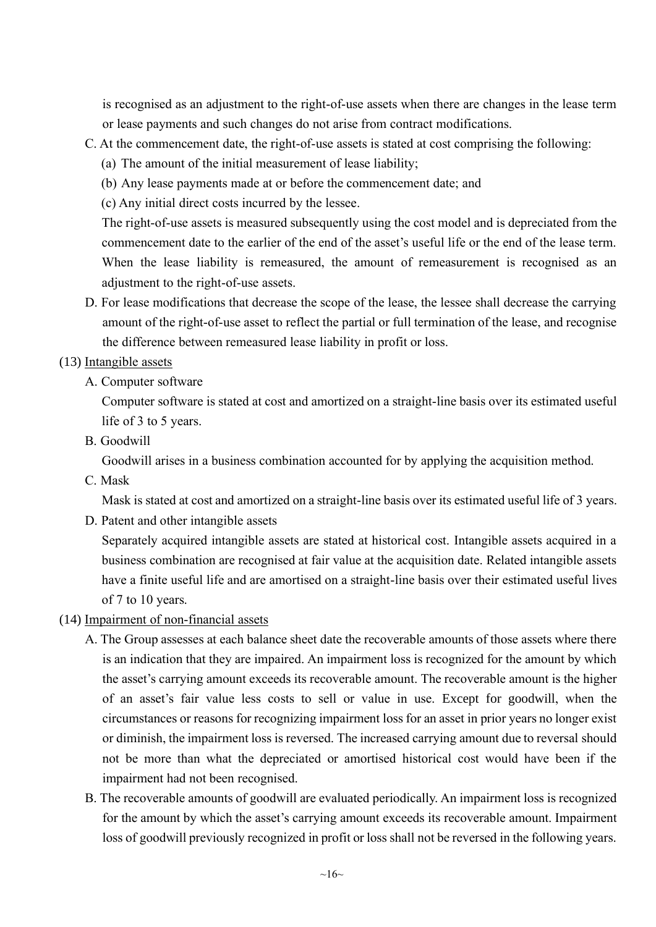is recognised as an adjustment to the right-of-use assets when there are changes in the lease term or lease payments and such changes do not arise from contract modifications.

- C. At the commencement date, the right-of-use assets is stated at cost comprising the following:
	- (a) The amount of the initial measurement of lease liability;
	- (b) Any lease payments made at or before the commencement date; and
	- (c) Any initial direct costs incurred by the lessee.

The right-of-use assets is measured subsequently using the cost model and is depreciated from the commencement date to the earlier of the end of the asset's useful life or the end of the lease term. When the lease liability is remeasured, the amount of remeasurement is recognised as an adjustment to the right-of-use assets.

D. For lease modifications that decrease the scope of the lease, the lessee shall decrease the carrying amount of the right-of-use asset to reflect the partial or full termination of the lease, and recognise the difference between remeasured lease liability in profit or loss.

#### (13) Intangible assets

A. Computer software

Computer software is stated at cost and amortized on a straight-line basis over its estimated useful life of 3 to 5 years.

B. Goodwill

Goodwill arises in a business combination accounted for by applying the acquisition method.

C. Mask

Mask is stated at cost and amortized on a straight-line basis over its estimated useful life of 3 years.

D. Patent and other intangible assets

Separately acquired intangible assets are stated at historical cost. Intangible assets acquired in a business combination are recognised at fair value at the acquisition date. Related intangible assets have a finite useful life and are amortised on a straight-line basis over their estimated useful lives of 7 to 10 years.

- (14) Impairment of non-financial assets
	- A. The Group assesses at each balance sheet date the recoverable amounts of those assets where there is an indication that they are impaired. An impairment loss is recognized for the amount by which the asset's carrying amount exceeds its recoverable amount. The recoverable amount is the higher of an asset's fair value less costs to sell or value in use. Except for goodwill, when the circumstances or reasons for recognizing impairment loss for an asset in prior years no longer exist or diminish, the impairment loss is reversed. The increased carrying amount due to reversal should not be more than what the depreciated or amortised historical cost would have been if the impairment had not been recognised.
	- B. The recoverable amounts of goodwill are evaluated periodically. An impairment loss is recognized for the amount by which the asset's carrying amount exceeds its recoverable amount. Impairment loss of goodwill previously recognized in profit or loss shall not be reversed in the following years.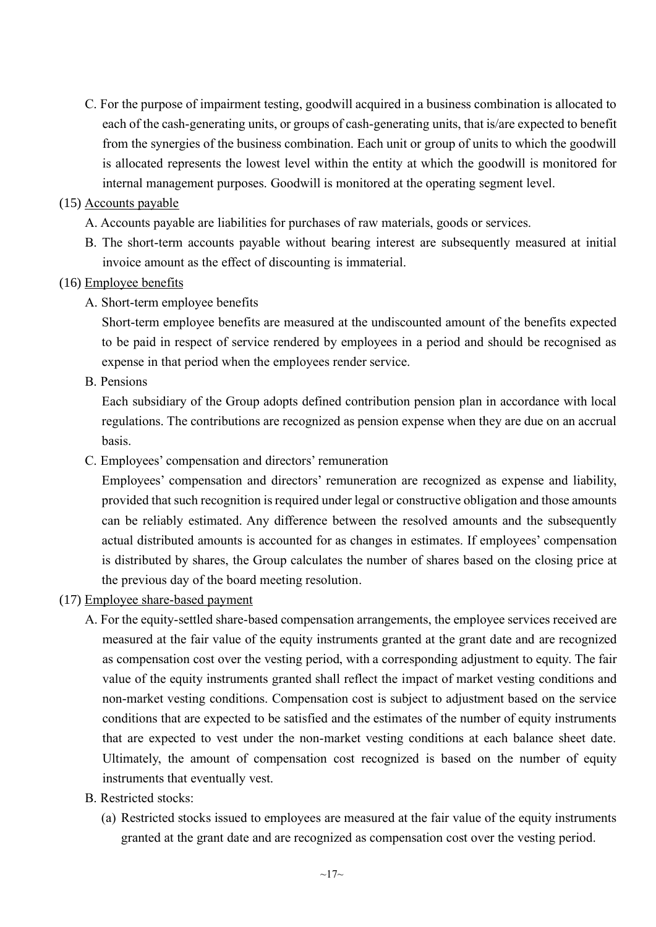C. For the purpose of impairment testing, goodwill acquired in a business combination is allocated to each of the cash-generating units, or groups of cash-generating units, that is/are expected to benefit from the synergies of the business combination. Each unit or group of units to which the goodwill is allocated represents the lowest level within the entity at which the goodwill is monitored for internal management purposes. Goodwill is monitored at the operating segment level.

#### (15) Accounts payable

- A. Accounts payable are liabilities for purchases of raw materials, goods or services.
- B. The short-term accounts payable without bearing interest are subsequently measured at initial invoice amount as the effect of discounting is immaterial.

#### (16) Employee benefits

A. Short-term employee benefits

Short-term employee benefits are measured at the undiscounted amount of the benefits expected to be paid in respect of service rendered by employees in a period and should be recognised as expense in that period when the employees render service.

B. Pensions

Each subsidiary of the Group adopts defined contribution pension plan in accordance with local regulations. The contributions are recognized as pension expense when they are due on an accrual basis.

C. Employees' compensation and directors' remuneration

Employees' compensation and directors' remuneration are recognized as expense and liability, provided that such recognition is required under legal or constructive obligation and those amounts can be reliably estimated. Any difference between the resolved amounts and the subsequently actual distributed amounts is accounted for as changes in estimates. If employees' compensation is distributed by shares, the Group calculates the number of shares based on the closing price at the previous day of the board meeting resolution.

- (17) Employee share-based payment
	- A. For the equity-settled share-based compensation arrangements, the employee services received are measured at the fair value of the equity instruments granted at the grant date and are recognized as compensation cost over the vesting period, with a corresponding adjustment to equity. The fair value of the equity instruments granted shall reflect the impact of market vesting conditions and non-market vesting conditions. Compensation cost is subject to adjustment based on the service conditions that are expected to be satisfied and the estimates of the number of equity instruments that are expected to vest under the non-market vesting conditions at each balance sheet date. Ultimately, the amount of compensation cost recognized is based on the number of equity instruments that eventually vest.
	- B. Restricted stocks:
		- (a) Restricted stocks issued to employees are measured at the fair value of the equity instruments granted at the grant date and are recognized as compensation cost over the vesting period.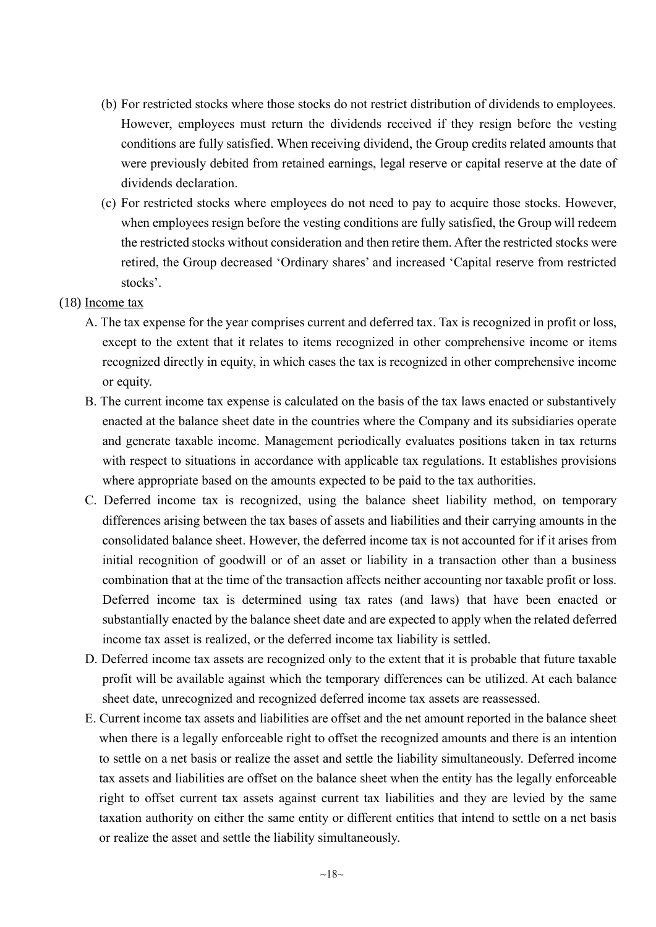- (b) For restricted stocks where those stocks do not restrict distribution of dividends to employees. However, employees must return the dividends received if they resign before the vesting conditions are fully satisfied. When receiving dividend, the Group credits related amounts that were previously debited from retained earnings, legal reserve or capital reserve at the date of dividends declaration.
- (c) For restricted stocks where employees do not need to pay to acquire those stocks. However, when employees resign before the vesting conditions are fully satisfied, the Group will redeem the restricted stocks without consideration and then retire them. After the restricted stocks were retired, the Group decreased 'Ordinary shares' and increased 'Capital reserve from restricted stocks'.

#### (18) Income tax

- A. The tax expense for the year comprises current and deferred tax. Tax is recognized in profit or loss, except to the extent that it relates to items recognized in other comprehensive income or items recognized directly in equity, in which cases the tax is recognized in other comprehensive income or equity.
- B. The current income tax expense is calculated on the basis of the tax laws enacted or substantively enacted at the balance sheet date in the countries where the Company and its subsidiaries operate and generate taxable income. Management periodically evaluates positions taken in tax returns with respect to situations in accordance with applicable tax regulations. It establishes provisions where appropriate based on the amounts expected to be paid to the tax authorities.
- C. Deferred income tax is recognized, using the balance sheet liability method, on temporary differences arising between the tax bases of assets and liabilities and their carrying amounts in the consolidated balance sheet. However, the deferred income tax is not accounted for if it arises from initial recognition of goodwill or of an asset or liability in a transaction other than a business combination that at the time of the transaction affects neither accounting nor taxable profit or loss. Deferred income tax is determined using tax rates (and laws) that have been enacted or substantially enacted by the balance sheet date and are expected to apply when the related deferred income tax asset is realized, or the deferred income tax liability is settled.
- D. Deferred income tax assets are recognized only to the extent that it is probable that future taxable profit will be available against which the temporary differences can be utilized. At each balance sheet date, unrecognized and recognized deferred income tax assets are reassessed.
- E. Current income tax assets and liabilities are offset and the net amount reported in the balance sheet when there is a legally enforceable right to offset the recognized amounts and there is an intention to settle on a net basis or realize the asset and settle the liability simultaneously. Deferred income tax assets and liabilities are offset on the balance sheet when the entity has the legally enforceable right to offset current tax assets against current tax liabilities and they are levied by the same taxation authority on either the same entity or different entities that intend to settle on a net basis or realize the asset and settle the liability simultaneously.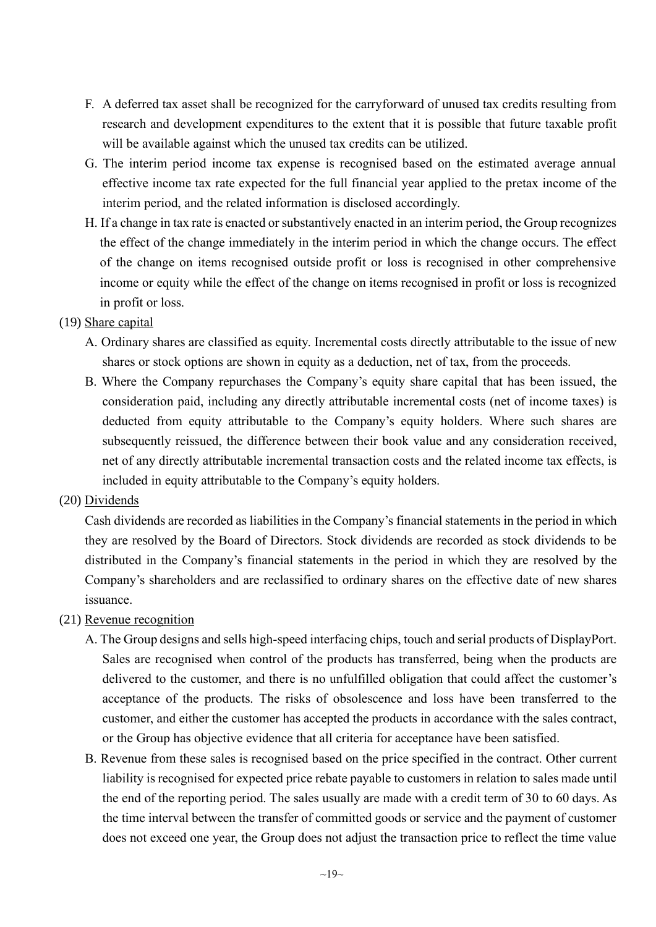- F. A deferred tax asset shall be recognized for the carryforward of unused tax credits resulting from research and development expenditures to the extent that it is possible that future taxable profit will be available against which the unused tax credits can be utilized.
- G. The interim period income tax expense is recognised based on the estimated average annual effective income tax rate expected for the full financial year applied to the pretax income of the interim period, and the related information is disclosed accordingly.
- H. If a change in tax rate is enacted or substantively enacted in an interim period, the Group recognizes the effect of the change immediately in the interim period in which the change occurs. The effect of the change on items recognised outside profit or loss is recognised in other comprehensive income or equity while the effect of the change on items recognised in profit or loss is recognized in profit or loss.

#### (19) Share capital

- A. Ordinary shares are classified as equity. Incremental costs directly attributable to the issue of new shares or stock options are shown in equity as a deduction, net of tax, from the proceeds.
- B. Where the Company repurchases the Company's equity share capital that has been issued, the consideration paid, including any directly attributable incremental costs (net of income taxes) is deducted from equity attributable to the Company's equity holders. Where such shares are subsequently reissued, the difference between their book value and any consideration received, net of any directly attributable incremental transaction costs and the related income tax effects, is included in equity attributable to the Company's equity holders.

#### (20) Dividends

Cash dividends are recorded as liabilities in the Company's financial statements in the period in which they are resolved by the Board of Directors. Stock dividends are recorded as stock dividends to be distributed in the Company's financial statements in the period in which they are resolved by the Company's shareholders and are reclassified to ordinary shares on the effective date of new shares issuance.

#### (21) Revenue recognition

- A. The Group designs and sells high-speed interfacing chips, touch and serial products of DisplayPort. Sales are recognised when control of the products has transferred, being when the products are delivered to the customer, and there is no unfulfilled obligation that could affect the customer's acceptance of the products. The risks of obsolescence and loss have been transferred to the customer, and either the customer has accepted the products in accordance with the sales contract, or the Group has objective evidence that all criteria for acceptance have been satisfied.
- B. Revenue from these sales is recognised based on the price specified in the contract. Other current liability is recognised for expected price rebate payable to customers in relation to sales made until the end of the reporting period. The sales usually are made with a credit term of 30 to 60 days. As the time interval between the transfer of committed goods or service and the payment of customer does not exceed one year, the Group does not adjust the transaction price to reflect the time value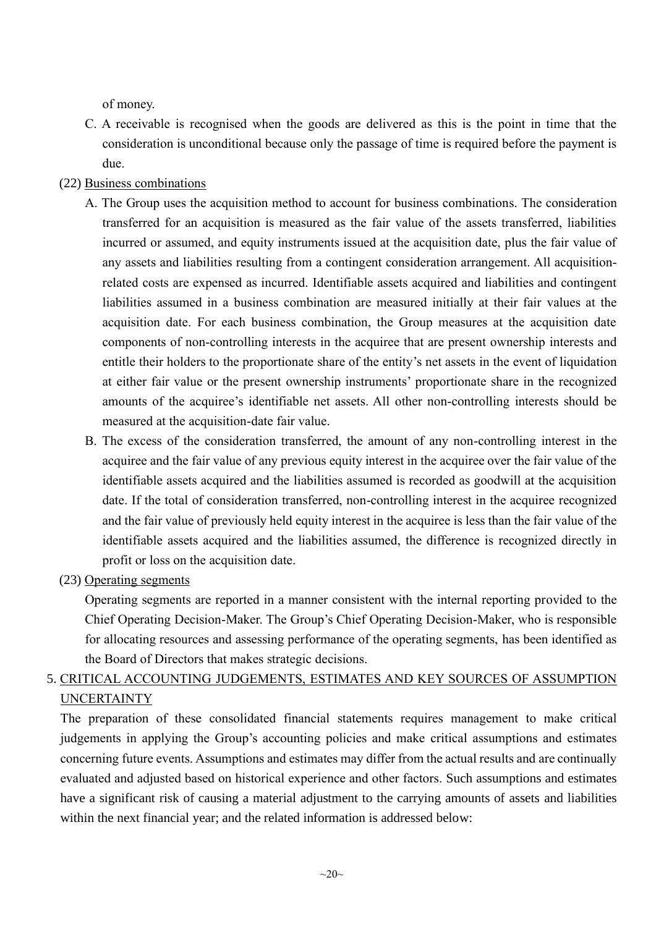of money.

C. A receivable is recognised when the goods are delivered as this is the point in time that the consideration is unconditional because only the passage of time is required before the payment is due.

#### (22) Business combinations

- A. The Group uses the acquisition method to account for business combinations. The consideration transferred for an acquisition is measured as the fair value of the assets transferred, liabilities incurred or assumed, and equity instruments issued at the acquisition date, plus the fair value of any assets and liabilities resulting from a contingent consideration arrangement. All acquisitionrelated costs are expensed as incurred. Identifiable assets acquired and liabilities and contingent liabilities assumed in a business combination are measured initially at their fair values at the acquisition date. For each business combination, the Group measures at the acquisition date components of non-controlling interests in the acquiree that are present ownership interests and entitle their holders to the proportionate share of the entity's net assets in the event of liquidation at either fair value or the present ownership instruments' proportionate share in the recognized amounts of the acquiree's identifiable net assets. All other non-controlling interests should be measured at the acquisition-date fair value.
- B. The excess of the consideration transferred, the amount of any non-controlling interest in the acquiree and the fair value of any previous equity interest in the acquiree over the fair value of the identifiable assets acquired and the liabilities assumed is recorded as goodwill at the acquisition date. If the total of consideration transferred, non-controlling interest in the acquiree recognized and the fair value of previously held equity interest in the acquiree is less than the fair value of the identifiable assets acquired and the liabilities assumed, the difference is recognized directly in profit or loss on the acquisition date.
- (23) Operating segments

Operating segments are reported in a manner consistent with the internal reporting provided to the Chief Operating Decision-Maker. The Group's Chief Operating Decision-Maker, who is responsible for allocating resources and assessing performance of the operating segments, has been identified as the Board of Directors that makes strategic decisions.

## 5. CRITICAL ACCOUNTING JUDGEMENTS, ESTIMATES AND KEY SOURCES OF ASSUMPTION UNCERTAINTY

The preparation of these consolidated financial statements requires management to make critical judgements in applying the Group's accounting policies and make critical assumptions and estimates concerning future events. Assumptions and estimates may differ from the actual results and are continually evaluated and adjusted based on historical experience and other factors. Such assumptions and estimates have a significant risk of causing a material adjustment to the carrying amounts of assets and liabilities within the next financial year; and the related information is addressed below: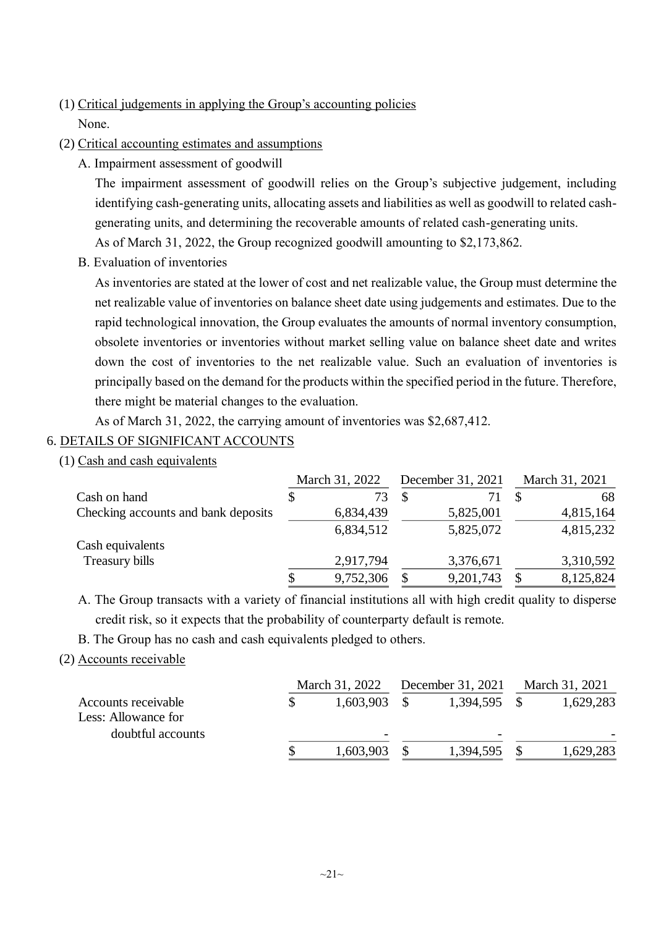- (1) Critical judgements in applying the Group's accounting policies None.
- (2) Critical accounting estimates and assumptions
	- A. Impairment assessment of goodwill

The impairment assessment of goodwill relies on the Group's subjective judgement, including identifying cash-generating units, allocating assets and liabilities as well as goodwill to related cashgenerating units, and determining the recoverable amounts of related cash-generating units.

- As of March 31, 2022, the Group recognized goodwill amounting to \$2,173,862.
- B. Evaluation of inventories

As inventories are stated at the lower of cost and net realizable value, the Group must determine the net realizable value of inventories on balance sheet date using judgements and estimates. Due to the rapid technological innovation, the Group evaluates the amounts of normal inventory consumption, obsolete inventories or inventories without market selling value on balance sheet date and writes down the cost of inventories to the net realizable value. Such an evaluation of inventories is principally based on the demand for the products within the specified period in the future. Therefore, there might be material changes to the evaluation.

As of March 31, 2022, the carrying amount of inventories was \$2,687,412.

## 6. DETAILS OF SIGNIFICANT ACCOUNTS

(1) Cash and cash equivalents

|                                     |     | March 31, 2022 | December 31, 2021 | March 31, 2021 |           |
|-------------------------------------|-----|----------------|-------------------|----------------|-----------|
| Cash on hand                        | \$. | 73             |                   |                | 68        |
| Checking accounts and bank deposits |     | 6,834,439      | 5,825,001         |                | 4,815,164 |
|                                     |     | 6,834,512      | 5,825,072         |                | 4,815,232 |
| Cash equivalents                    |     |                |                   |                |           |
| Treasury bills                      |     | 2,917,794      | 3,376,671         |                | 3,310,592 |
|                                     | S   | 9,752,306      | 9,201,743         |                | 8,125,824 |

A. The Group transacts with a variety of financial institutions all with high credit quality to disperse credit risk, so it expects that the probability of counterparty default is remote.

B. The Group has no cash and cash equivalents pledged to others.

#### (2) Accounts receivable

|                                                                 | March 31, 2022 | December 31, 2021                     | March 31, 2021 |
|-----------------------------------------------------------------|----------------|---------------------------------------|----------------|
| Accounts receivable<br>Less: Allowance for<br>doubtful accounts | $1,603,903$ \$ | 1,394,595<br>$\overline{\phantom{0}}$ | 1,629,283      |
|                                                                 | 1,603,903      | 1,394,595                             | 1,629,283      |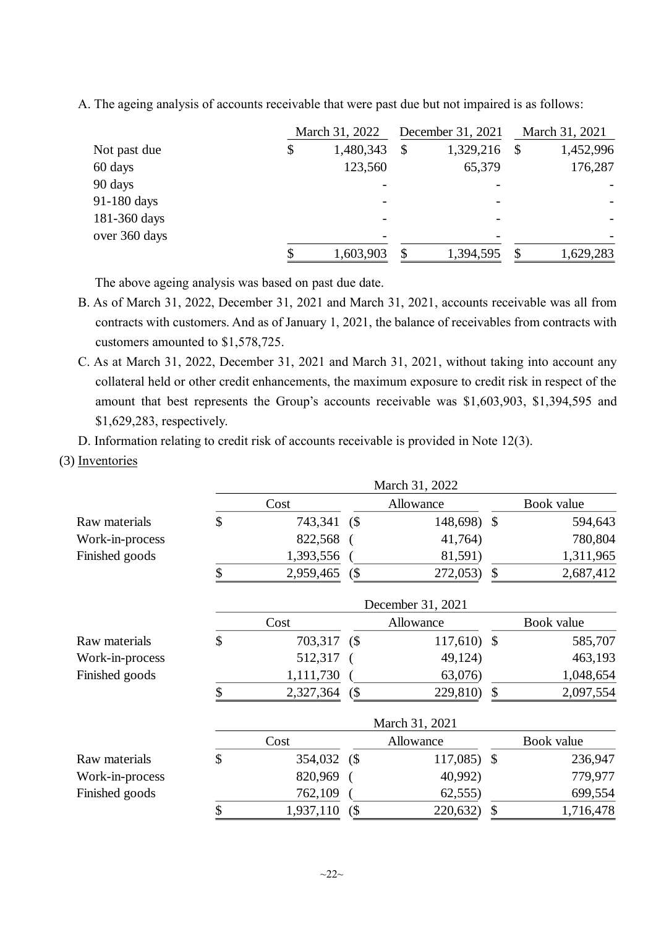A. The ageing analysis of accounts receivable that were past due but not impaired is as follows:

|               | March 31, 2022  |               | December 31, 2021 | March 31, 2021 |
|---------------|-----------------|---------------|-------------------|----------------|
| Not past due  | \$<br>1,480,343 | $\mathcal{S}$ | 1,329,216         | 1,452,996      |
| 60 days       | 123,560         |               | 65,379            | 176,287        |
| 90 days       |                 |               |                   |                |
| 91-180 days   |                 |               |                   |                |
| 181-360 days  |                 |               |                   |                |
| over 360 days |                 |               |                   |                |
|               | 1,603,903       | \$            | 1,394,595         | 1,629,283      |

The above ageing analysis was based on past due date.

- B. As of March 31, 2022, December 31, 2021 and March 31, 2021, accounts receivable was all from contracts with customers. And as of January 1, 2021, the balance of receivables from contracts with customers amounted to \$1,578,725.
- C. As at March 31, 2022, December 31, 2021 and March 31, 2021, without taking into account any collateral held or other credit enhancements, the maximum exposure to credit risk in respect of the amount that best represents the Group's accounts receivable was \$1,603,903, \$1,394,595 and \$1,629,283, respectively.
- D. Information relating to credit risk of accounts receivable is provided in Note 12(3).
- (3) Inventories

|                 |               |           |        | March 31, 2022    |               |            |  |
|-----------------|---------------|-----------|--------|-------------------|---------------|------------|--|
|                 |               | Cost      |        | Allowance         | Book value    |            |  |
| Raw materials   | \$            | 743,341   | (      | 148,698)          | $\mathcal{S}$ | 594,643    |  |
| Work-in-process |               | 822,568   |        | 41,764)           |               | 780,804    |  |
| Finished goods  |               | 1,393,556 |        | 81,591)           |               | 1,311,965  |  |
|                 | \$            | 2,959,465 | $($ \$ | 272,053)          | \$            | 2,687,412  |  |
|                 |               |           |        | December 31, 2021 |               |            |  |
|                 |               | Cost      |        | Allowance         |               | Book value |  |
| Raw materials   | \$            | 703,317   | (      | $117,610$ \$      |               | 585,707    |  |
| Work-in-process |               | 512,317   |        | 49,124)           |               | 463,193    |  |
| Finished goods  |               | 1,111,730 |        | 63,076)           |               | 1,048,654  |  |
|                 | $\mathcal{S}$ | 2,327,364 | (      | 229,810)          | \$            | 2,097,554  |  |
|                 |               |           |        | March 31, 2021    |               |            |  |
|                 |               | Cost      |        | Allowance         |               | Book value |  |
| Raw materials   | \$            | 354,032   | (      | 117,085) \$       |               | 236,947    |  |
| Work-in-process |               | 820,969   |        | 40,992)           |               | 779,977    |  |
| Finished goods  |               | 762,109   |        | 62,555            |               | 699,554    |  |
|                 | \$            | 1,937,110 | $($ \$ | 220,632)          | \$            | 1,716,478  |  |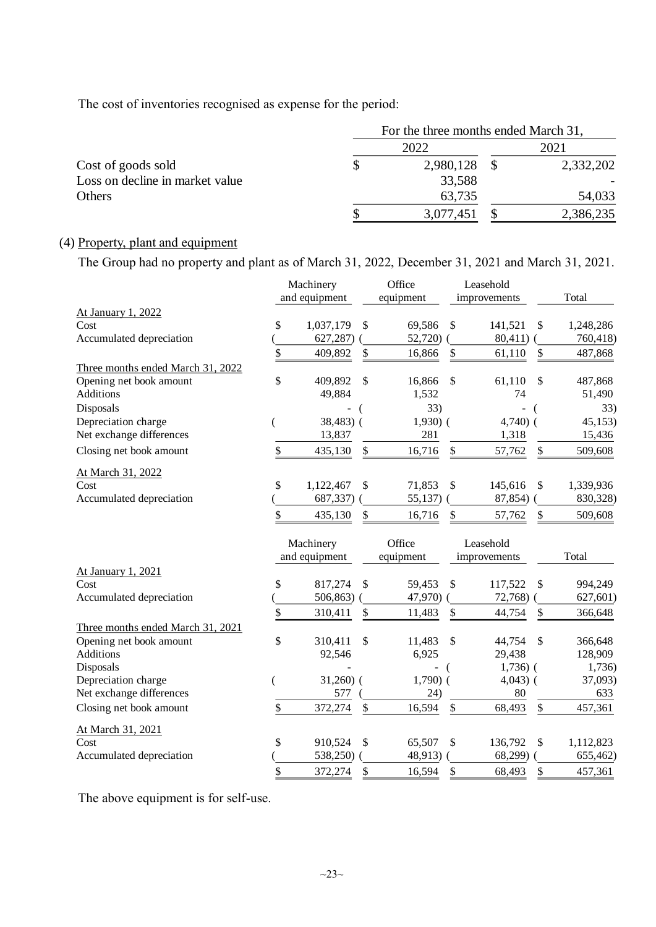The cost of inventories recognised as expense for the period:

|                                 | For the three months ended March 31, |           |      |           |  |  |  |  |
|---------------------------------|--------------------------------------|-----------|------|-----------|--|--|--|--|
| Cost of goods sold              |                                      | 2022      | 2021 |           |  |  |  |  |
|                                 |                                      | 2,980,128 |      | 2,332,202 |  |  |  |  |
| Loss on decline in market value |                                      | 33,588    |      |           |  |  |  |  |
| Others                          |                                      | 63,735    |      | 54,033    |  |  |  |  |
|                                 |                                      | 3,077,451 |      | 2,386,235 |  |  |  |  |

## (4) Property, plant and equipment

The Group had no property and plant as of March 31, 2022, December 31, 2021 and March 31, 2021.

|                                   | Machinery             | Office     |                           | Leasehold    |               |           |
|-----------------------------------|-----------------------|------------|---------------------------|--------------|---------------|-----------|
|                                   | and equipment         | equipment  |                           | improvements |               | Total     |
| At January 1, 2022                |                       |            |                           |              |               |           |
| Cost                              | \$<br>1,037,179<br>\$ | 69,586     | \$                        | 141,521      | \$            | 1,248,286 |
| Accumulated depreciation          | 627,287)              | 52,720)    |                           | 80,411)      |               | 760,418)  |
|                                   | \$<br>\$<br>409,892   | 16,866     | \$                        | 61,110       | \$            | 487,868   |
| Three months ended March 31, 2022 |                       |            |                           |              |               |           |
| Opening net book amount           | \$<br>\$<br>409,892   | 16,866     | \$                        | 61,110       | \$            | 487,868   |
| <b>Additions</b>                  | 49,884                | 1,532      |                           | 74           |               | 51,490    |
| Disposals                         | $\left($              | 33)        |                           |              | $\left($      | 33)       |
| Depreciation charge               | $38,483$ (            | $1,930)$ ( |                           | $4,740$ ) (  |               | 45,153)   |
| Net exchange differences          | 13,837                | 281        |                           | 1,318        |               | 15,436    |
| Closing net book amount           | \$<br>435,130<br>\$   | 16,716     | $\$$                      | 57,762       | \$            | 509,608   |
| At March 31, 2022                 |                       |            |                           |              |               |           |
| Cost                              | \$<br>\$<br>1,122,467 | 71,853     | \$                        | 145,616      | \$            | 1,339,936 |
| Accumulated depreciation          | 687,337)              | 55,137)    |                           | 87,854)      |               | 830,328)  |
|                                   | \$<br>\$<br>435,130   | 16,716     | \$                        | 57,762       | \$            | 509,608   |
|                                   |                       |            |                           |              |               |           |
|                                   | Machinery             | Office     |                           | Leasehold    |               |           |
|                                   | and equipment         | equipment  |                           | improvements |               | Total     |
| At January 1, 2021                |                       |            |                           |              |               |           |
| Cost                              | \$<br>817,274<br>\$   | 59,453     | \$                        | 117,522      | \$            | 994,249   |
| Accumulated depreciation          | 506,863)              | 47,970)    |                           | 72,768)      |               | 627,601)  |
|                                   | \$<br>\$<br>310,411   | 11,483     | $\boldsymbol{\mathsf{S}}$ | 44,754       | \$            | 366,648   |
| Three months ended March 31, 2021 |                       |            |                           |              |               |           |
| Opening net book amount           | \$<br>\$<br>310,411   | 11,483     | \$                        | 44,754       | \$            | 366,648   |
| Additions                         | 92,546                | 6,925      |                           | 29,438       |               | 128,909   |
| Disposals                         |                       |            | (                         | $1,736$ ) (  |               | 1,736)    |
| Depreciation charge               | $31,260$ (            | $1,790)$ ( |                           | $4,043$ (    |               | 37,093)   |
| Net exchange differences          | 577                   | (24)       |                           | 80           |               | 633       |
| Closing net book amount           | \$<br>372,274<br>\$   | 16,594     | \$                        | 68,493       | $\mathcal{S}$ | 457,361   |
| At March 31, 2021                 |                       |            |                           |              |               |           |
| Cost                              | \$<br>\$<br>910,524   | 65,507     | \$                        | 136,792      | \$            | 1,112,823 |
|                                   |                       |            |                           |              |               |           |
| Accumulated depreciation          | 538,250)              | 48,913)    |                           | 68,299)      |               | 655,462)  |

The above equipment is for self-use.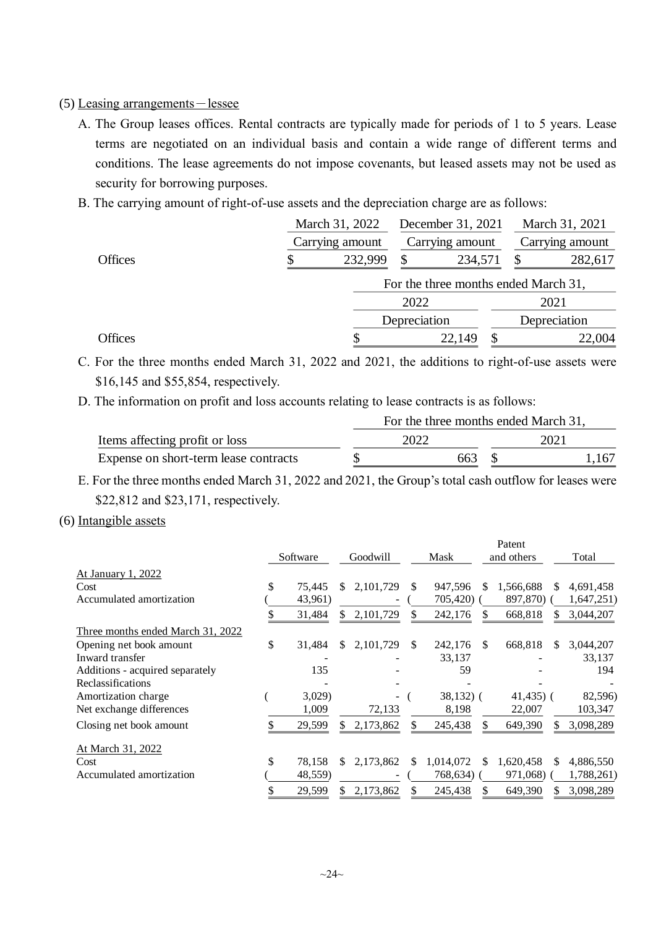#### (5) Leasing arrangements  $-$  lessee

- A. The Group leases offices. Rental contracts are typically made for periods of 1 to 5 years. Lease terms are negotiated on an individual basis and contain a wide range of different terms and conditions. The lease agreements do not impose covenants, but leased assets may not be used as security for borrowing purposes.
- B. The carrying amount of right-of-use assets and the depreciation charge are as follows:

|                | March 31, 2022  | December 31, 2021                    | March 31, 2021 |                 |  |
|----------------|-----------------|--------------------------------------|----------------|-----------------|--|
|                | Carrying amount | Carrying amount                      |                | Carrying amount |  |
| <b>Offices</b> | 232,999         | 234,571                              |                | 282,617         |  |
|                |                 | For the three months ended March 31, |                |                 |  |
|                |                 | 2022                                 | 2021           |                 |  |
|                |                 | Depreciation                         |                | Depreciation    |  |
| Offices        |                 | 22,149                               |                | 22,004          |  |

C. For the three months ended March 31, 2022 and 2021, the additions to right-of-use assets were \$16,145 and \$55,854, respectively.

D. The information on profit and loss accounts relating to lease contracts is as follows:

|                                       | For the three months ended March 31, |      |      |       |  |  |  |  |
|---------------------------------------|--------------------------------------|------|------|-------|--|--|--|--|
| Items affecting profit or loss        |                                      | 2022 | 2021 |       |  |  |  |  |
| Expense on short-term lease contracts |                                      | 663  |      | 1,167 |  |  |  |  |

E. For the three months ended March 31, 2022 and 2021, the Group's total cash outflow for leases were \$22,812 and \$23,171, respectively.

Patent

#### (6) Intangible assets

|                                   |    |          |    |           |     |             |    | Patent       |    |            |
|-----------------------------------|----|----------|----|-----------|-----|-------------|----|--------------|----|------------|
|                                   |    | Software |    | Goodwill  |     | Mask        |    | and others   |    | Total      |
| <u>At January 1, 2022</u>         |    |          |    |           |     |             |    |              |    |            |
| Cost                              | \$ | 75,445   | S. | 2,101,729 | \$. | 947,596     | S  | 1,566,688    | S  | 4,691,458  |
| Accumulated amortization          |    | 43,961)  |    |           |     | 705,420)    |    | 897,870)     |    | 1,647,251) |
|                                   |    | 31,484   | S. | 2,101,729 |     | 242,176     |    | 668,818      | S. | 3,044,207  |
| Three months ended March 31, 2022 |    |          |    |           |     |             |    |              |    |            |
| Opening net book amount           | \$ | 31,484   | S  | 2,101,729 | S.  | 242,176     | \$ | 668,818      | \$ | 3,044,207  |
| Inward transfer                   |    |          |    |           |     | 33,137      |    |              |    | 33,137     |
| Additions - acquired separately   |    | 135      |    |           |     | 59          |    |              |    | 194        |
| Reclassifications                 |    |          |    |           |     |             |    |              |    |            |
| Amortization charge               |    | 3,029    |    | -         |     | $38,132)$ ( |    | $41,435$ ) ( |    | 82,596)    |
| Net exchange differences          |    | 1,009    |    | 72,133    |     | 8,198       |    | 22,007       |    | 103,347    |
| Closing net book amount           |    | 29,599   | \$ | 2,173,862 |     | 245,438     | S  | 649,390      | \$ | 3,098,289  |
| At March 31, 2022                 |    |          |    |           |     |             |    |              |    |            |
| Cost                              | \$ | 78,158   | \$ | 2,173,862 | S.  | 1,014,072   | S  | 1,620,458    | \$ | 4,886,550  |
| Accumulated amortization          |    | 48,559)  |    |           |     | 768,634)    |    | 971,068)     |    | 1,788,261) |
|                                   | S  | 29,599   | S  | 2,173,862 |     | 245,438     |    | 649,390      | S  | 3,098,289  |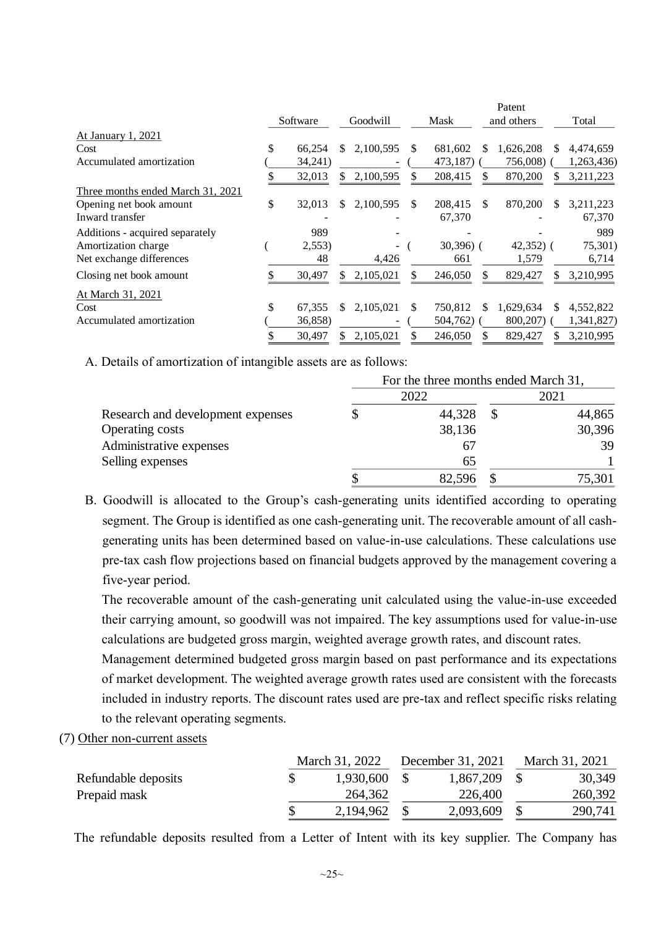|                                   |              |    |                          |     |            |               | Patent      |    |            |
|-----------------------------------|--------------|----|--------------------------|-----|------------|---------------|-------------|----|------------|
|                                   | Software     |    | Goodwill                 |     | Mask       |               | and others  |    | Total      |
| At January 1, 2021                |              |    |                          |     |            |               |             |    |            |
| Cost                              | \$<br>66,254 | S  | 2,100,595                | S   | 681,602    | S             | 1,626,208   | S  | 4,474,659  |
| Accumulated amortization          | 34,241)      |    |                          |     | 473,187)   |               | 756,008)    |    | 1,263,436) |
|                                   | 32,013       | S. | 2,100,595                |     | 208,415    |               | 870,200     | S. | 3,211,223  |
| Three months ended March 31, 2021 |              |    |                          |     |            |               |             |    |            |
| Opening net book amount           | \$<br>32,013 | S. | 2,100,595                | S   | 208,415    | <sup>\$</sup> | 870,200     | \$ | 3,211,223  |
| Inward transfer                   |              |    |                          |     | 67,370     |               |             |    | 67,370     |
| Additions - acquired separately   | 989          |    |                          |     |            |               |             |    | 989        |
| Amortization charge               | 2,553)       |    | $\overline{\phantom{a}}$ |     | $30,396$ ( |               | $42,352)$ ( |    | 75,301)    |
| Net exchange differences          | 48           |    | 4,426                    |     | 661        |               | 1,579       |    | 6,714      |
| Closing net book amount           | 30,497       | S. | 2,105,021                |     | 246,050    |               | 829,427     | S  | 3,210,995  |
| At March 31, 2021                 |              |    |                          |     |            |               |             |    |            |
| Cost                              | \$<br>67,355 | S  | 2,105,021                | \$. | 750,812    | S             | 1,629,634   | \$ | 4,552,822  |
| Accumulated amortization          | 36,858)      |    |                          |     | 504,762)   |               | 800, 207)   |    | 1,341,827) |
|                                   | \$<br>30,497 |    | 2,105,021                |     | 246,050    |               | 829,427     | S  | 3,210,995  |

A. Details of amortization of intangible assets are as follows:

|                                   |        | For the three months ended March 31, |        |  |  |
|-----------------------------------|--------|--------------------------------------|--------|--|--|
|                                   | 2022   |                                      | 2021   |  |  |
| Research and development expenses | 44,328 |                                      | 44,865 |  |  |
| Operating costs                   | 38,136 |                                      | 30,396 |  |  |
| Administrative expenses           | 67     |                                      | 39     |  |  |
| Selling expenses                  | 65     |                                      |        |  |  |
|                                   | 82.596 |                                      | 75,301 |  |  |

B. Goodwill is allocated to the Group's cash-generating units identified according to operating segment. The Group is identified as one cash-generating unit. The recoverable amount of all cashgenerating units has been determined based on value-in-use calculations. These calculations use pre-tax cash flow projections based on financial budgets approved by the management covering a five-year period.

The recoverable amount of the cash-generating unit calculated using the value-in-use exceeded their carrying amount, so goodwill was not impaired. The key assumptions used for value-in-use calculations are budgeted gross margin, weighted average growth rates, and discount rates.

Management determined budgeted gross margin based on past performance and its expectations of market development. The weighted average growth rates used are consistent with the forecasts included in industry reports. The discount rates used are pre-tax and reflect specific risks relating to the relevant operating segments.

(7) Other non-current assets

|                     | March 31, 2022 | December 31, 2021 | March 31, 2021 |         |  |
|---------------------|----------------|-------------------|----------------|---------|--|
| Refundable deposits | 1,930,600      | 1,867,209         |                | 30,349  |  |
| Prepaid mask        | 264,362        | 226,400           |                | 260,392 |  |
|                     | 2,194,962      | 2,093,609         |                | 290,741 |  |

The refundable deposits resulted from a Letter of Intent with its key supplier. The Company has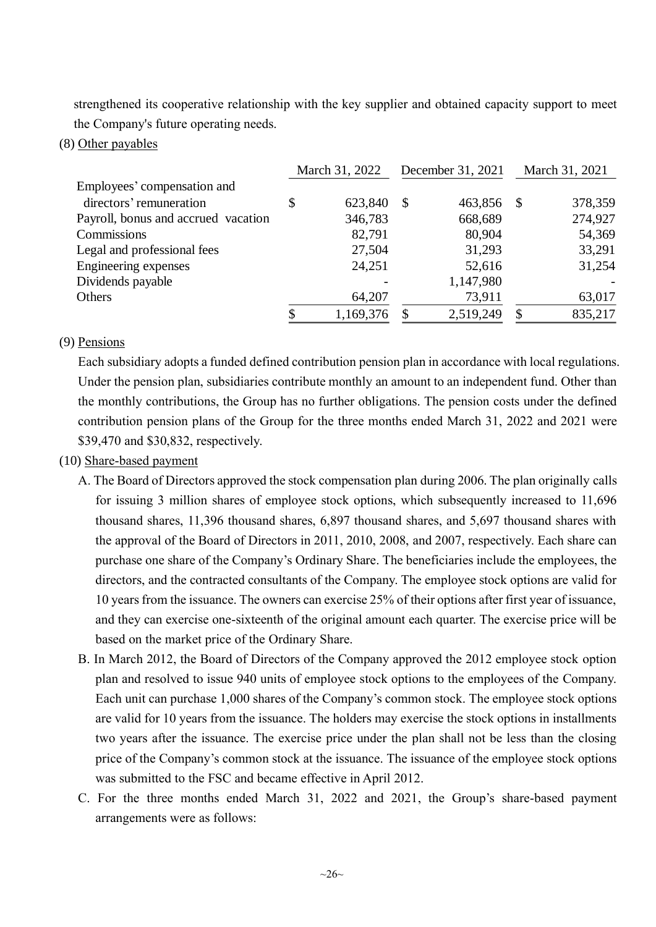strengthened its cooperative relationship with the key supplier and obtained capacity support to meet the Company's future operating needs.

## (8) Other payables

|                                     | March 31, 2022  |               | December 31, 2021 | March 31, 2021 |         |  |
|-------------------------------------|-----------------|---------------|-------------------|----------------|---------|--|
| Employees' compensation and         |                 |               |                   |                |         |  |
| directors' remuneration             | \$<br>623,840   | <sup>\$</sup> | 463,856           |                | 378,359 |  |
| Payroll, bonus and accrued vacation | 346,783         |               | 668,689           |                | 274,927 |  |
| Commissions                         | 82,791          |               | 80,904            |                | 54,369  |  |
| Legal and professional fees         | 27,504          |               | 31,293            |                | 33,291  |  |
| Engineering expenses                | 24,251          |               | 52,616            |                | 31,254  |  |
| Dividends payable                   |                 |               | 1,147,980         |                |         |  |
| Others                              | 64,207          |               | 73,911            |                | 63,017  |  |
|                                     | \$<br>1,169,376 |               | 2,519,249         |                | 835,217 |  |

#### (9) Pensions

Each subsidiary adopts a funded defined contribution pension plan in accordance with local regulations. Under the pension plan, subsidiaries contribute monthly an amount to an independent fund. Other than the monthly contributions, the Group has no further obligations. The pension costs under the defined contribution pension plans of the Group for the three months ended March 31, 2022 and 2021 were \$39,470 and \$30,832, respectively.

#### (10) Share-based payment

- A. The Board of Directors approved the stock compensation plan during 2006. The plan originally calls for issuing 3 million shares of employee stock options, which subsequently increased to 11,696 thousand shares, 11,396 thousand shares, 6,897 thousand shares, and 5,697 thousand shares with the approval of the Board of Directors in 2011, 2010, 2008, and 2007, respectively. Each share can purchase one share of the Company's Ordinary Share. The beneficiaries include the employees, the directors, and the contracted consultants of the Company. The employee stock options are valid for 10 years from the issuance. The owners can exercise 25% of their options after first year of issuance, and they can exercise one-sixteenth of the original amount each quarter. The exercise price will be based on the market price of the Ordinary Share.
- B. In March 2012, the Board of Directors of the Company approved the 2012 employee stock option plan and resolved to issue 940 units of employee stock options to the employees of the Company. Each unit can purchase 1,000 shares of the Company's common stock. The employee stock options are valid for 10 years from the issuance. The holders may exercise the stock options in installments two years after the issuance. The exercise price under the plan shall not be less than the closing price of the Company's common stock at the issuance. The issuance of the employee stock options was submitted to the FSC and became effective in April 2012.
- C. For the three months ended March 31, 2022 and 2021, the Group's share-based payment arrangements were as follows: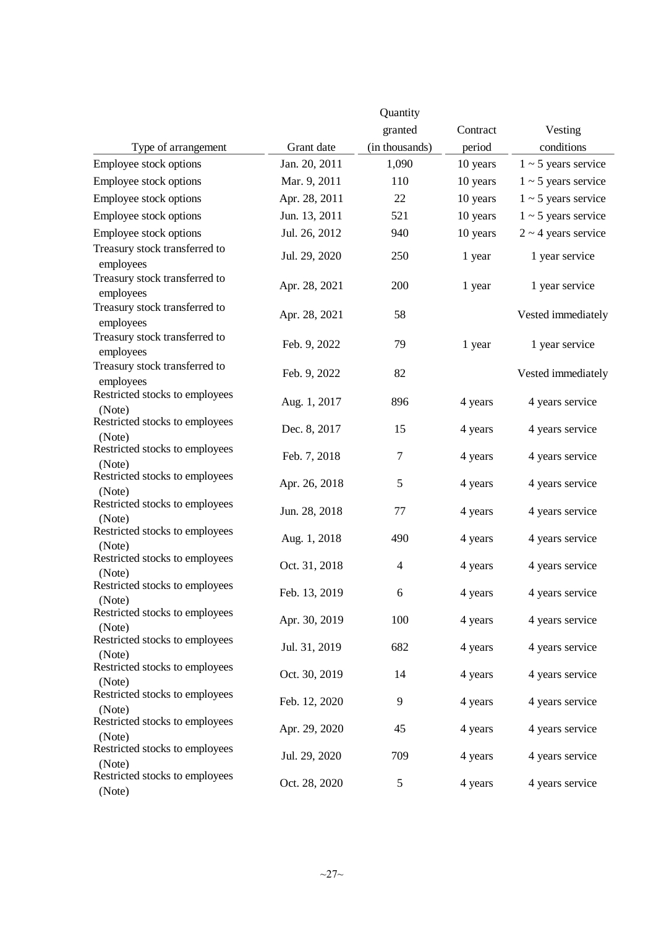|                                                                            |               | Quantity       |          |                          |
|----------------------------------------------------------------------------|---------------|----------------|----------|--------------------------|
|                                                                            |               | granted        | Contract | Vesting                  |
| Type of arrangement                                                        | Grant date    | (in thousands) | period   | conditions               |
| Employee stock options                                                     | Jan. 20, 2011 | 1,090          | 10 years | $1 \sim 5$ years service |
| Employee stock options                                                     | Mar. 9, 2011  | 110            | 10 years | $1 \sim 5$ years service |
| Employee stock options                                                     | Apr. 28, 2011 | 22             | 10 years | $1 \sim 5$ years service |
| Employee stock options                                                     | Jun. 13, 2011 | 521            | 10 years | $1 \sim 5$ years service |
| Employee stock options                                                     | Jul. 26, 2012 | 940            | 10 years | $2 \sim 4$ years service |
| Treasury stock transferred to<br>employees                                 | Jul. 29, 2020 | 250            | 1 year   | 1 year service           |
| Treasury stock transferred to<br>employees                                 | Apr. 28, 2021 | 200            | 1 year   | 1 year service           |
| Treasury stock transferred to<br>employees                                 | Apr. 28, 2021 | 58             |          | Vested immediately       |
| Treasury stock transferred to<br>employees                                 | Feb. 9, 2022  | 79             | 1 year   | 1 year service           |
| Treasury stock transferred to<br>employees                                 | Feb. 9, 2022  | 82             |          | Vested immediately       |
| Restricted stocks to employees<br>(Note)                                   | Aug. 1, 2017  | 896            | 4 years  | 4 years service          |
| Restricted stocks to employees<br>(Note)                                   | Dec. 8, 2017  | 15             | 4 years  | 4 years service          |
| Restricted stocks to employees<br>(Note)                                   | Feb. 7, 2018  | 7              | 4 years  | 4 years service          |
| Restricted stocks to employees<br>(Note)                                   | Apr. 26, 2018 | 5              | 4 years  | 4 years service          |
| Restricted stocks to employees<br>(Note)<br>Restricted stocks to employees | Jun. 28, 2018 | 77             | 4 years  | 4 years service          |
| (Note)<br>Restricted stocks to employees                                   | Aug. 1, 2018  | 490            | 4 years  | 4 years service          |
| (Note)                                                                     | Oct. 31, 2018 | $\overline{4}$ | 4 years  | 4 years service          |
| Restricted stocks to employees<br>(Note)                                   | Feb. 13, 2019 | 6              | 4 years  | 4 years service          |
| Restricted stocks to employees<br>(Note)                                   | Apr. 30, 2019 | 100            | 4 years  | 4 years service          |
| Restricted stocks to employees<br>(Note)                                   | Jul. 31, 2019 | 682            | 4 years  | 4 years service          |
| Restricted stocks to employees<br>(Note)                                   | Oct. 30, 2019 | 14             | 4 years  | 4 years service          |
| Restricted stocks to employees<br>(Note)                                   | Feb. 12, 2020 | 9              | 4 years  | 4 years service          |
| Restricted stocks to employees<br>(Note)                                   | Apr. 29, 2020 | 45             | 4 years  | 4 years service          |
| Restricted stocks to employees<br>(Note)                                   | Jul. 29, 2020 | 709            | 4 years  | 4 years service          |
| Restricted stocks to employees<br>(Note)                                   | Oct. 28, 2020 | 5              | 4 years  | 4 years service          |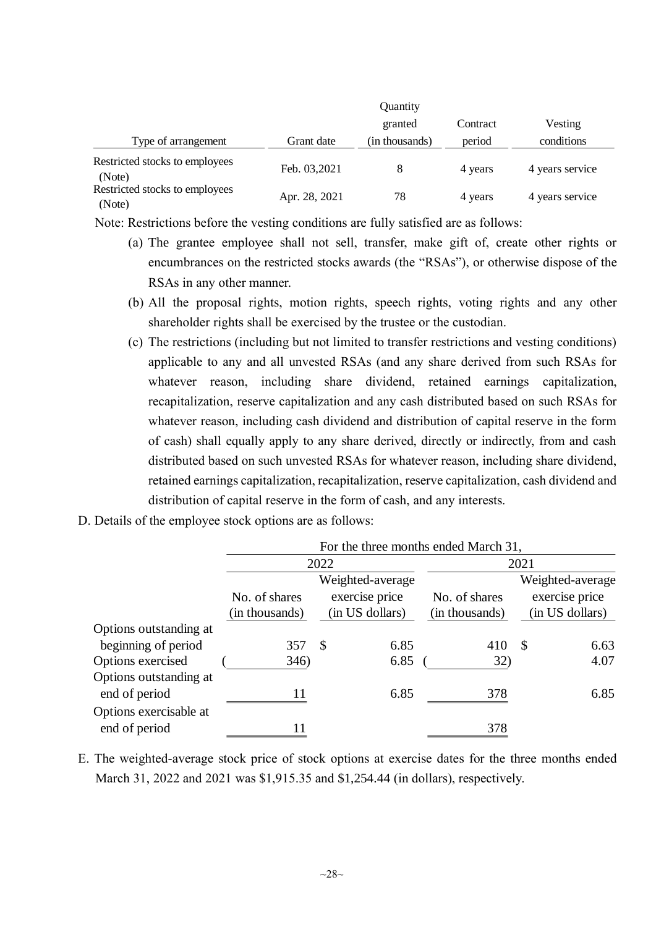|                                          |               | Quantity       |          |                 |
|------------------------------------------|---------------|----------------|----------|-----------------|
|                                          |               | granted        | Contract | Vesting         |
| Type of arrangement                      | Grant date    | (in thousands) | period   | conditions      |
| Restricted stocks to employees<br>(Note) | Feb. 03,2021  | 8              | 4 years  | 4 years service |
| Restricted stocks to employees<br>(Note) | Apr. 28, 2021 | 78             | 4 years  | 4 years service |

Note: Restrictions before the vesting conditions are fully satisfied are as follows:

- (a) The grantee employee shall not sell, transfer, make gift of, create other rights or encumbrances on the restricted stocks awards (the "RSAs"), or otherwise dispose of the RSAs in any other manner.
- (b) All the proposal rights, motion rights, speech rights, voting rights and any other shareholder rights shall be exercised by the trustee or the custodian.
- (c) The restrictions (including but not limited to transfer restrictions and vesting conditions) applicable to any and all unvested RSAs (and any share derived from such RSAs for whatever reason, including share dividend, retained earnings capitalization, recapitalization, reserve capitalization and any cash distributed based on such RSAs for whatever reason, including cash dividend and distribution of capital reserve in the form of cash) shall equally apply to any share derived, directly or indirectly, from and cash distributed based on such unvested RSAs for whatever reason, including share dividend, retained earnings capitalization, recapitalization, reserve capitalization, cash dividend and distribution of capital reserve in the form of cash, and any interests.
- D. Details of the employee stock options are as follows:

|                        | For the three months ended March 31, |      |                  |                |              |                  |  |  |
|------------------------|--------------------------------------|------|------------------|----------------|--------------|------------------|--|--|
|                        |                                      | 2022 |                  | 2021           |              |                  |  |  |
|                        |                                      |      | Weighted-average |                |              | Weighted-average |  |  |
|                        | No. of shares                        |      | exercise price   | No. of shares  |              | exercise price   |  |  |
|                        | (in thousands)                       |      | (in US dollars)  | (in thousands) |              | (in US dollars)  |  |  |
| Options outstanding at |                                      |      |                  |                |              |                  |  |  |
| beginning of period    | 357                                  | \$   | 6.85             | 410            | $\mathbb{S}$ | 6.63             |  |  |
| Options exercised      | 346)                                 |      | 6.85             | 32)            |              | 4.07             |  |  |
| Options outstanding at |                                      |      |                  |                |              |                  |  |  |
| end of period          | 11                                   |      | 6.85             | 378            |              | 6.85             |  |  |
| Options exercisable at |                                      |      |                  |                |              |                  |  |  |
| end of period          | 11                                   |      |                  | 378            |              |                  |  |  |
|                        |                                      |      |                  |                |              |                  |  |  |

E. The weighted-average stock price of stock options at exercise dates for the three months ended March 31, 2022 and 2021 was \$1,915.35 and \$1,254.44 (in dollars), respectively.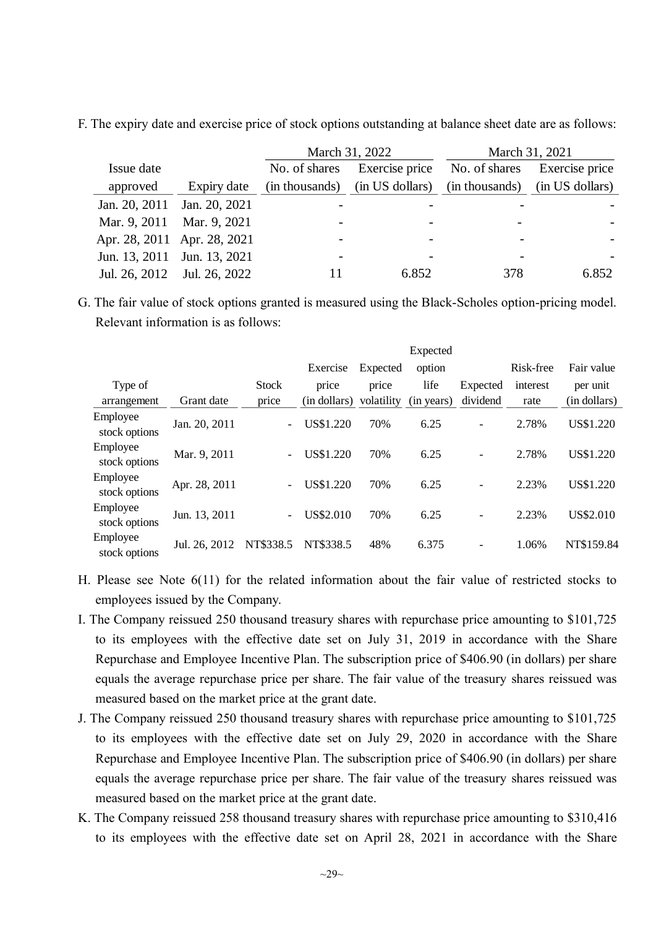|                             |               |                | March 31, 2022  |                | March 31, 2021  |
|-----------------------------|---------------|----------------|-----------------|----------------|-----------------|
| Issue date                  |               | No. of shares  | Exercise price  | No. of shares  | Exercise price  |
| approved                    | Expiry date   | (in thousands) | (in US dollars) | (in thousands) | (in US dollars) |
| Jan. 20, 2011               | Jan. 20, 2021 |                |                 |                |                 |
| Mar. 9, 2011                | Mar. 9, 2021  |                |                 |                |                 |
| Apr. 28, 2011 Apr. 28, 2021 |               |                |                 |                |                 |
| Jun. 13, 2011               | Jun. 13, 2021 |                |                 |                |                 |
| Jul. 26, 2012               | Jul. 26, 2022 |                | 6.852           | 378            | 6.852           |

F. The expiry date and exercise price of stock options outstanding at balance sheet date are as follows:

G. The fair value of stock options granted is measured using the Black-Scholes option-pricing model. Relevant information is as follows:

|                           |               |                          |                  |            | Expected   |                          |           |                  |
|---------------------------|---------------|--------------------------|------------------|------------|------------|--------------------------|-----------|------------------|
|                           |               |                          | Exercise         | Expected   | option     |                          | Risk-free | Fair value       |
| Type of                   |               | <b>Stock</b>             | price            | price      | life       | Expected                 | interest  | per unit         |
| arrangement               | Grant date    | price                    | (in dollars)     | volatility | (in years) | dividend                 | rate      | (in dollars)     |
| Employee<br>stock options | Jan. 20, 2011 | $\overline{\phantom{a}}$ | <b>US\$1.220</b> | 70%        | 6.25       | $\overline{a}$           | 2.78%     | <b>US\$1.220</b> |
| Employee<br>stock options | Mar. 9, 2011  |                          | US\$1.220        | 70%        | 6.25       | $\overline{\phantom{a}}$ | 2.78%     | <b>US\$1.220</b> |
| Employee<br>stock options | Apr. 28, 2011 |                          | <b>US\$1.220</b> | 70%        | 6.25       |                          | 2.23%     | <b>US\$1.220</b> |
| Employee<br>stock options | Jun. 13, 2011 |                          | <b>US\$2.010</b> | 70%        | 6.25       | $\overline{a}$           | 2.23%     | <b>US\$2.010</b> |
| Employee<br>stock options | Jul. 26, 2012 | NT\$338.5                | NT\$338.5        | 48%        | 6.375      | $\overline{\phantom{a}}$ | 1.06%     | NT\$159.84       |

- H. Please see Note 6(11) for the related information about the fair value of restricted stocks to employees issued by the Company.
- I. The Company reissued 250 thousand treasury shares with repurchase price amounting to \$101,725 to its employees with the effective date set on July 31, 2019 in accordance with the Share Repurchase and Employee Incentive Plan. The subscription price of \$406.90 (in dollars) per share equals the average repurchase price per share. The fair value of the treasury shares reissued was measured based on the market price at the grant date.
- J. The Company reissued 250 thousand treasury shares with repurchase price amounting to \$101,725 to its employees with the effective date set on July 29, 2020 in accordance with the Share Repurchase and Employee Incentive Plan. The subscription price of \$406.90 (in dollars) per share equals the average repurchase price per share. The fair value of the treasury shares reissued was measured based on the market price at the grant date.
- K. The Company reissued 258 thousand treasury shares with repurchase price amounting to \$310,416 to its employees with the effective date set on April 28, 2021 in accordance with the Share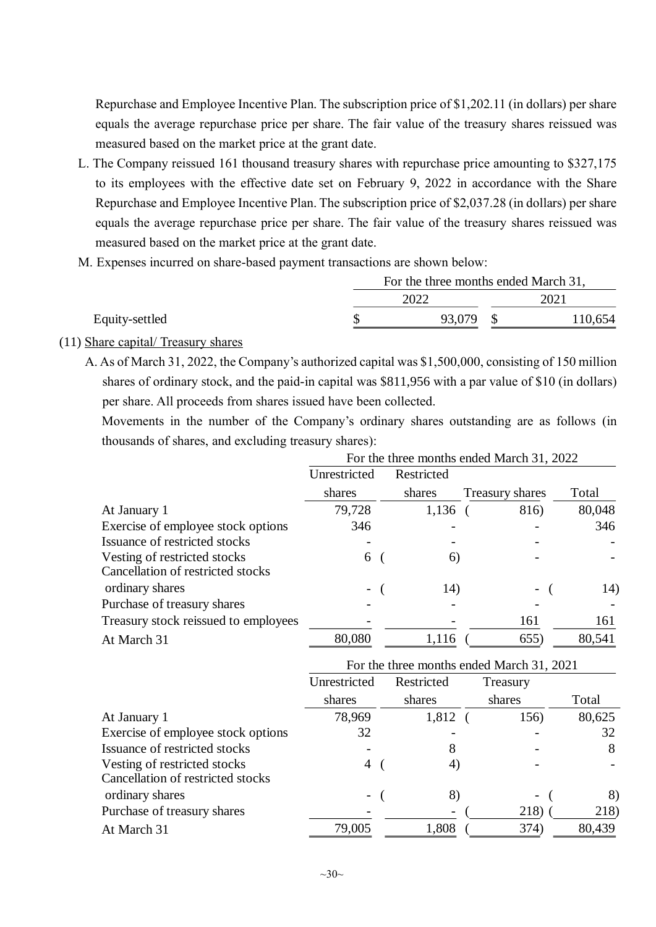Repurchase and Employee Incentive Plan. The subscription price of \$1,202.11 (in dollars) per share equals the average repurchase price per share. The fair value of the treasury shares reissued was measured based on the market price at the grant date.

- L. The Company reissued 161 thousand treasury shares with repurchase price amounting to \$327,175 to its employees with the effective date set on February 9, 2022 in accordance with the Share Repurchase and Employee Incentive Plan. The subscription price of \$2,037.28 (in dollars) per share equals the average repurchase price per share. The fair value of the treasury shares reissued was measured based on the market price at the grant date.
- M. Expenses incurred on share-based payment transactions are shown below:

|                | For the three months ended March 31, |        |  |         |  |
|----------------|--------------------------------------|--------|--|---------|--|
|                |                                      |        |  |         |  |
| Equity-settled |                                      | 93,079 |  | 110,654 |  |

(11) Share capital/ Treasury shares

A. As of March 31, 2022, the Company's authorized capital was \$1,500,000, consisting of 150 million shares of ordinary stock, and the paid-in capital was \$811,956 with a par value of \$10 (in dollars) per share. All proceeds from shares issued have been collected.

Movements in the number of the Company's ordinary shares outstanding are as follows (in thousands of shares, and excluding treasury shares):

|                                      | For the three months ended March 31, 2022 |            |                 |        |  |  |  |
|--------------------------------------|-------------------------------------------|------------|-----------------|--------|--|--|--|
|                                      | Unrestricted                              | Restricted |                 |        |  |  |  |
|                                      | shares                                    | shares     | Treasury shares | Total  |  |  |  |
| At January 1                         | 79,728                                    | 1,136      | 816)            | 80,048 |  |  |  |
| Exercise of employee stock options   | 346                                       |            |                 | 346    |  |  |  |
| Issuance of restricted stocks        |                                           |            |                 |        |  |  |  |
| Vesting of restricted stocks         | 6                                         | $\Theta$   |                 |        |  |  |  |
| Cancellation of restricted stocks    |                                           |            |                 |        |  |  |  |
| ordinary shares                      |                                           | 14)        |                 | 14)    |  |  |  |
| Purchase of treasury shares          |                                           |            |                 |        |  |  |  |
| Treasury stock reissued to employees |                                           |            | 161             | 161    |  |  |  |
| At March 31                          | 80,080                                    | 1,116      | 655)            | 80,541 |  |  |  |

|                                                                   | For the three months ended March 31, 2021 |            |          |        |  |  |
|-------------------------------------------------------------------|-------------------------------------------|------------|----------|--------|--|--|
|                                                                   | Unrestricted                              | Restricted | Treasury |        |  |  |
|                                                                   | shares                                    | shares     | shares   | Total  |  |  |
| At January 1                                                      | 78,969                                    | 1,812      | 156)     | 80,625 |  |  |
| Exercise of employee stock options                                | 32                                        |            |          | 32     |  |  |
| Issuance of restricted stocks                                     |                                           | 8          |          | 8      |  |  |
| Vesting of restricted stocks<br>Cancellation of restricted stocks | 4                                         | 4)         |          |        |  |  |
| ordinary shares                                                   | $\sim$                                    | 8)         | $\sim$   | 8)     |  |  |
| Purchase of treasury shares                                       |                                           |            | 218)     | 218)   |  |  |
| At March 31                                                       | 79,005                                    | 1,808      | 374)     | 80,439 |  |  |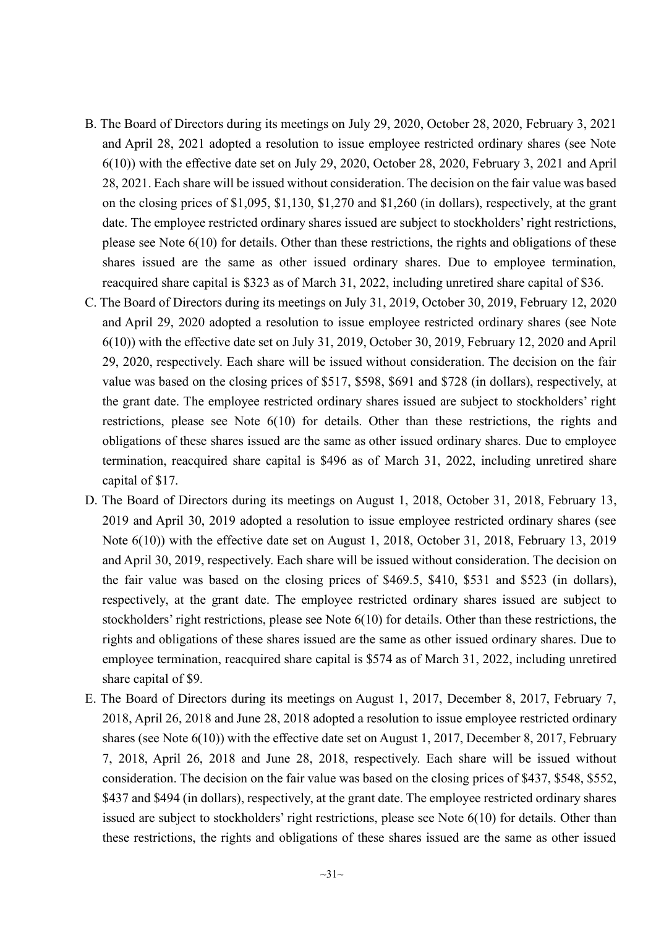- B. The Board of Directors during its meetings on July 29, 2020, October 28, 2020, February 3, 2021 and April 28, 2021 adopted a resolution to issue employee restricted ordinary shares (see Note 6(10)) with the effective date set on July 29, 2020, October 28, 2020, February 3, 2021 and April 28, 2021. Each share will be issued without consideration. The decision on the fair value was based on the closing prices of \$1,095, \$1,130, \$1,270 and \$1,260 (in dollars), respectively, at the grant date. The employee restricted ordinary shares issued are subject to stockholders' right restrictions, please see Note 6(10) for details. Other than these restrictions, the rights and obligations of these shares issued are the same as other issued ordinary shares. Due to employee termination, reacquired share capital is \$323 as of March 31, 2022, including unretired share capital of \$36.
- C. The Board of Directors during its meetings on July 31, 2019, October 30, 2019, February 12, 2020 and April 29, 2020 adopted a resolution to issue employee restricted ordinary shares (see Note 6(10)) with the effective date set on July 31, 2019, October 30, 2019, February 12, 2020 and April 29, 2020, respectively. Each share will be issued without consideration. The decision on the fair value was based on the closing prices of \$517, \$598, \$691 and \$728 (in dollars), respectively, at the grant date. The employee restricted ordinary shares issued are subject to stockholders' right restrictions, please see Note 6(10) for details. Other than these restrictions, the rights and obligations of these shares issued are the same as other issued ordinary shares. Due to employee termination, reacquired share capital is \$496 as of March 31, 2022, including unretired share capital of \$17.
- D. The Board of Directors during its meetings on August 1, 2018, October 31, 2018, February 13, 2019 and April 30, 2019 adopted a resolution to issue employee restricted ordinary shares (see Note 6(10)) with the effective date set on August 1, 2018, October 31, 2018, February 13, 2019 and April 30, 2019, respectively. Each share will be issued without consideration. The decision on the fair value was based on the closing prices of \$469.5, \$410, \$531 and \$523 (in dollars), respectively, at the grant date. The employee restricted ordinary shares issued are subject to stockholders' right restrictions, please see Note 6(10) for details. Other than these restrictions, the rights and obligations of these shares issued are the same as other issued ordinary shares. Due to employee termination, reacquired share capital is \$574 as of March 31, 2022, including unretired share capital of \$9.
- E. The Board of Directors during its meetings on August 1, 2017, December 8, 2017, February 7, 2018, April 26, 2018 and June 28, 2018 adopted a resolution to issue employee restricted ordinary shares (see Note 6(10)) with the effective date set on August 1, 2017, December 8, 2017, February 7, 2018, April 26, 2018 and June 28, 2018, respectively. Each share will be issued without consideration. The decision on the fair value was based on the closing prices of \$437, \$548, \$552, \$437 and \$494 (in dollars), respectively, at the grant date. The employee restricted ordinary shares issued are subject to stockholders' right restrictions, please see Note 6(10) for details. Other than these restrictions, the rights and obligations of these shares issued are the same as other issued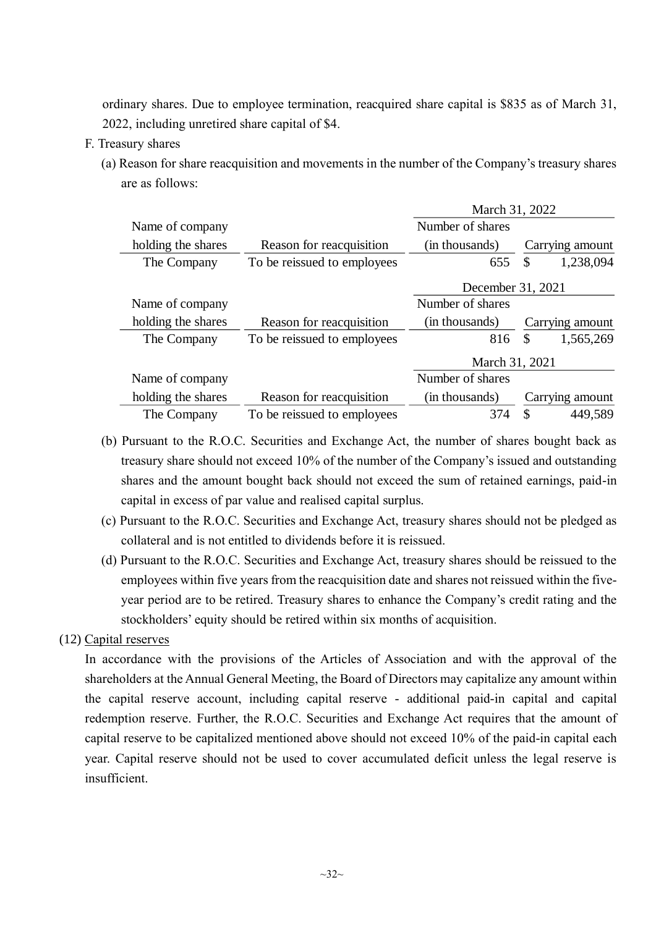ordinary shares. Due to employee termination, reacquired share capital is \$835 as of March 31, 2022, including unretired share capital of \$4.

- F. Treasury shares
	- (a) Reason for share reacquisition and movements in the number of the Company's treasury shares are as follows:

|                    |                             | March 31, 2022    |                 |
|--------------------|-----------------------------|-------------------|-----------------|
| Name of company    |                             | Number of shares  |                 |
| holding the shares | Reason for reacquisition    | (in thousands)    | Carrying amount |
| The Company        | To be reissued to employees | 655               | 1,238,094       |
|                    |                             | December 31, 2021 |                 |
| Name of company    |                             | Number of shares  |                 |
| holding the shares | Reason for reacquisition    | (in thousands)    | Carrying amount |
| The Company        | To be reissued to employees | 816               | 1,565,269<br>S  |
|                    |                             | March 31, 2021    |                 |
| Name of company    |                             | Number of shares  |                 |
| holding the shares | Reason for reacquisition    | (in thousands)    | Carrying amount |
| The Company        | To be reissued to employees | 374               | 449,589<br>S    |

- (b) Pursuant to the R.O.C. Securities and Exchange Act, the number of shares bought back as treasury share should not exceed 10% of the number of the Company's issued and outstanding shares and the amount bought back should not exceed the sum of retained earnings, paid-in capital in excess of par value and realised capital surplus.
- (c) Pursuant to the R.O.C. Securities and Exchange Act, treasury shares should not be pledged as collateral and is not entitled to dividends before it is reissued.
- (d) Pursuant to the R.O.C. Securities and Exchange Act, treasury shares should be reissued to the employees within five years from the reacquisition date and shares not reissued within the fiveyear period are to be retired. Treasury shares to enhance the Company's credit rating and the stockholders' equity should be retired within six months of acquisition.

#### (12) Capital reserves

In accordance with the provisions of the Articles of Association and with the approval of the shareholders at the Annual General Meeting, the Board of Directors may capitalize any amount within the capital reserve account, including capital reserve - additional paid-in capital and capital redemption reserve. Further, the R.O.C. Securities and Exchange Act requires that the amount of capital reserve to be capitalized mentioned above should not exceed 10% of the paid-in capital each year. Capital reserve should not be used to cover accumulated deficit unless the legal reserve is insufficient.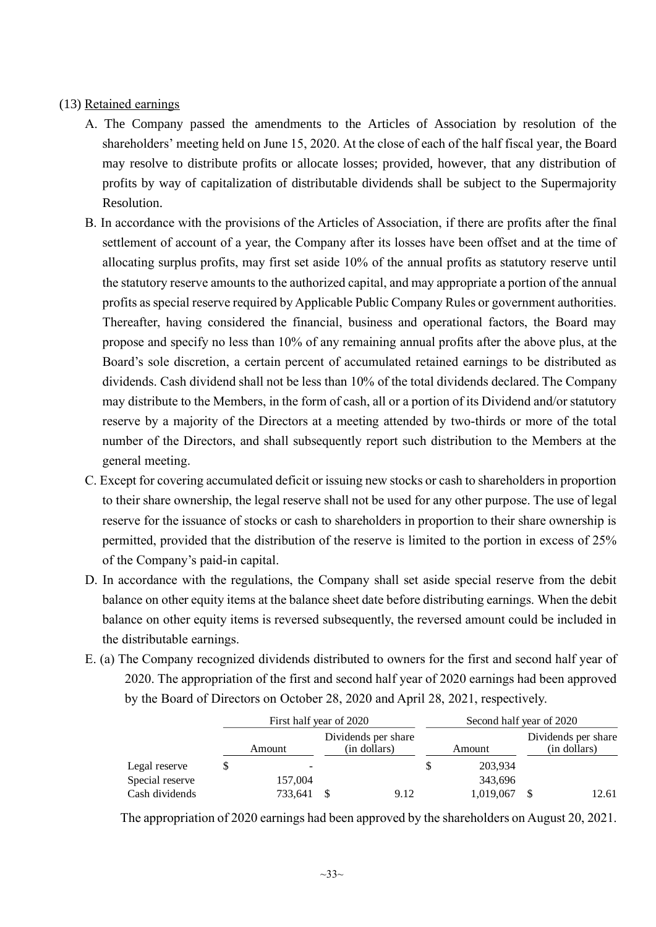#### (13) Retained earnings

- A. The Company passed the amendments to the Articles of Association by resolution of the shareholders' meeting held on June 15, 2020. At the close of each of the half fiscal year, the Board may resolve to distribute profits or allocate losses; provided, however, that any distribution of profits by way of capitalization of distributable dividends shall be subject to the Supermajority Resolution.
- B. In accordance with the provisions of the Articles of Association, if there are profits after the final settlement of account of a year, the Company after its losses have been offset and at the time of allocating surplus profits, may first set aside 10% of the annual profits as statutory reserve until the statutory reserve amounts to the authorized capital, and may appropriate a portion of the annual profits as special reserve required by Applicable Public Company Rules or government authorities. Thereafter, having considered the financial, business and operational factors, the Board may propose and specify no less than 10% of any remaining annual profits after the above plus, at the Board's sole discretion, a certain percent of accumulated retained earnings to be distributed as dividends. Cash dividend shall not be less than 10% of the total dividends declared. The Company may distribute to the Members, in the form of cash, all or a portion of its Dividend and/or statutory reserve by a majority of the Directors at a meeting attended by two-thirds or more of the total number of the Directors, and shall subsequently report such distribution to the Members at the general meeting.
- C. Except for covering accumulated deficit or issuing new stocks or cash to shareholders in proportion to their share ownership, the legal reserve shall not be used for any other purpose. The use of legal reserve for the issuance of stocks or cash to shareholders in proportion to their share ownership is permitted, provided that the distribution of the reserve is limited to the portion in excess of 25% of the Company's paid-in capital.
- D. In accordance with the regulations, the Company shall set aside special reserve from the debit balance on other equity items at the balance sheet date before distributing earnings. When the debit balance on other equity items is reversed subsequently, the reversed amount could be included in the distributable earnings.
- E. (a) The Company recognized dividends distributed to owners for the first and second half year of 2020. The appropriation of the first and second half year of 2020 earnings had been approved by the Board of Directors on October 28, 2020 and April 28, 2021, respectively.

|                 | First half year of 2020 |  |                                     | Second half year of 2020 |  |                                     |
|-----------------|-------------------------|--|-------------------------------------|--------------------------|--|-------------------------------------|
|                 | Amount                  |  | Dividends per share<br>(in dollars) | Amount                   |  | Dividends per share<br>(in dollars) |
| Legal reserve   |                         |  |                                     | 203,934                  |  |                                     |
| Special reserve | 157,004                 |  |                                     | 343,696                  |  |                                     |
| Cash dividends  | 733,641                 |  | 9.12                                | 1,019,067                |  | 12.61                               |

The appropriation of 2020 earnings had been approved by the shareholders on August 20, 2021.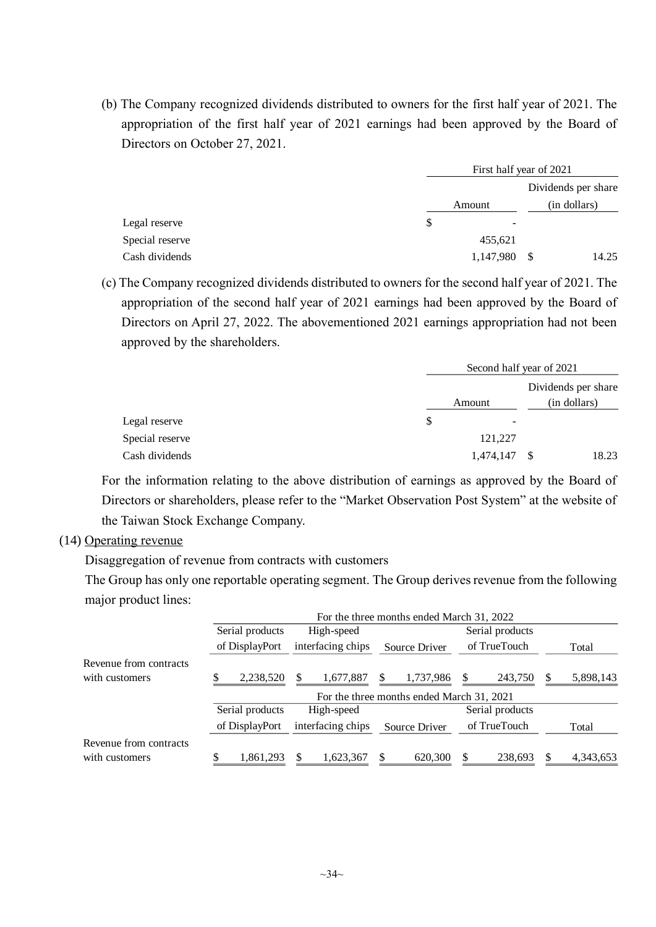(b) The Company recognized dividends distributed to owners for the first half year of 2021. The appropriation of the first half year of 2021 earnings had been approved by the Board of Directors on October 27, 2021.

|                 |           | First half year of 2021 |                                     |  |
|-----------------|-----------|-------------------------|-------------------------------------|--|
|                 |           |                         | Dividends per share<br>(in dollars) |  |
|                 | Amount    |                         |                                     |  |
| Legal reserve   | \$<br>-   |                         |                                     |  |
| Special reserve | 455,621   |                         |                                     |  |
| Cash dividends  | 1,147,980 | -S                      | 14.25                               |  |

(c) The Company recognized dividends distributed to owners for the second half year of 2021. The appropriation of the second half year of 2021 earnings had been approved by the Board of Directors on April 27, 2022. The abovementioned 2021 earnings appropriation had not been approved by the shareholders.

|                 |           | Second half year of 2021 |                                     |  |
|-----------------|-----------|--------------------------|-------------------------------------|--|
|                 | Amount    |                          | Dividends per share<br>(in dollars) |  |
|                 |           |                          |                                     |  |
| Legal reserve   | \$        | -                        |                                     |  |
| Special reserve | 121,227   |                          |                                     |  |
| Cash dividends  | 1,474,147 | -S                       | 18.23                               |  |

For the information relating to the above distribution of earnings as approved by the Board of Directors or shareholders, please refer to the "Market Observation Post System" at the website of the Taiwan Stock Exchange Company.

#### (14) Operating revenue

Disaggregation of revenue from contracts with customers

The Group has only one reportable operating segment. The Group derives revenue from the following major product lines:

|                        | For the three months ended March 31, 2022 |                 |  |                                           |  |               |  |                 |  |           |
|------------------------|-------------------------------------------|-----------------|--|-------------------------------------------|--|---------------|--|-----------------|--|-----------|
|                        |                                           | Serial products |  | High-speed                                |  |               |  | Serial products |  |           |
|                        |                                           | of DisplayPort  |  | interfacing chips                         |  | Source Driver |  | of TrueTouch    |  | Total     |
| Revenue from contracts |                                           |                 |  |                                           |  |               |  |                 |  |           |
| with customers         |                                           | 2,238,520       |  | 1,677,887                                 |  | 1,737,986     |  | 243,750         |  | 5,898,143 |
|                        |                                           |                 |  | For the three months ended March 31, 2021 |  |               |  |                 |  |           |
|                        |                                           | Serial products |  | High-speed                                |  |               |  | Serial products |  |           |
|                        |                                           | of DisplayPort  |  | interfacing chips                         |  | Source Driver |  | of TrueTouch    |  | Total     |
| Revenue from contracts |                                           |                 |  |                                           |  |               |  |                 |  |           |
| with customers         |                                           | 1,861,293       |  | 1,623,367                                 |  | 620,300       |  | 238,693         |  | 4,343,653 |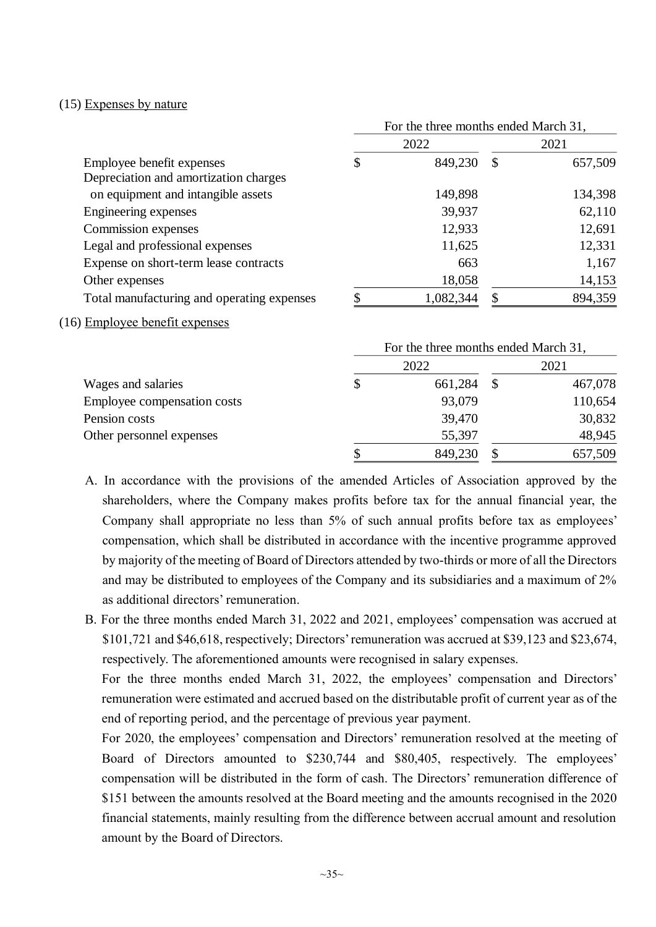#### (15) Expenses by nature

|                                            |    | For the three months ended March 31, |               |         |  |
|--------------------------------------------|----|--------------------------------------|---------------|---------|--|
|                                            |    | 2022                                 | 2021          |         |  |
| Employee benefit expenses                  | \$ | 849,230                              | $\mathcal{S}$ | 657,509 |  |
| Depreciation and amortization charges      |    |                                      |               |         |  |
| on equipment and intangible assets         |    | 149,898                              |               | 134,398 |  |
| Engineering expenses                       |    | 39,937                               |               | 62,110  |  |
| Commission expenses                        |    | 12,933                               |               | 12,691  |  |
| Legal and professional expenses            |    | 11,625                               |               | 12,331  |  |
| Expense on short-term lease contracts      |    | 663                                  |               | 1,167   |  |
| Other expenses                             |    | 18,058                               |               | 14,153  |  |
| Total manufacturing and operating expenses | ∩  | 1,082,344                            | \$            | 894,359 |  |

(16) Employee benefit expenses

|                             | For the three months ended March 31, |  |         |  |  |  |
|-----------------------------|--------------------------------------|--|---------|--|--|--|
|                             | 2022                                 |  | 2021    |  |  |  |
| Wages and salaries          | \$<br>661,284                        |  | 467,078 |  |  |  |
| Employee compensation costs | 93,079                               |  | 110,654 |  |  |  |
| Pension costs               | 39,470                               |  | 30,832  |  |  |  |
| Other personnel expenses    | 55,397                               |  | 48,945  |  |  |  |
|                             | \$<br>849,230                        |  | 657,509 |  |  |  |

- A. In accordance with the provisions of the amended Articles of Association approved by the shareholders, where the Company makes profits before tax for the annual financial year, the Company shall appropriate no less than 5% of such annual profits before tax as employees' compensation, which shall be distributed in accordance with the incentive programme approved by majority of the meeting of Board of Directors attended by two-thirds or more of all the Directors and may be distributed to employees of the Company and its subsidiaries and a maximum of 2% as additional directors' remuneration.
- B. For the three months ended March 31, 2022 and 2021, employees' compensation was accrued at \$101,721 and \$46,618, respectively; Directors' remuneration was accrued at \$39,123 and \$23,674, respectively. The aforementioned amounts were recognised in salary expenses.

For the three months ended March 31, 2022, the employees' compensation and Directors' remuneration were estimated and accrued based on the distributable profit of current year as of the end of reporting period, and the percentage of previous year payment.

For 2020, the employees' compensation and Directors' remuneration resolved at the meeting of Board of Directors amounted to \$230,744 and \$80,405, respectively. The employees' compensation will be distributed in the form of cash. The Directors' remuneration difference of \$151 between the amounts resolved at the Board meeting and the amounts recognised in the 2020 financial statements, mainly resulting from the difference between accrual amount and resolution amount by the Board of Directors.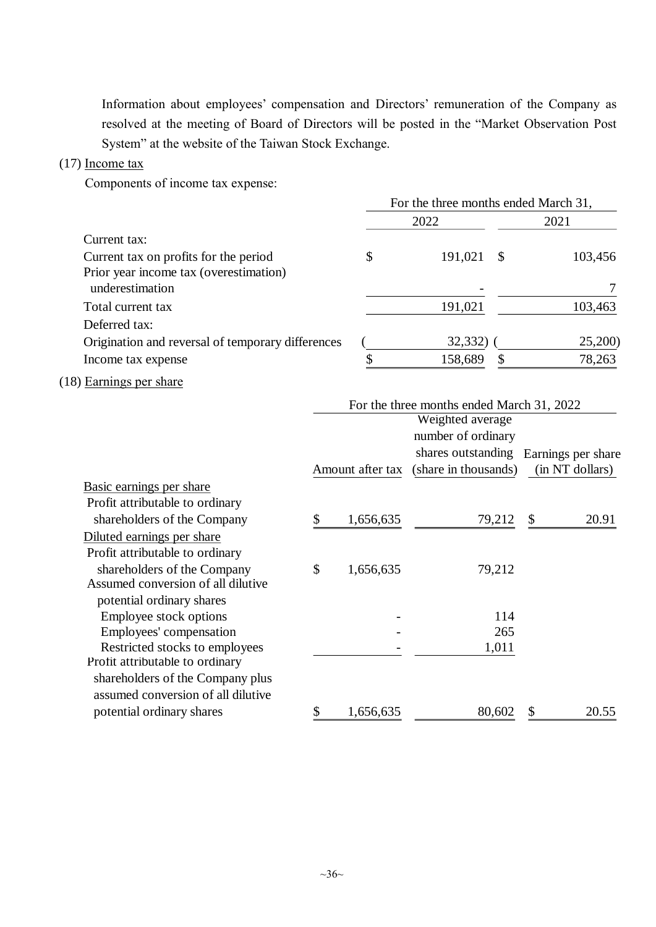Information about employees' compensation and Directors' remuneration of the Company as resolved at the meeting of Board of Directors will be posted in the "Market Observation Post System" at the website of the Taiwan Stock Exchange.

#### $(17)$  Income tax

Components of income tax expense:

|                                                   | For the three months ended March 31, |         |      |         |  |  |  |
|---------------------------------------------------|--------------------------------------|---------|------|---------|--|--|--|
|                                                   |                                      | 2022    | 2021 |         |  |  |  |
| Current tax:                                      |                                      |         |      |         |  |  |  |
| Current tax on profits for the period             | \$                                   | 191,021 | - \$ | 103,456 |  |  |  |
| Prior year income tax (overestimation)            |                                      |         |      |         |  |  |  |
| underestimation                                   |                                      |         |      |         |  |  |  |
| Total current tax                                 |                                      | 191,021 |      | 103,463 |  |  |  |
| Deferred tax:                                     |                                      |         |      |         |  |  |  |
| Origination and reversal of temporary differences |                                      | 32,332) |      | 25,200  |  |  |  |
| Income tax expense                                |                                      | 158,689 |      | 78,263  |  |  |  |

## (18) Earnings per share

|                                    | For the three months ended March 31, 2022 |                  |                      |                    |       |  |  |  |  |  |
|------------------------------------|-------------------------------------------|------------------|----------------------|--------------------|-------|--|--|--|--|--|
|                                    |                                           |                  | Weighted average     |                    |       |  |  |  |  |  |
|                                    |                                           |                  | number of ordinary   |                    |       |  |  |  |  |  |
|                                    |                                           |                  | shares outstanding   | Earnings per share |       |  |  |  |  |  |
|                                    |                                           | Amount after tax | (share in thousands) | (in NT dollars)    |       |  |  |  |  |  |
| <u>Basic earnings per share</u>    |                                           |                  |                      |                    |       |  |  |  |  |  |
| Profit attributable to ordinary    |                                           |                  |                      |                    |       |  |  |  |  |  |
| shareholders of the Company        | \$                                        | 1,656,635        | 79,212               | S                  | 20.91 |  |  |  |  |  |
| Diluted earnings per share         |                                           |                  |                      |                    |       |  |  |  |  |  |
| Profit attributable to ordinary    |                                           |                  |                      |                    |       |  |  |  |  |  |
| shareholders of the Company        | \$                                        | 1,656,635        | 79,212               |                    |       |  |  |  |  |  |
| Assumed conversion of all dilutive |                                           |                  |                      |                    |       |  |  |  |  |  |
| potential ordinary shares          |                                           |                  |                      |                    |       |  |  |  |  |  |
| Employee stock options             |                                           |                  | 114                  |                    |       |  |  |  |  |  |
| Employees' compensation            |                                           |                  | 265                  |                    |       |  |  |  |  |  |
| Restricted stocks to employees     |                                           |                  | 1,011                |                    |       |  |  |  |  |  |
| Profit attributable to ordinary    |                                           |                  |                      |                    |       |  |  |  |  |  |
| shareholders of the Company plus   |                                           |                  |                      |                    |       |  |  |  |  |  |
| assumed conversion of all dilutive |                                           |                  |                      |                    |       |  |  |  |  |  |
| potential ordinary shares          | \$                                        | 1,656,635        | 80,602               |                    | 20.55 |  |  |  |  |  |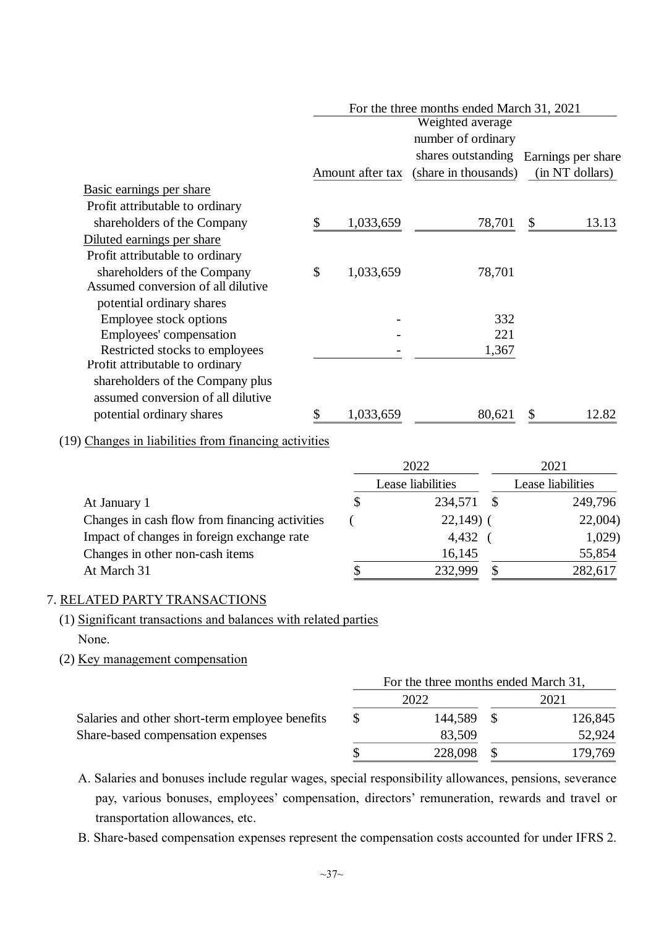|                                                                   |                  | For the three months ended March 31, 2021<br>Weighted average<br>number of ordinary |                 |
|-------------------------------------------------------------------|------------------|-------------------------------------------------------------------------------------|-----------------|
|                                                                   |                  | shares outstanding Earnings per share                                               |                 |
| Basic earnings per share                                          | Amount after tax | (share in thousands)                                                                | (in NT dollars) |
| Profit attributable to ordinary                                   |                  |                                                                                     |                 |
| shareholders of the Company                                       | 1,033,659        | 78,701                                                                              | \$<br>13.13     |
| Diluted earnings per share                                        |                  |                                                                                     |                 |
| Profit attributable to ordinary                                   |                  |                                                                                     |                 |
| shareholders of the Company<br>Assumed conversion of all dilutive | \$<br>1,033,659  | 78,701                                                                              |                 |
| potential ordinary shares                                         |                  |                                                                                     |                 |
| Employee stock options                                            |                  | 332                                                                                 |                 |
| Employees' compensation                                           |                  | 221                                                                                 |                 |
| Restricted stocks to employees<br>Profit attributable to ordinary |                  | 1,367                                                                               |                 |
| shareholders of the Company plus                                  |                  |                                                                                     |                 |
| assumed conversion of all dilutive                                |                  |                                                                                     |                 |
| potential ordinary shares                                         | \$<br>1,033,659  | 80,621                                                                              | 12.82<br>\$     |

#### (19) Changes in liabilities from financing activities

|                                                | 2022 |                   |  | 2021              |
|------------------------------------------------|------|-------------------|--|-------------------|
|                                                |      | Lease liabilities |  | Lease liabilities |
| At January 1                                   | \$   | 234,571           |  | 249,796           |
| Changes in cash flow from financing activities |      | $22,149$ (        |  | 22,004            |
| Impact of changes in foreign exchange rate     |      | 4,432             |  | 1,029             |
| Changes in other non-cash items                |      | 16,145            |  | 55,854            |
| At March 31                                    |      | 232,999           |  | 282,617           |

#### 7. RELATED PARTY TRANSACTIONS

(1) Significant transactions and balances with related parties None.

#### (2) Key management compensation

|                                                 | For the three months ended March 31, |         |     |         |  |  |
|-------------------------------------------------|--------------------------------------|---------|-----|---------|--|--|
|                                                 |                                      | 2022    |     | 2021    |  |  |
| Salaries and other short-term employee benefits |                                      | 144,589 | - S | 126,845 |  |  |
| Share-based compensation expenses               |                                      | 83,509  |     | 52,924  |  |  |
|                                                 |                                      | 228,098 |     | 179,769 |  |  |

- A. Salaries and bonuses include regular wages, special responsibility allowances, pensions, severance pay, various bonuses, employees' compensation, directors' remuneration, rewards and travel or transportation allowances, etc.
- B. Share-based compensation expenses represent the compensation costs accounted for under IFRS 2.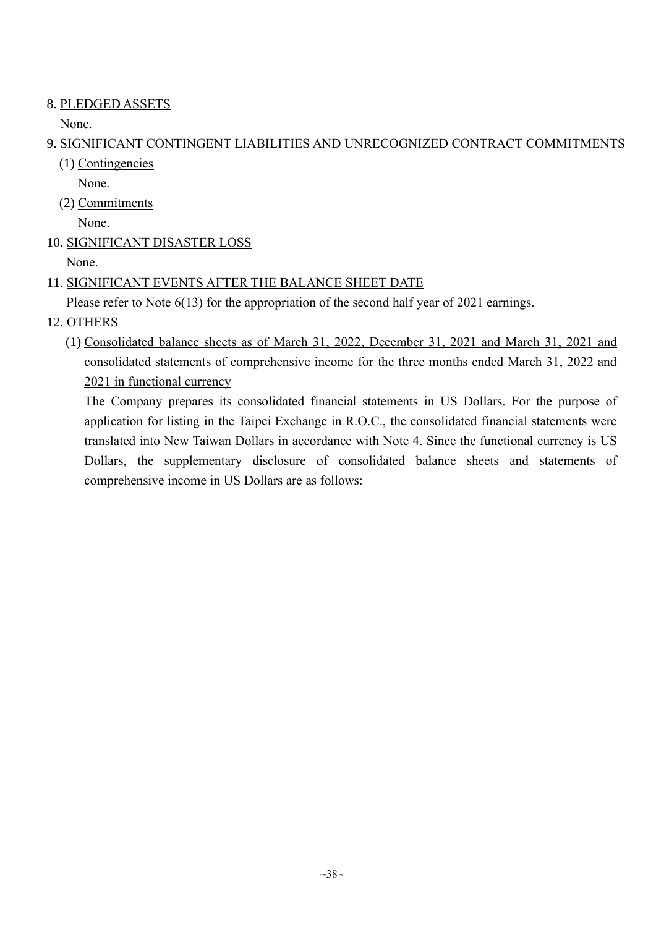## 8. PLEDGED ASSETS

None.

## 9. SIGNIFICANT CONTINGENT LIABILITIES AND UNRECOGNIZED CONTRACT COMMITMENTS

(1) Contingencies

None.

(2) Commitments

None.

10. SIGNIFICANT DISASTER LOSS

None.

## 11. SIGNIFICANT EVENTS AFTER THE BALANCE SHEET DATE

Please refer to Note 6(13) for the appropriation of the second half year of 2021 earnings.

- 12. OTHERS
	- (1) Consolidated balance sheets as of March 31, 2022, December 31, 2021 and March 31, 2021 and consolidated statements of comprehensive income for the three months ended March 31, 2022 and 2021 in functional currency

The Company prepares its consolidated financial statements in US Dollars. For the purpose of application for listing in the Taipei Exchange in R.O.C., the consolidated financial statements were translated into New Taiwan Dollars in accordance with Note 4. Since the functional currency is US Dollars, the supplementary disclosure of consolidated balance sheets and statements of comprehensive income in US Dollars are as follows: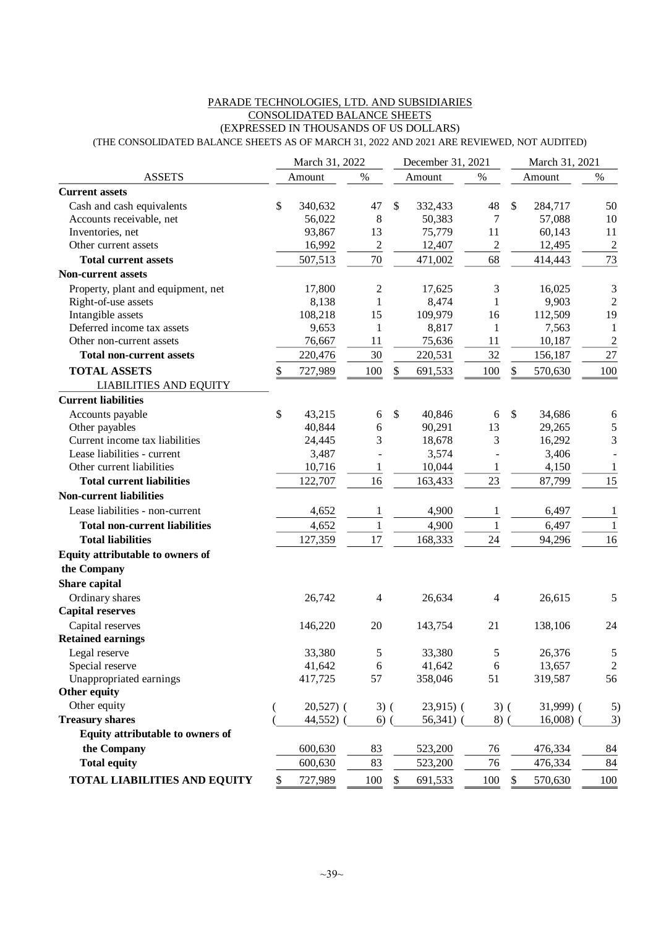#### PARADE TECHNOLOGIES, LTD. AND SUBSIDIARIES CONSOLIDATED BALANCE SHEETS (EXPRESSED IN THOUSANDS OF US DOLLARS) (THE CONSOLIDATED BALANCE SHEETS AS OF MARCH 31, 2022 AND 2021 ARE REVIEWED, NOT AUDITED)

|                                      | March 31, 2022 |              |              | December 31, 2021 |                | March 31, 2021 |                  |
|--------------------------------------|----------------|--------------|--------------|-------------------|----------------|----------------|------------------|
| <b>ASSETS</b>                        | Amount         | $\%$         |              | Amount            | %              | Amount         | %                |
| <b>Current assets</b>                |                |              |              |                   |                |                |                  |
| Cash and cash equivalents            | \$<br>340,632  | 47           | \$           | 332,433           | 48             | \$<br>284,717  | 50               |
| Accounts receivable, net             | 56,022         | 8            |              | 50,383            | 7              | 57,088         | 10               |
| Inventories, net                     | 93,867         | 13           |              | 75,779            | 11             | 60,143         | 11               |
| Other current assets                 | 16,992         | 2            |              | 12,407            | $\overline{c}$ | 12,495         | $\sqrt{2}$       |
| <b>Total current assets</b>          | 507,513        | 70           |              | 471,002           | 68             | 414,443        | 73               |
| <b>Non-current assets</b>            |                |              |              |                   |                |                |                  |
| Property, plant and equipment, net   | 17,800         | $\sqrt{2}$   |              | 17,625            | 3              | 16,025         | 3                |
| Right-of-use assets                  | 8,138          | 1            |              | 8,474             | 1              | 9,903          | 2                |
| Intangible assets                    | 108,218        | 15           |              | 109,979           | 16             | 112,509        | 19               |
| Deferred income tax assets           | 9,653          | 1            |              | 8,817             | 1              | 7,563          | 1                |
| Other non-current assets             | 76,667         | 11           |              | 75,636            | 11             | 10,187         | $\boldsymbol{2}$ |
| <b>Total non-current assets</b>      | 220,476        | 30           |              | 220,531           | 32             | 156,187        | 27               |
| <b>TOTAL ASSETS</b>                  | \$<br>727,989  | 100          | $\mathbb{S}$ | 691,533           | 100            | \$<br>570,630  | 100              |
| <b>LIABILITIES AND EQUITY</b>        |                |              |              |                   |                |                |                  |
| <b>Current liabilities</b>           |                |              |              |                   |                |                |                  |
| Accounts payable                     | \$<br>43,215   | 6            | \$           | 40,846            | 6              | \$<br>34,686   | 6                |
| Other payables                       | 40,844         | 6            |              | 90,291            | 13             | 29,265         | 5                |
| Current income tax liabilities       | 24,445         | 3            |              | 18,678            | 3              | 16,292         | 3                |
| Lease liabilities - current          | 3,487          |              |              | 3,574             |                | 3,406          |                  |
| Other current liabilities            | 10,716         | 1            |              | 10,044            | 1              | 4,150          | 1                |
| <b>Total current liabilities</b>     | 122,707        | 16           |              | 163,433           | 23             | 87,799         | 15               |
| <b>Non-current liabilities</b>       |                |              |              |                   |                |                |                  |
| Lease liabilities - non-current      | 4,652          | $\mathbf{1}$ |              | 4,900             | $\mathbf 1$    | 6,497          | 1                |
| <b>Total non-current liabilities</b> | 4,652          | $\mathbf{1}$ |              | 4,900             | $\mathbf{1}$   | 6,497          | $\,1\,$          |
| <b>Total liabilities</b>             | 127,359        | 17           |              | 168,333           | 24             | 94,296         | 16               |
|                                      |                |              |              |                   |                |                |                  |
| Equity attributable to owners of     |                |              |              |                   |                |                |                  |
| the Company                          |                |              |              |                   |                |                |                  |
| Share capital                        |                |              |              |                   |                |                |                  |
| Ordinary shares                      | 26,742         | 4            |              | 26,634            | 4              | 26,615         | 5                |
| <b>Capital reserves</b>              |                |              |              |                   |                |                |                  |
| Capital reserves                     | 146,220        | 20           |              | 143,754           | 21             | 138,106        | 24               |
| <b>Retained earnings</b>             |                |              |              |                   |                |                |                  |
| Legal reserve                        | 33,380         | $\sqrt{5}$   |              | 33,380            | 5              | 26,376         | $\sqrt{5}$       |
| Special reserve                      | 41,642         | 6            |              | 41,642            | 6              | 13,657         | $\overline{2}$   |
| Unappropriated earnings              | 417,725        | 57           |              | 358,046           | 51             | 319,587        | 56               |
| Other equity                         |                |              |              |                   |                |                |                  |
| Other equity                         | $20,527$ (     | $3)$ (       |              | $23,915$ (        | $3)$ (         | $31,999$ (     | 5)               |
| <b>Treasury shares</b>               | 44,552)        | 6)           |              | 56,341)           | 8)             | 16,008         | 3)               |
| Equity attributable to owners of     |                |              |              |                   |                |                |                  |
| the Company                          | 600,630        | 83           |              | 523,200           | 76             | 476,334        | 84               |
| <b>Total equity</b>                  | 600,630        | 83           |              | 523,200           | 76             | 476,334        | 84               |
| <b>TOTAL LIABILITIES AND EQUITY</b>  | \$<br>727,989  | 100          | \$           | 691,533           | 100            | \$<br>570,630  | 100              |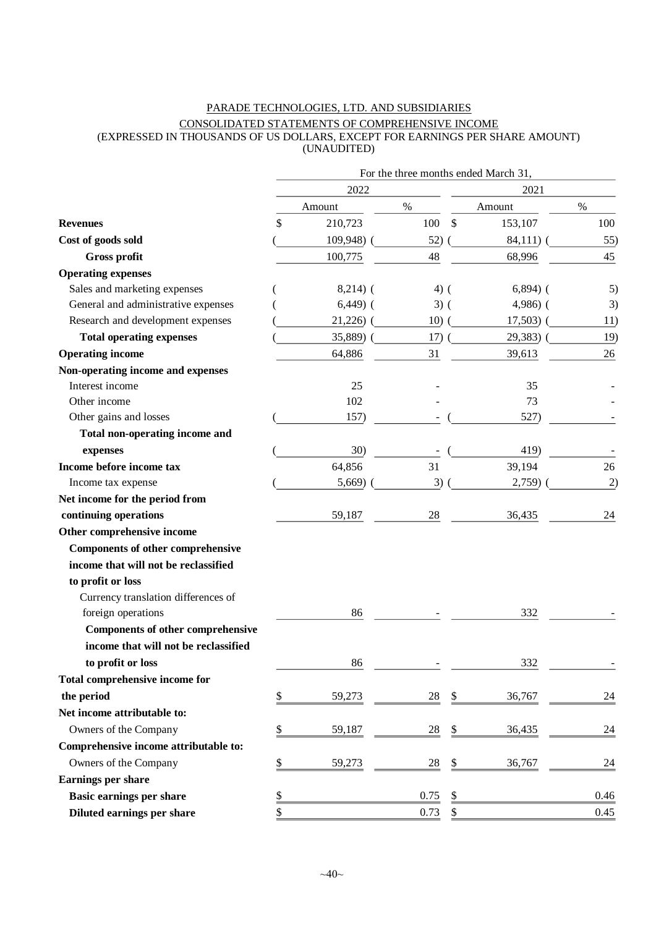#### PARADE TECHNOLOGIES, LTD. AND SUBSIDIARIES CONSOLIDATED STATEMENTS OF COMPREHENSIVE INCOME (EXPRESSED IN THOUSANDS OF US DOLLARS, EXCEPT FOR EARNINGS PER SHARE AMOUNT) (UNAUDITED)

|                                          | For the three months ended March 31, |            |        |      |             |                   |  |
|------------------------------------------|--------------------------------------|------------|--------|------|-------------|-------------------|--|
|                                          |                                      | 2022       |        | 2021 |             |                   |  |
|                                          |                                      | Amount     | $\%$   |      | Amount      | $\%$              |  |
| <b>Revenues</b>                          | \$                                   | 210,723    | 100    | \$   | 153,107     | 100               |  |
| Cost of goods sold                       |                                      | 109,948)   | 52)    |      | 84,111)     | 55)               |  |
| Gross profit                             |                                      | 100,775    | 48     |      | 68,996      | 45                |  |
| <b>Operating expenses</b>                |                                      |            |        |      |             |                   |  |
| Sales and marketing expenses             |                                      | $8,214)$ ( | $4)$ ( |      | $6,894$ (   | 5)                |  |
| General and administrative expenses      |                                      | $6,449$ (  | $3)$ ( |      | $4,986$ ) ( | 3)                |  |
| Research and development expenses        |                                      | 21,226)    | 10)    |      | 17,503)     | 11)               |  |
| <b>Total operating expenses</b>          |                                      | 35,889)    | 17)    |      | 29,383      | 19)               |  |
| <b>Operating income</b>                  |                                      | 64,886     | 31     |      | 39,613      | 26                |  |
| Non-operating income and expenses        |                                      |            |        |      |             |                   |  |
| Interest income                          |                                      | 25         |        |      | 35          |                   |  |
| Other income                             |                                      | 102        |        |      | 73          |                   |  |
| Other gains and losses                   |                                      | 157)       |        |      | 527)        |                   |  |
| Total non-operating income and           |                                      |            |        |      |             |                   |  |
| expenses                                 |                                      | 30)        |        |      | 419)        |                   |  |
| Income before income tax                 |                                      | 64,856     | 31     |      | 39,194      | 26                |  |
| Income tax expense                       |                                      | 5,669)     | 3)     |      | 2,759)      | $\left( 2\right)$ |  |
| Net income for the period from           |                                      |            |        |      |             |                   |  |
| continuing operations                    |                                      | 59,187     | 28     |      | 36,435      | 24                |  |
| Other comprehensive income               |                                      |            |        |      |             |                   |  |
| <b>Components of other comprehensive</b> |                                      |            |        |      |             |                   |  |
| income that will not be reclassified     |                                      |            |        |      |             |                   |  |
| to profit or loss                        |                                      |            |        |      |             |                   |  |
| Currency translation differences of      |                                      |            |        |      |             |                   |  |
| foreign operations                       |                                      | 86         |        |      | 332         |                   |  |
| <b>Components of other comprehensive</b> |                                      |            |        |      |             |                   |  |
| income that will not be reclassified     |                                      |            |        |      |             |                   |  |
| to profit or loss                        |                                      | 86         |        |      | 332         |                   |  |
| Total comprehensive income for           |                                      |            |        |      |             |                   |  |
| the period                               | \$                                   | 59,273     | 28     | \$   | 36,767      | 24                |  |
| Net income attributable to:              |                                      |            |        |      |             |                   |  |
| Owners of the Company                    | \$                                   | 59,187     | 28     | \$   | 36,435      | 24                |  |
| Comprehensive income attributable to:    |                                      |            |        |      |             |                   |  |
| Owners of the Company                    | \$                                   | 59,273     | 28     | \$   | 36,767      | 24                |  |
| Earnings per share                       |                                      |            |        |      |             |                   |  |
| Basic earnings per share                 | \$                                   |            | 0.75   | \$   |             | 0.46              |  |
| Diluted earnings per share               | \$                                   |            | 0.73   | \$   |             | 0.45              |  |
|                                          |                                      |            |        |      |             |                   |  |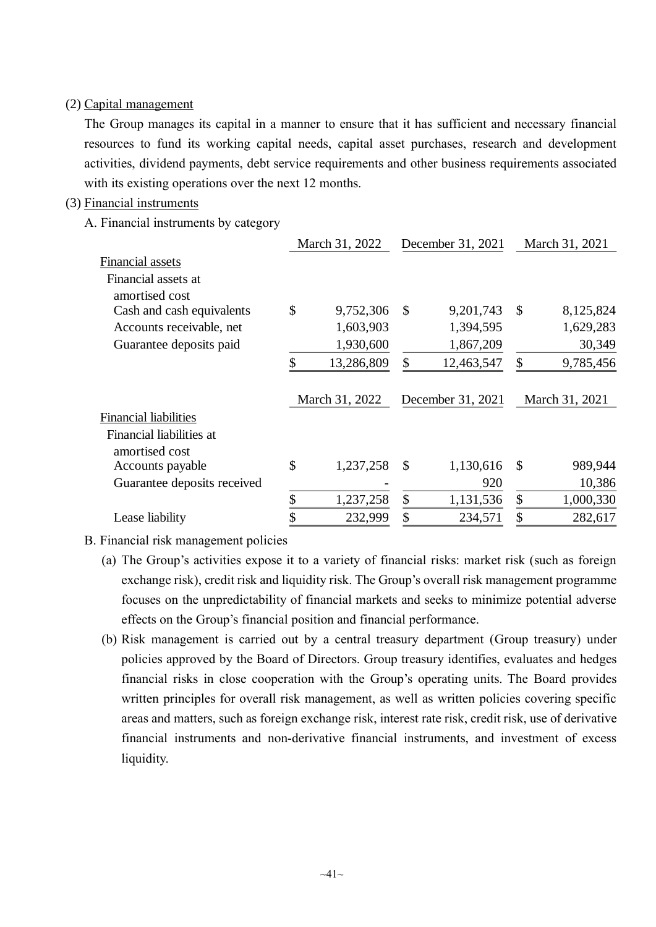#### (2) Capital management

The Group manages its capital in a manner to ensure that it has sufficient and necessary financial resources to fund its working capital needs, capital asset purchases, research and development activities, dividend payments, debt service requirements and other business requirements associated with its existing operations over the next 12 months.

#### (3) Financial instruments

A. Financial instruments by category

|                                       | March 31, 2022   |               | December 31, 2021 | March 31, 2021            |                |
|---------------------------------------|------------------|---------------|-------------------|---------------------------|----------------|
| Financial assets                      |                  |               |                   |                           |                |
| Financial assets at<br>amortised cost |                  |               |                   |                           |                |
| Cash and cash equivalents             | \$<br>9,752,306  | $\mathcal{S}$ | 9,201,743         | $\mathbb{S}$              | 8,125,824      |
| Accounts receivable, net              | 1,603,903        |               | 1,394,595         |                           | 1,629,283      |
| Guarantee deposits paid               | 1,930,600        |               | 1,867,209         |                           | 30,349         |
|                                       | \$<br>13,286,809 | \$            | 12,463,547        | \$                        | 9,785,456      |
|                                       | March 31, 2022   |               | December 31, 2021 |                           | March 31, 2021 |
| <b>Financial liabilities</b>          |                  |               |                   |                           |                |
| Financial liabilities at              |                  |               |                   |                           |                |
| amortised cost                        |                  |               |                   |                           |                |
| Accounts payable                      | \$<br>1,237,258  | \$            | 1,130,616         | $\boldsymbol{\mathsf{S}}$ | 989,944        |
| Guarantee deposits received           |                  |               | 920               |                           | 10,386         |
|                                       | \$<br>1,237,258  | \$            | 1,131,536         | \$                        | 1,000,330      |
| Lease liability                       | \$<br>232,999    | \$            | 234,571           | \$                        | 282,617        |
|                                       |                  |               |                   |                           |                |

B. Financial risk management policies

- (a) The Group's activities expose it to a variety of financial risks: market risk (such as foreign exchange risk), credit risk and liquidity risk. The Group's overall risk management programme focuses on the unpredictability of financial markets and seeks to minimize potential adverse effects on the Group's financial position and financial performance.
- (b) Risk management is carried out by a central treasury department (Group treasury) under policies approved by the Board of Directors. Group treasury identifies, evaluates and hedges financial risks in close cooperation with the Group's operating units. The Board provides written principles for overall risk management, as well as written policies covering specific areas and matters, such as foreign exchange risk, interest rate risk, credit risk, use of derivative financial instruments and non-derivative financial instruments, and investment of excess liquidity.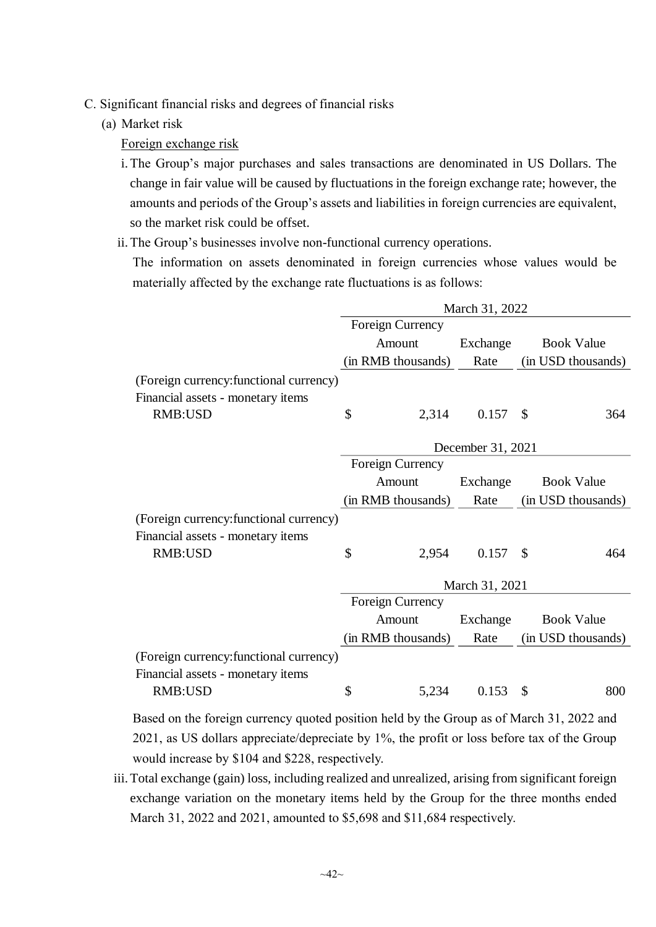- C. Significant financial risks and degrees of financial risks
	- (a) Market risk

Foreign exchange risk

- i.The Group's major purchases and sales transactions are denominated in US Dollars. The change in fair value will be caused by fluctuations in the foreign exchange rate; however, the amounts and periods of the Group's assets and liabilities in foreign currencies are equivalent, so the market risk could be offset.
- ii.The Group's businesses involve non-functional currency operations.

The information on assets denominated in foreign currencies whose values would be materially affected by the exchange rate fluctuations is as follows:

|                                         | March 31, 2022                          |       |                   |                    |                    |  |  |  |
|-----------------------------------------|-----------------------------------------|-------|-------------------|--------------------|--------------------|--|--|--|
|                                         | Foreign Currency                        |       |                   |                    |                    |  |  |  |
|                                         | Exchange<br>Amount<br><b>Book Value</b> |       |                   |                    |                    |  |  |  |
|                                         | (in RMB thousands)                      |       | Rate              | (in USD thousands) |                    |  |  |  |
| (Foreign currency: functional currency) |                                         |       |                   |                    |                    |  |  |  |
| Financial assets - monetary items       |                                         |       |                   |                    |                    |  |  |  |
| RMB:USD                                 | \$                                      | 2,314 | 0.157             | <sup>S</sup>       | 364                |  |  |  |
|                                         |                                         |       |                   |                    |                    |  |  |  |
|                                         |                                         |       | December 31, 2021 |                    |                    |  |  |  |
|                                         | Foreign Currency                        |       |                   |                    |                    |  |  |  |
|                                         | Amount                                  |       | Exchange          |                    | <b>Book Value</b>  |  |  |  |
|                                         | (in RMB thousands)                      |       | Rate              |                    | (in USD thousands) |  |  |  |
| (Foreign currency: functional currency) |                                         |       |                   |                    |                    |  |  |  |
| Financial assets - monetary items       |                                         |       |                   |                    |                    |  |  |  |
| RMB:USD                                 | \$                                      |       | 2,954 0.157       | $\mathcal{S}$      | 464                |  |  |  |
|                                         |                                         |       |                   |                    |                    |  |  |  |
|                                         |                                         |       | March 31, 2021    |                    |                    |  |  |  |
|                                         | Foreign Currency                        |       |                   |                    |                    |  |  |  |
|                                         | Amount                                  |       | Exchange          |                    | <b>Book Value</b>  |  |  |  |
|                                         | (in RMB thousands)                      |       | Rate              |                    | (in USD thousands) |  |  |  |
| (Foreign currency: functional currency) |                                         |       |                   |                    |                    |  |  |  |
| Financial assets - monetary items       |                                         |       |                   |                    |                    |  |  |  |
| RMB:USD                                 | \$                                      | 5,234 | 0.153             | \$                 | 800                |  |  |  |

Based on the foreign currency quoted position held by the Group as of March 31, 2022 and 2021, as US dollars appreciate/depreciate by 1%, the profit or loss before tax of the Group would increase by \$104 and \$228, respectively.

iii.Total exchange (gain) loss, including realized and unrealized, arising from significant foreign exchange variation on the monetary items held by the Group for the three months ended March 31, 2022 and 2021, amounted to \$5,698 and \$11,684 respectively.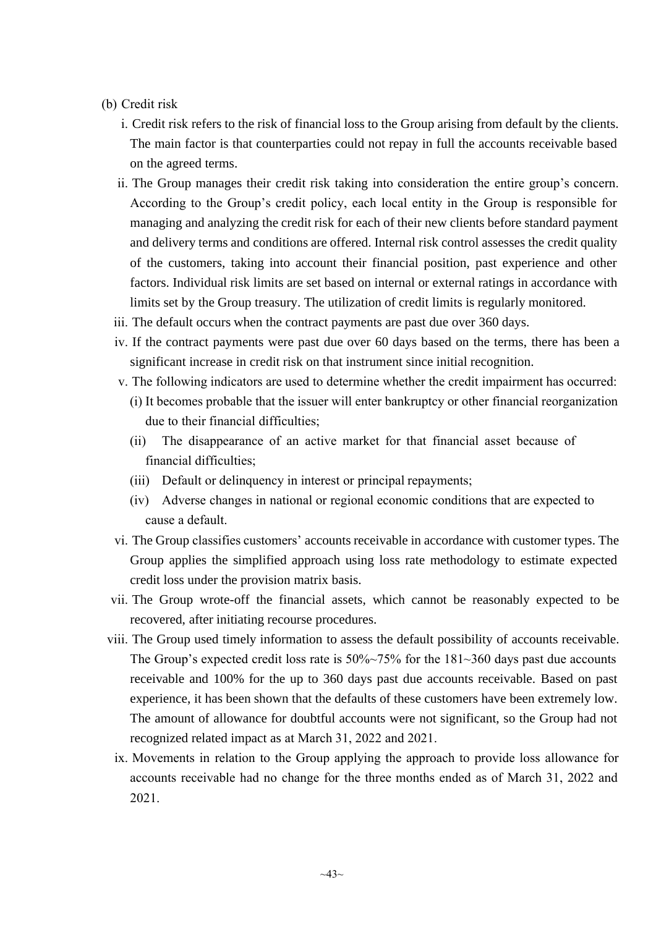#### (b) Credit risk

- i. Credit risk refers to the risk of financial loss to the Group arising from default by the clients. The main factor is that counterparties could not repay in full the accounts receivable based on the agreed terms.
- ii. The Group manages their credit risk taking into consideration the entire group's concern. According to the Group's credit policy, each local entity in the Group is responsible for managing and analyzing the credit risk for each of their new clients before standard payment and delivery terms and conditions are offered. Internal risk control assesses the credit quality of the customers, taking into account their financial position, past experience and other factors. Individual risk limits are set based on internal or external ratings in accordance with limits set by the Group treasury. The utilization of credit limits is regularly monitored.
- iii. The default occurs when the contract payments are past due over 360 days.
- iv. If the contract payments were past due over 60 days based on the terms, there has been a significant increase in credit risk on that instrument since initial recognition.
- v. The following indicators are used to determine whether the credit impairment has occurred:
	- (i) It becomes probable that the issuer will enter bankruptcy or other financial reorganization due to their financial difficulties;
	- (ii) The disappearance of an active market for that financial asset because of financial difficulties;
	- (iii) Default or delinquency in interest or principal repayments;
	- (iv) Adverse changes in national or regional economic conditions that are expected to cause a default.
- vi. The Group classifies customers' accounts receivable in accordance with customer types. The Group applies the simplified approach using loss rate methodology to estimate expected credit loss under the provision matrix basis.
- vii. The Group wrote-off the financial assets, which cannot be reasonably expected to be recovered, after initiating recourse procedures.
- viii. The Group used timely information to assess the default possibility of accounts receivable. The Group's expected credit loss rate is  $50\%~75\%$  for the  $181~360$  days past due accounts receivable and 100% for the up to 360 days past due accounts receivable. Based on past experience, it has been shown that the defaults of these customers have been extremely low. The amount of allowance for doubtful accounts were not significant, so the Group had not recognized related impact as at March 31, 2022 and 2021.
- ix. Movements in relation to the Group applying the approach to provide loss allowance for accounts receivable had no change for the three months ended as of March 31, 2022 and 2021.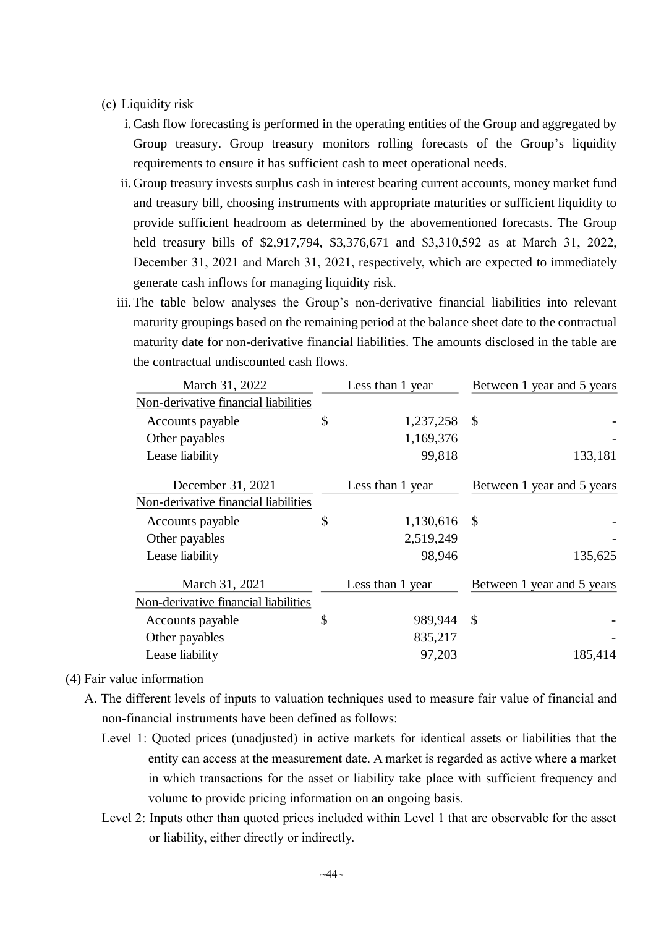#### (c) Liquidity risk

- i.Cash flow forecasting is performed in the operating entities of the Group and aggregated by Group treasury. Group treasury monitors rolling forecasts of the Group's liquidity requirements to ensure it has sufficient cash to meet operational needs.
- ii. Group treasury invests surplus cash in interest bearing current accounts, money market fund and treasury bill, choosing instruments with appropriate maturities or sufficient liquidity to provide sufficient headroom as determined by the abovementioned forecasts. The Group held treasury bills of \$2,917,794, \$3,376,671 and \$3,310,592 as at March 31, 2022, December 31, 2021 and March 31, 2021, respectively, which are expected to immediately generate cash inflows for managing liquidity risk.
- iii.The table below analyses the Group's non-derivative financial liabilities into relevant maturity groupings based on the remaining period at the balance sheet date to the contractual maturity date for non-derivative financial liabilities. The amounts disclosed in the table are the contractual undiscounted cash flows.

| March 31, 2022                       |    | Less than 1 year | Between 1 year and 5 years |  |  |  |  |
|--------------------------------------|----|------------------|----------------------------|--|--|--|--|
| Non-derivative financial liabilities |    |                  |                            |  |  |  |  |
| Accounts payable                     | \$ | 1,237,258        | $\mathcal{S}$              |  |  |  |  |
| Other payables                       |    | 1,169,376        |                            |  |  |  |  |
| Lease liability                      |    | 99,818           | 133,181                    |  |  |  |  |
| December 31, 2021                    |    | Less than 1 year | Between 1 year and 5 years |  |  |  |  |
| Non-derivative financial liabilities |    |                  |                            |  |  |  |  |
| Accounts payable                     | \$ | 1,130,616        | $\mathcal{S}$              |  |  |  |  |
| Other payables                       |    | 2,519,249        |                            |  |  |  |  |
| Lease liability                      |    | 98,946           | 135,625                    |  |  |  |  |
| March 31, 2021                       |    | Less than 1 year | Between 1 year and 5 years |  |  |  |  |
| Non-derivative financial liabilities |    |                  |                            |  |  |  |  |
| Accounts payable                     | \$ | 989,944          | -\$                        |  |  |  |  |
| Other payables                       |    | 835,217          |                            |  |  |  |  |
| Lease liability                      |    | 97,203           | 185,414                    |  |  |  |  |

#### (4) Fair value information

- A. The different levels of inputs to valuation techniques used to measure fair value of financial and non-financial instruments have been defined as follows:
	- Level 1: Quoted prices (unadjusted) in active markets for identical assets or liabilities that the entity can access at the measurement date. A market is regarded as active where a market in which transactions for the asset or liability take place with sufficient frequency and volume to provide pricing information on an ongoing basis.
	- Level 2: Inputs other than quoted prices included within Level 1 that are observable for the asset or liability, either directly or indirectly.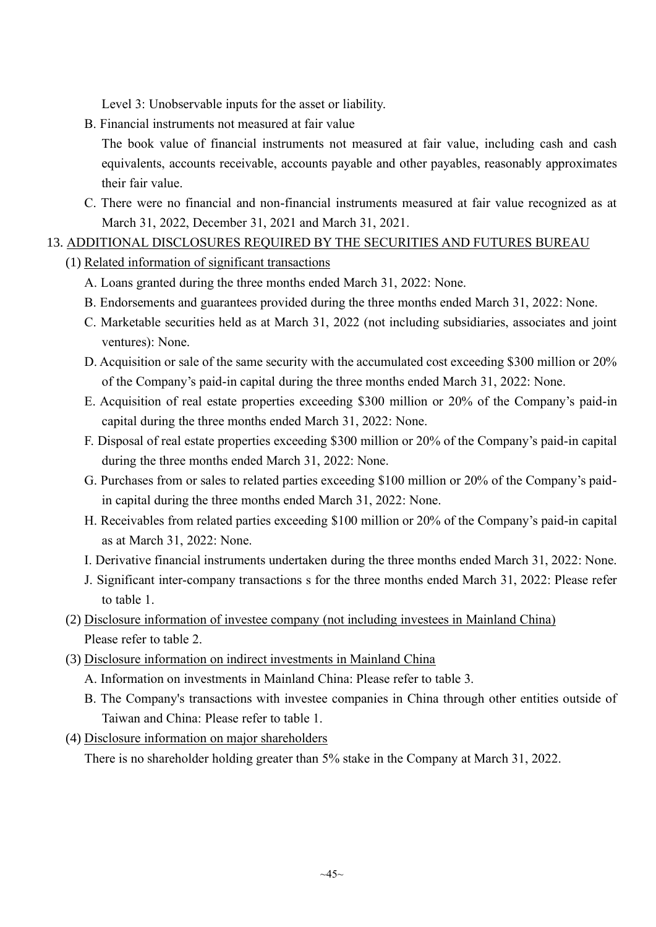Level 3: Unobservable inputs for the asset or liability.

- B. Financial instruments not measured at fair value
	- The book value of financial instruments not measured at fair value, including cash and cash equivalents, accounts receivable, accounts payable and other payables, reasonably approximates their fair value.
- C. There were no financial and non-financial instruments measured at fair value recognized as at March 31, 2022, December 31, 2021 and March 31, 2021.

### 13. ADDITIONAL DISCLOSURES REQUIRED BY THE SECURITIES AND FUTURES BUREAU

- (1) Related information of significant transactions
	- A. Loans granted during the three months ended March 31, 2022: None.
	- B. Endorsements and guarantees provided during the three months ended March 31, 2022: None.
	- C. Marketable securities held as at March 31, 2022 (not including subsidiaries, associates and joint ventures): None.
	- D. Acquisition or sale of the same security with the accumulated cost exceeding \$300 million or 20% of the Company's paid-in capital during the three months ended March 31, 2022: None.
	- E. Acquisition of real estate properties exceeding \$300 million or 20% of the Company's paid-in capital during the three months ended March 31, 2022: None.
	- F. Disposal of real estate properties exceeding \$300 million or 20% of the Company's paid-in capital during the three months ended March 31, 2022: None.
	- G. Purchases from or sales to related parties exceeding \$100 million or 20% of the Company's paidin capital during the three months ended March 31, 2022: None.
	- H. Receivables from related parties exceeding \$100 million or 20% of the Company's paid-in capital as at March 31, 2022: None.
	- I. Derivative financial instruments undertaken during the three months ended March 31, 2022: None.
	- J. Significant inter-company transactions s for the three months ended March 31, 2022: Please refer to table 1.
	- (2) Disclosure information of investee company (not including investees in Mainland China) Please refer to table 2.
	- (3) Disclosure information on indirect investments in Mainland China
		- A. Information on investments in Mainland China: Please refer to table 3.
		- B. The Company's transactions with investee companies in China through other entities outside of Taiwan and China: Please refer to table 1.
	- (4) Disclosure information on major shareholders

There is no shareholder holding greater than 5% stake in the Company at March 31, 2022.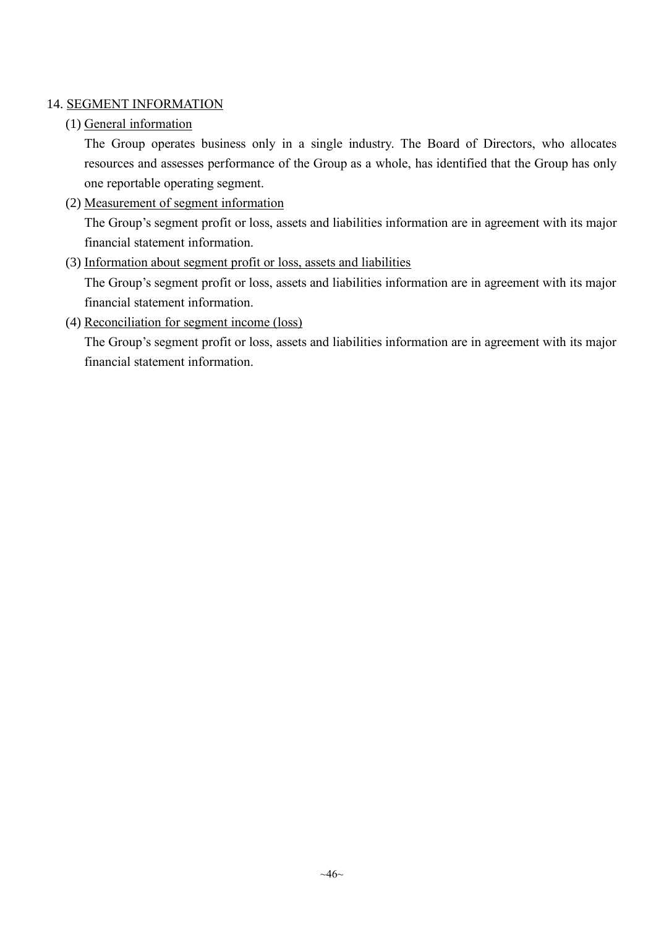## 14. SEGMENT INFORMATION

## (1) General information

The Group operates business only in a single industry. The Board of Directors, who allocates resources and assesses performance of the Group as a whole, has identified that the Group has only one reportable operating segment.

(2) Measurement of segment information

The Group's segment profit or loss, assets and liabilities information are in agreement with its major financial statement information.

(3) Information about segment profit or loss, assets and liabilities

The Group's segment profit or loss, assets and liabilities information are in agreement with its major financial statement information.

(4) Reconciliation for segment income (loss)

The Group's segment profit or loss, assets and liabilities information are in agreement with its major financial statement information.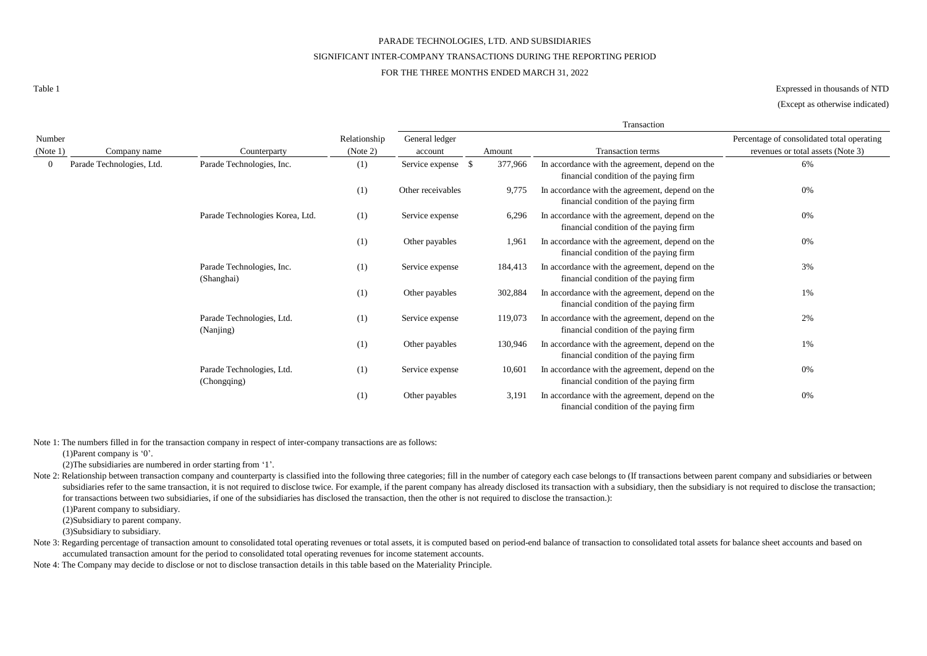#### PARADE TECHNOLOGIES, LTD. AND SUBSIDIARIES

#### SIGNIFICANT INTER-COMPANY TRANSACTIONS DURING THE REPORTING PERIOD

#### FOR THE THREE MONTHS ENDED MARCH 31, 2022

Expressed in thousands of NTD

(Except as otherwise indicated)

|                |                           |                                          |                | Transaction        |                                                                                           |                                                                                           |                                            |  |  |  |  |  |  |
|----------------|---------------------------|------------------------------------------|----------------|--------------------|-------------------------------------------------------------------------------------------|-------------------------------------------------------------------------------------------|--------------------------------------------|--|--|--|--|--|--|
| Number         |                           |                                          | Relationship   | General ledger     |                                                                                           |                                                                                           | Percentage of consolidated total operating |  |  |  |  |  |  |
| (Note 1)       | Company name              | Counterparty                             | (Note 2)       | account            | Amount                                                                                    | <b>Transaction terms</b>                                                                  | revenues or total assets (Note 3)          |  |  |  |  |  |  |
| $\overline{0}$ | Parade Technologies, Ltd. | Parade Technologies, Inc.                | (1)            | Service expense \$ | 377,966                                                                                   | In accordance with the agreement, depend on the<br>financial condition of the paying firm | 6%                                         |  |  |  |  |  |  |
|                |                           |                                          | (1)            | Other receivables  | 9,775                                                                                     | In accordance with the agreement, depend on the<br>financial condition of the paying firm | 0%                                         |  |  |  |  |  |  |
|                |                           | Parade Technologies Korea, Ltd.          | (1)            | Service expense    | 6,296                                                                                     | In accordance with the agreement, depend on the<br>financial condition of the paying firm | 0%                                         |  |  |  |  |  |  |
|                |                           | (1)                                      | Other payables | 1,961              | In accordance with the agreement, depend on the<br>financial condition of the paying firm | 0%                                                                                        |                                            |  |  |  |  |  |  |
|                |                           | Parade Technologies, Inc.<br>(Shanghai)  | (1)            | Service expense    | 184,413                                                                                   | In accordance with the agreement, depend on the<br>financial condition of the paying firm | 3%                                         |  |  |  |  |  |  |
|                |                           | (1)                                      | Other payables | 302,884            | In accordance with the agreement, depend on the<br>financial condition of the paying firm | 1%                                                                                        |                                            |  |  |  |  |  |  |
|                |                           | Parade Technologies, Ltd.<br>(Nanjing)   | (1)            | Service expense    | 119,073                                                                                   | In accordance with the agreement, depend on the<br>financial condition of the paying firm | 2%                                         |  |  |  |  |  |  |
|                |                           | (1)                                      | Other payables | 130,946            | In accordance with the agreement, depend on the<br>financial condition of the paying firm | 1%                                                                                        |                                            |  |  |  |  |  |  |
|                |                           | Parade Technologies, Ltd.<br>(Chongqing) | (1)            | Service expense    | 10,601                                                                                    | In accordance with the agreement, depend on the<br>financial condition of the paying firm | 0%                                         |  |  |  |  |  |  |
|                |                           |                                          | (1)            | Other payables     | 3,191                                                                                     | In accordance with the agreement, depend on the<br>financial condition of the paying firm | 0%                                         |  |  |  |  |  |  |

Note 1: The numbers filled in for the transaction company in respect of inter-company transactions are as follows:

(1)Parent company is '0'.

(2)The subsidiaries are numbered in order starting from '1'.

subsidiaries refer to the same transaction, it is not required to disclose twice. For example, if the parent company has already disclosed its transaction with a subsidiary, then the subsidiary is not required to disclose Note 2: Relationship between transaction company and counterparty is classified into the following three categories; fill in the number of category each case belongs to (If transactions between parent company and subsidiar for transactions between two subsidiaries, if one of the subsidiaries has disclosed the transaction, then the other is not required to disclose the transaction.):

(1)Parent company to subsidiary.

(2)Subsidiary to parent company.

(3)Subsidiary to subsidiary.

Note 3: Regarding percentage of transaction amount to consolidated total operating revenues or total assets, it is computed based on period-end balance of transaction to consolidated total assets for balance sheet accounts accumulated transaction amount for the period to consolidated total operating revenues for income statement accounts.

Note 4: The Company may decide to disclose or not to disclose transaction details in this table based on the Materiality Principle.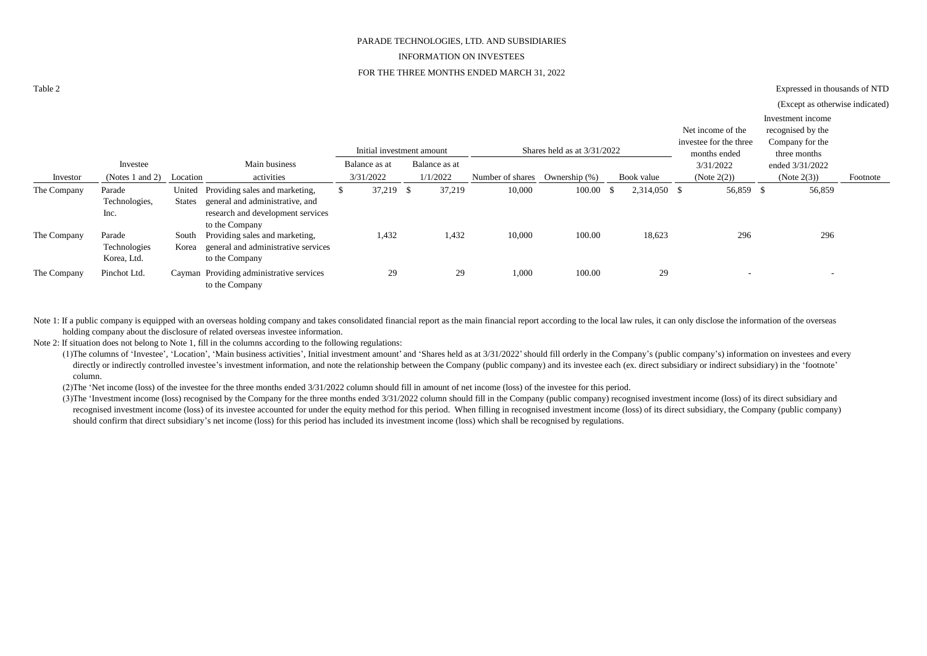#### PARADE TECHNOLOGIES, LTD. AND SUBSIDIARIES

#### INFORMATION ON INVESTEES

#### FOR THE THREE MONTHS ENDED MARCH 31, 2022

Expressed in thousands of NTD

|             |                                       |                         |                                                                                                                          |    |                           |               |                  |                             |      |              |                                                             | (Except as otherwise indicated)                                           |          |
|-------------|---------------------------------------|-------------------------|--------------------------------------------------------------------------------------------------------------------------|----|---------------------------|---------------|------------------|-----------------------------|------|--------------|-------------------------------------------------------------|---------------------------------------------------------------------------|----------|
|             |                                       |                         |                                                                                                                          |    | Initial investment amount |               |                  | Shares held as at 3/31/2022 |      |              | Net income of the<br>investee for the three<br>months ended | Investment income<br>recognised by the<br>Company for the<br>three months |          |
|             | Investee                              |                         | Main business                                                                                                            |    | Balance as at             | Balance as at |                  |                             |      |              | 3/31/2022                                                   | ended 3/31/2022                                                           |          |
| Investor    | (Notes 1 and 2)                       | Location                | activities                                                                                                               |    | 3/31/2022                 | 1/1/2022      | Number of shares | Ownership (%)               |      | Book value   | (Note $2(2)$ )                                              | (Note 2(3))                                                               | Footnote |
| The Company | Parade<br>Technologies,<br>Inc.       | United<br><b>States</b> | Providing sales and marketing,<br>general and administrative, and<br>research and development services<br>to the Company | S. | $37,219$ \$               | 37,219        | 10,000           | 100.00                      | - \$ | 2,314,050 \$ | 56,859 \$                                                   | 56,859                                                                    |          |
| The Company | Parade<br>Technologies<br>Korea, Ltd. | South<br>Korea          | Providing sales and marketing,<br>general and administrative services<br>to the Company                                  |    | 1,432                     | 1,432         | 10,000           | 100.00                      |      | 18,623       | 296                                                         | 296                                                                       |          |
| The Company | Pinchot Ltd.                          |                         | Cayman Providing administrative services<br>to the Company                                                               |    | 29                        | 29            | 1,000            | 100.00                      |      | 29           | $\overline{\phantom{a}}$                                    | $\overline{\phantom{a}}$                                                  |          |

Note 1: If a public company is equipped with an overseas holding company and takes consolidated financial report as the main financial report according to the local law rules, it can only disclose the information of the ov holding company about the disclosure of related overseas investee information.

Note 2: If situation does not belong to Note 1, fill in the columns according to the following regulations:

(1)The columns of 'Investee', 'Location', 'Main business activities', Initial investment amount' and 'Shares held as at 3/31/2022' should fill orderly in the Company's (public company's) information on investees and every directly or indirectly controlled investee's investment information, and note the relationship between the Company (public company) and its investee each (ex. direct subsidiary or indirect subsidiary) in the 'footnote' column.

(2)The 'Net income (loss) of the investee for the three months ended 3/31/2022 column should fill in amount of net income (loss) of the investee for this period.

(3)The 'Investment income (loss) recognised by the Company for the three months ended 3/31/2022 column should fill in the Company (public company) recognised investment income (loss) of its direct subsidiary and recognised investment income (loss) of its investee accounted for under the equity method for this period. When filling in recognised investment income (loss) of its direct subsidiary, the Company (public company) should confirm that direct subsidiary's net income (loss) for this period has included its investment income (loss) which shall be recognised by regulations.